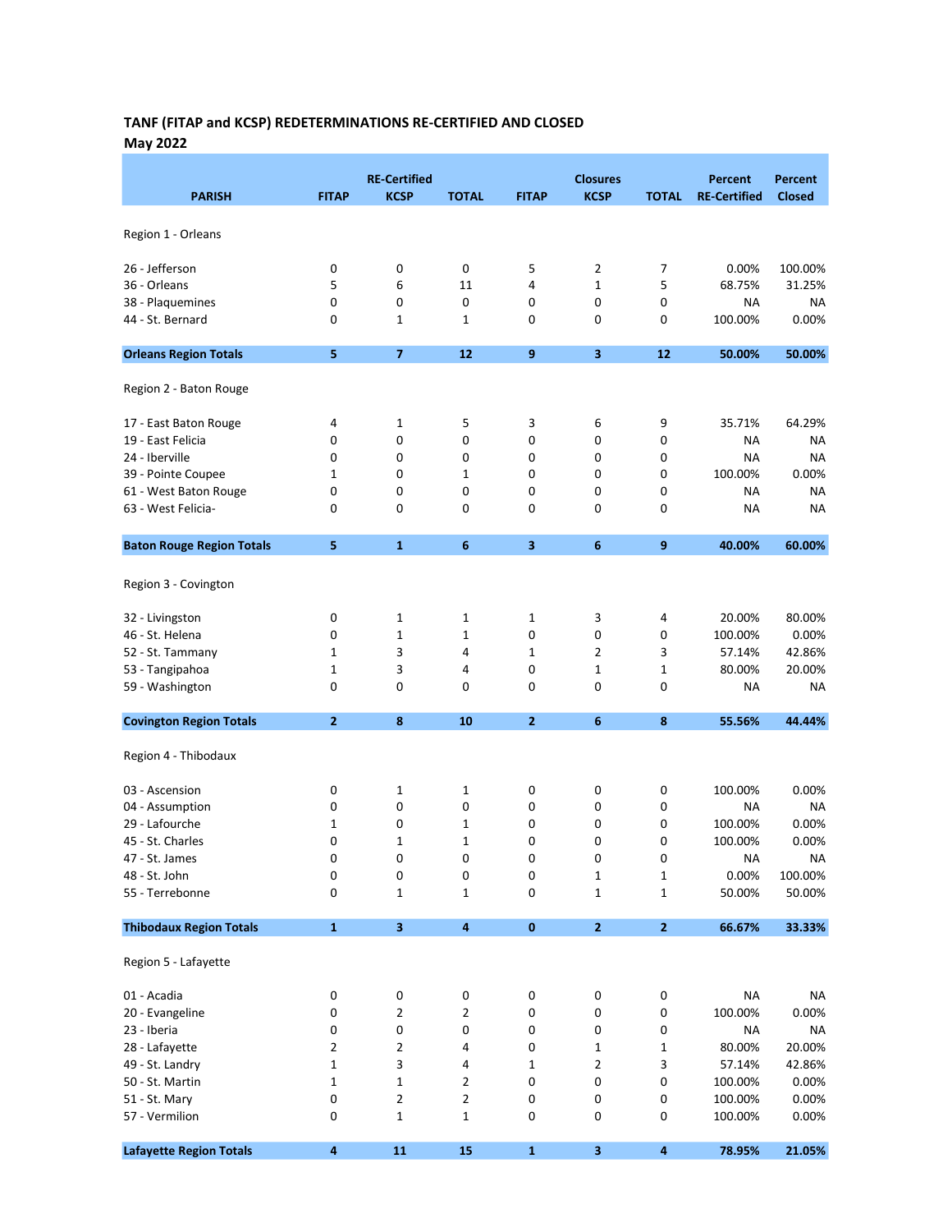# TANF (FITAP and KCSP) REDETERMINATIONS RE-CERTIFIED AND CLOSED May 2022

| <b>PARISH</b>                    | <b>FITAP</b> | <b>RE-Certified</b><br><b>KCSP</b> | <b>TOTAL</b>            | <b>FITAP</b>   | <b>Closures</b><br><b>KCSP</b> | <b>TOTAL</b>     | <b>Percent</b><br><b>RE-Certified</b> | Percent<br><b>Closed</b> |
|----------------------------------|--------------|------------------------------------|-------------------------|----------------|--------------------------------|------------------|---------------------------------------|--------------------------|
| Region 1 - Orleans               |              |                                    |                         |                |                                |                  |                                       |                          |
|                                  |              |                                    | 0                       |                |                                | 7                | 0.00%                                 | 100.00%                  |
| 26 - Jefferson<br>36 - Orleans   | 0<br>5       | 0<br>6                             | 11                      | 5<br>4         | 2<br>1                         | 5                | 68.75%                                | 31.25%                   |
| 38 - Plaquemines                 | 0            | 0                                  | $\pmb{0}$               | 0              | 0                              | 0                | ΝA                                    | NA                       |
| 44 - St. Bernard                 | 0            | 1                                  | 1                       | 0              | 0                              | 0                | 100.00%                               | 0.00%                    |
|                                  |              |                                    |                         |                |                                |                  |                                       |                          |
| <b>Orleans Region Totals</b>     | 5            | $\overline{7}$                     | 12                      | 9              | $\overline{\mathbf{3}}$        | 12               | 50.00%                                | 50.00%                   |
| Region 2 - Baton Rouge           |              |                                    |                         |                |                                |                  |                                       |                          |
| 17 - East Baton Rouge            | 4            | 1                                  | 5                       | 3              | 6                              | 9                | 35.71%                                | 64.29%                   |
| 19 - East Felicia                | 0            | 0                                  | 0                       | 0              | 0                              | 0                | NA                                    | NA                       |
| 24 - Iberville                   | 0            | 0                                  | 0                       | 0              | 0                              | 0                | NA                                    | <b>NA</b>                |
| 39 - Pointe Coupee               | 1            | 0                                  | 1                       | 0              | 0                              | 0                | 100.00%                               | 0.00%                    |
| 61 - West Baton Rouge            | 0            | 0                                  | 0                       | 0              | 0                              | 0                | NA                                    | ΝA                       |
| 63 - West Felicia-               | 0            | 0                                  | 0                       | 0              | 0                              | 0                | NA                                    | <b>NA</b>                |
| <b>Baton Rouge Region Totals</b> | 5            | $\mathbf{1}$                       | 6                       | 3              | 6                              | $\mathbf{9}$     | 40.00%                                | 60.00%                   |
|                                  |              |                                    |                         |                |                                |                  |                                       |                          |
| Region 3 - Covington             |              |                                    |                         |                |                                |                  |                                       |                          |
| 32 - Livingston                  | 0            | $\mathbf{1}$                       | 1                       | $\mathbf 1$    | 3                              | 4                | 20.00%                                | 80.00%                   |
| 46 - St. Helena                  | 0            | $\mathbf 1$                        | 1                       | 0              | 0                              | 0                | 100.00%                               | 0.00%                    |
| 52 - St. Tammany                 | 1            | 3                                  | 4                       | $\mathbf 1$    | 2                              | 3                | 57.14%                                | 42.86%                   |
| 53 - Tangipahoa                  | 1            | 3                                  | 4                       | 0              | 1                              | 1                | 80.00%                                | 20.00%                   |
| 59 - Washington                  | 0            | 0                                  | 0                       | 0              | 0                              | 0                | ΝA                                    | <b>NA</b>                |
| <b>Covington Region Totals</b>   | $\mathbf{2}$ | 8                                  | 10                      | $\overline{2}$ | 6                              | $\boldsymbol{8}$ | 55.56%                                | 44.44%                   |
| Region 4 - Thibodaux             |              |                                    |                         |                |                                |                  |                                       |                          |
| 03 - Ascension                   | 0            | 1                                  | 1                       | 0              | 0                              | 0                | 100.00%                               | 0.00%                    |
| 04 - Assumption                  | 0            | 0                                  | 0                       | 0              | 0                              | 0                | NA                                    | NA                       |
| 29 - Lafourche                   | 1            | 0                                  | 1                       | 0              | 0                              | 0                |                                       | 0.00%                    |
|                                  |              |                                    |                         |                |                                |                  | 100.00%                               |                          |
| 45 - St. Charles                 | 0            | 1                                  | 1                       | 0              | 0                              | 0                | 100.00%                               | 0.00%                    |
| 47 - St. James                   | 0            | 0                                  | 0                       | 0              | 0                              | 0                | NA                                    | <b>NA</b>                |
| 48 - St. John                    | 0            | 0                                  | 0                       | 0              | 1                              | 1                | 0.00%                                 | 100.00%                  |
| 55 - Terrebonne                  | 0            | 1                                  | $\mathbf{1}$            | 0              | 1                              | $\mathbf{1}$     | 50.00%                                | 50.00%                   |
| <b>Thibodaux Region Totals</b>   | $\mathbf{1}$ | $\mathbf{3}$                       | $\overline{\mathbf{4}}$ | $\pmb{0}$      | $\mathbf{2}$                   | $\mathbf 2$      | 66.67%                                | 33.33%                   |
| Region 5 - Lafayette             |              |                                    |                         |                |                                |                  |                                       |                          |
| 01 - Acadia                      | 0            | 0                                  | 0                       | 0              | 0                              | 0                | <b>NA</b>                             | NA                       |
| 20 - Evangeline                  | 0            | $\overline{2}$                     | 2                       | 0              | 0                              | 0                | 100.00%                               | 0.00%                    |
| 23 - Iberia                      | 0            | 0                                  | 0                       | 0              | 0                              | 0                | <b>NA</b>                             | <b>NA</b>                |
| 28 - Lafayette                   | 2            | $\overline{\mathbf{c}}$            | 4                       | 0              | 1                              | $\mathbf 1$      | 80.00%                                | 20.00%                   |
| 49 - St. Landry                  | 1            | 3                                  | 4                       | 1              | 2                              | 3                | 57.14%                                | 42.86%                   |
|                                  | 1            | 1                                  | 2                       | 0              | 0                              | 0                |                                       |                          |
| 50 - St. Martin                  |              |                                    |                         |                |                                |                  | 100.00%                               | 0.00%                    |
| 51 - St. Mary                    | 0            | 2                                  | $\overline{2}$          | 0              | 0                              | 0                | 100.00%                               | 0.00%                    |
| 57 - Vermilion                   | 0            | 1                                  | 1                       | 0              | 0                              | 0                | 100.00%                               | 0.00%                    |
| <b>Lafayette Region Totals</b>   | 4            | 11                                 | 15                      | $\mathbf 1$    | 3                              | $\boldsymbol{4}$ | 78.95%                                | 21.05%                   |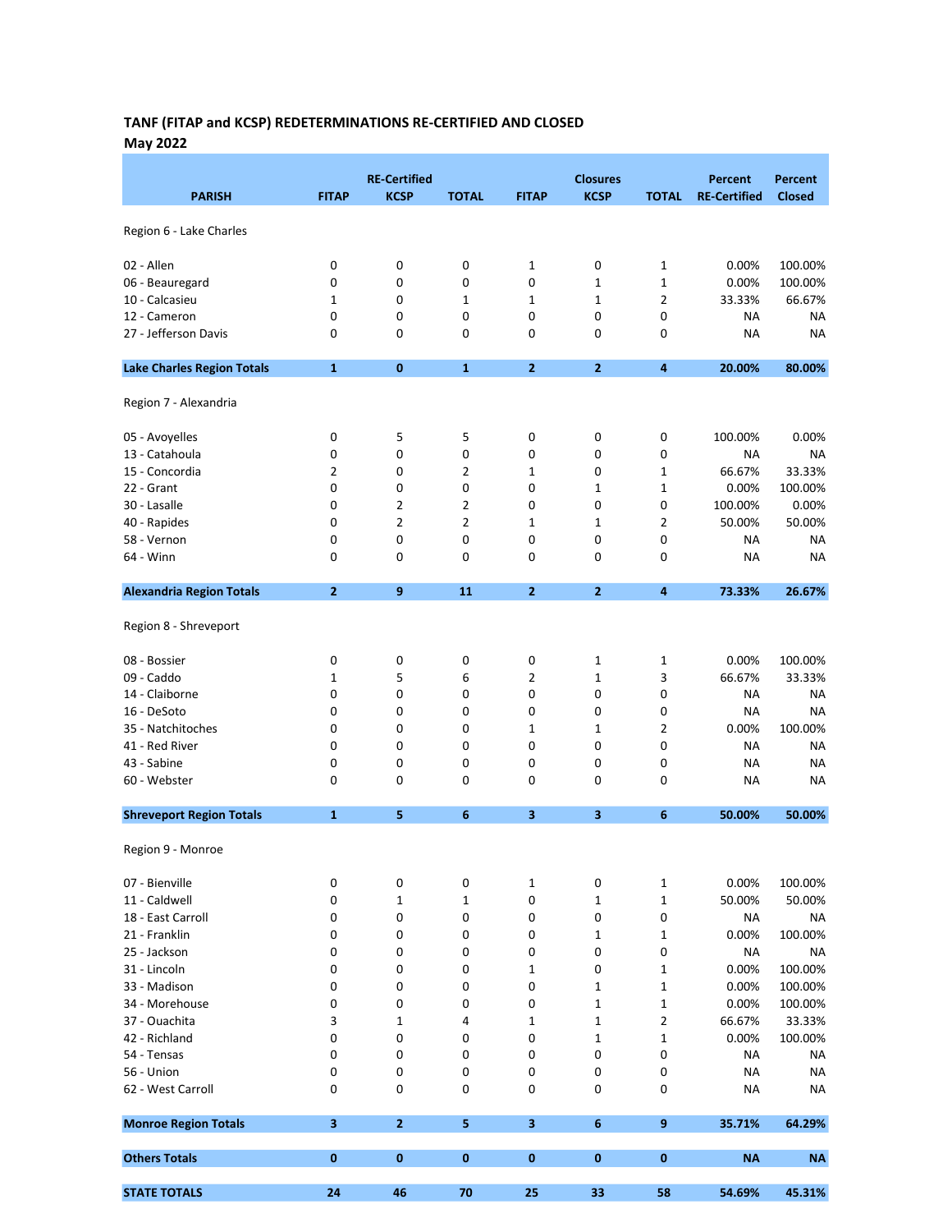# TANF (FITAP and KCSP) REDETERMINATIONS RE-CERTIFIED AND CLOSED May 2022

| <b>PARISH</b>                     | <b>FITAP</b>   | <b>RE-Certified</b><br><b>KCSP</b> | <b>TOTAL</b>   | <b>FITAP</b>            | <b>Closures</b><br><b>KCSP</b> | <b>TOTAL</b>   | <b>Percent</b><br><b>RE-Certified</b> | <b>Percent</b><br><b>Closed</b> |
|-----------------------------------|----------------|------------------------------------|----------------|-------------------------|--------------------------------|----------------|---------------------------------------|---------------------------------|
| Region 6 - Lake Charles           |                |                                    |                |                         |                                |                |                                       |                                 |
| 02 - Allen                        | 0              | 0                                  | 0              | 1                       | 0                              | 1              | 0.00%                                 | 100.00%                         |
| 06 - Beauregard                   | 0              | 0                                  | 0              | 0                       | 1                              | 1              | 0.00%                                 | 100.00%                         |
| 10 - Calcasieu                    | 1              | 0                                  | 1              | $\mathbf 1$             | 1                              | $\overline{2}$ | 33.33%                                | 66.67%                          |
| 12 - Cameron                      | 0              | 0                                  | 0              | 0                       | 0                              | 0              | NA                                    | <b>NA</b>                       |
| 27 - Jefferson Davis              | 0              | 0                                  | 0              | 0                       | 0                              | 0              | NA                                    | <b>NA</b>                       |
| <b>Lake Charles Region Totals</b> | $\mathbf{1}$   | $\bf{0}$                           | $\mathbf{1}$   | $\mathbf{2}$            | 2                              | 4              | 20.00%                                | 80.00%                          |
| Region 7 - Alexandria             |                |                                    |                |                         |                                |                |                                       |                                 |
| 05 - Avoyelles                    | 0              | 5                                  | 5              | 0                       | 0                              | 0              | 100.00%                               | 0.00%                           |
| 13 - Catahoula                    | 0              | 0                                  | 0              | 0                       | 0                              | 0              | NA                                    | <b>NA</b>                       |
| 15 - Concordia                    | 2              | 0                                  | 2              | 1                       | 0                              | 1              | 66.67%                                | 33.33%                          |
| 22 - Grant                        | 0              | 0                                  | 0              | 0                       | 1                              | $\mathbf 1$    | 0.00%                                 | 100.00%                         |
| 30 - Lasalle                      | 0              | $\overline{2}$                     | $\overline{2}$ | 0                       | 0                              | 0              | 100.00%                               | 0.00%                           |
| 40 - Rapides                      | 0              | $\overline{2}$                     | 2              | $\mathbf 1$             | 1                              | 2              | 50.00%                                | 50.00%                          |
| 58 - Vernon                       | 0              | 0                                  | 0              | 0                       | 0                              | 0              | NA                                    | NA                              |
| 64 - Winn                         | 0              | 0                                  | 0              | 0                       | 0                              | 0              | NA                                    | <b>NA</b>                       |
| <b>Alexandria Region Totals</b>   | $\overline{2}$ | 9                                  | 11             | $\mathbf{2}$            | 2                              | 4              | 73.33%                                | 26.67%                          |
| Region 8 - Shreveport             |                |                                    |                |                         |                                |                |                                       |                                 |
| 08 - Bossier                      | 0              | 0                                  | 0              | 0                       | 1                              | 1              | 0.00%                                 | 100.00%                         |
| 09 - Caddo                        | 1              | 5                                  | 6              | 2                       | 1                              | 3              | 66.67%                                | 33.33%                          |
| 14 - Claiborne                    | 0              | 0                                  | 0              | 0                       | 0                              | 0              | ΝA                                    | ΝA                              |
| 16 - DeSoto                       | 0              | 0                                  | 0              | 0                       | 0                              | 0              | NA                                    | <b>NA</b>                       |
| 35 - Natchitoches                 | 0              | 0                                  | 0              | $\mathbf 1$             | 1                              | $\overline{2}$ | 0.00%                                 | 100.00%                         |
| 41 - Red River                    | 0              | 0                                  | 0              | 0                       | 0                              | 0              | NA                                    | <b>NA</b>                       |
| 43 - Sabine                       | 0              | 0                                  | 0              | 0                       | 0                              | 0              | NA                                    | <b>NA</b>                       |
| 60 - Webster                      | 0              | 0                                  | 0              | 0                       | 0                              | 0              | NA                                    | <b>NA</b>                       |
| <b>Shreveport Region Totals</b>   | $\mathbf{1}$   | 5                                  | 6              | 3                       | 3                              | 6              | 50.00%                                | 50.00%                          |
| Region 9 - Monroe                 |                |                                    |                |                         |                                |                |                                       |                                 |
| 07 - Bienville                    | 0              | 0                                  | 0              | 1                       | 0                              | $\mathbf 1$    | 0.00%                                 | 100.00%                         |
| 11 - Caldwell                     | 0              | 1                                  | 1              | 0                       | 1                              | $\mathbf 1$    | 50.00%                                | 50.00%                          |
| 18 - East Carroll                 | 0              | 0                                  | 0              | 0                       | 0                              | 0              | ΝA                                    | <b>NA</b>                       |
| 21 - Franklin                     | 0              | 0                                  | 0              | 0                       | 1                              | $\mathbf 1$    | 0.00%                                 | 100.00%                         |
| 25 - Jackson                      | 0              | 0                                  | 0              | 0                       | 0                              | 0              | ΝA                                    | <b>NA</b>                       |
| 31 - Lincoln                      | 0              | 0                                  | 0              | 1                       | 0                              | $\mathbf 1$    | 0.00%                                 | 100.00%                         |
| 33 - Madison                      | 0              | 0                                  | 0              | 0                       | 1                              | 1              | 0.00%                                 | 100.00%                         |
| 34 - Morehouse                    | 0              | 0                                  | 0              | 0                       | 1                              | $\mathbf 1$    | 0.00%                                 | 100.00%                         |
| 37 - Ouachita                     | 3              | $\mathbf 1$                        | 4              | $\mathbf 1$             | 1                              | 2              | 66.67%                                | 33.33%                          |
| 42 - Richland                     | 0              | 0                                  | 0              | 0                       | 1                              | $\mathbf 1$    | 0.00%                                 | 100.00%                         |
| 54 - Tensas                       | 0              | 0                                  | 0              | 0                       | 0                              | 0              | NA                                    | NA                              |
| 56 - Union                        | 0              | 0                                  | 0              | 0                       | 0                              | 0              | ΝA                                    | <b>NA</b>                       |
| 62 - West Carroll                 | 0              | 0                                  | 0              | 0                       | 0                              | 0              | ΝA                                    | <b>NA</b>                       |
| <b>Monroe Region Totals</b>       | $\mathbf{3}$   | $\overline{2}$                     | 5              | $\overline{\mathbf{3}}$ | 6                              | 9              | 35.71%                                | 64.29%                          |
| <b>Others Totals</b>              | $\bf{0}$       | $\bf{0}$                           | 0              | 0                       | 0                              | $\bf{0}$       | <b>NA</b>                             | <b>NA</b>                       |
| <b>STATE TOTALS</b>               | 24             | 46                                 | 70             | 25                      | 33                             | 58             | 54.69%                                | 45.31%                          |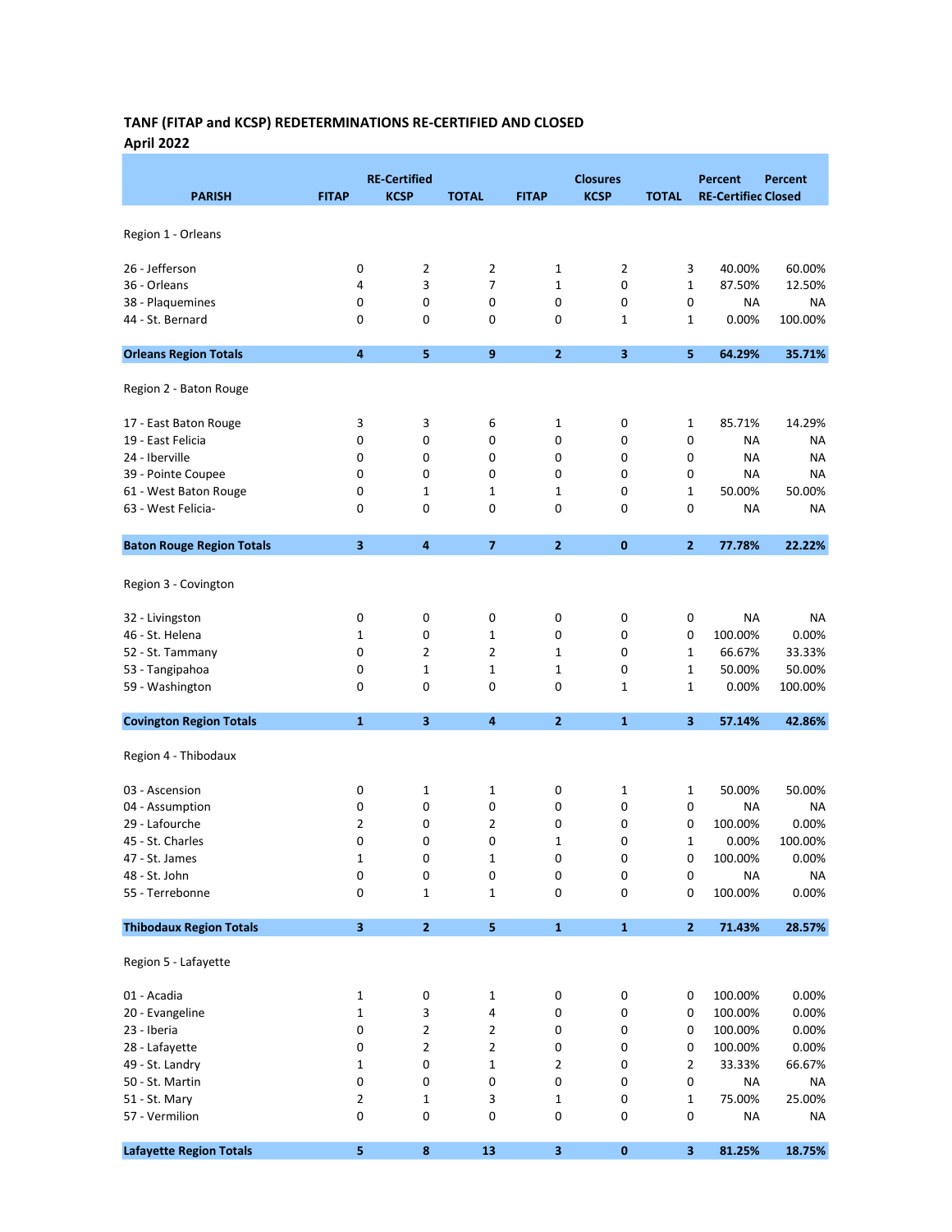# TANF (FITAP and KCSP) REDETERMINATIONS RE-CERTIFIED AND CLOSED April 2022

|                                  |                         | <b>RE-Certified</b> |                |                | <b>Closures</b> |              | Percent                    | Percent   |
|----------------------------------|-------------------------|---------------------|----------------|----------------|-----------------|--------------|----------------------------|-----------|
| <b>PARISH</b>                    | <b>FITAP</b>            | <b>KCSP</b>         | <b>TOTAL</b>   | <b>FITAP</b>   | <b>KCSP</b>     | <b>TOTAL</b> | <b>RE-Certified Closed</b> |           |
|                                  |                         |                     |                |                |                 |              |                            |           |
| Region 1 - Orleans               |                         |                     |                |                |                 |              |                            |           |
| 26 - Jefferson                   | 0                       | $\overline{2}$      | $\overline{2}$ | 1              | 2               | 3            | 40.00%                     | 60.00%    |
| 36 - Orleans                     | 4                       | 3                   | $\overline{7}$ | 1              | 0               | 1            | 87.50%                     | 12.50%    |
| 38 - Plaquemines                 | 0                       | 0                   | 0              | 0              | 0               | 0            | ΝA                         | <b>NA</b> |
| 44 - St. Bernard                 | 0                       | 0                   | 0              | 0              | $\mathbf{1}$    | 1            | 0.00%                      | 100.00%   |
|                                  | $\overline{\mathbf{4}}$ | 5                   | 9              | $\overline{2}$ | 3               | 5            | 64.29%                     | 35.71%    |
| <b>Orleans Region Totals</b>     |                         |                     |                |                |                 |              |                            |           |
| Region 2 - Baton Rouge           |                         |                     |                |                |                 |              |                            |           |
| 17 - East Baton Rouge            | 3                       | 3                   | 6              | 1              | 0               | 1            | 85.71%                     | 14.29%    |
| 19 - East Felicia                | 0                       | 0                   | 0              | 0              | 0               | 0            | NA                         | <b>NA</b> |
| 24 - Iberville                   | 0                       | 0                   | 0              | 0              | 0               | 0            | NA                         | <b>NA</b> |
| 39 - Pointe Coupee               | 0                       | 0                   | 0              | 0              | 0               | 0            | NA                         | <b>NA</b> |
| 61 - West Baton Rouge            | 0                       | 1                   | $\mathbf 1$    | 1              | 0               | 1            | 50.00%                     | 50.00%    |
| 63 - West Felicia-               | 0                       | 0                   | 0              | 0              | 0               | $\pmb{0}$    | ΝA                         | <b>NA</b> |
| <b>Baton Rouge Region Totals</b> | 3                       | 4                   | 7              | $\overline{2}$ | 0               | $\mathbf{2}$ | 77.78%                     | 22.22%    |
|                                  |                         |                     |                |                |                 |              |                            |           |
| Region 3 - Covington             |                         |                     |                |                |                 |              |                            |           |
| 32 - Livingston                  | 0                       | 0                   | 0              | 0              | 0               | $\pmb{0}$    | <b>NA</b>                  | NA        |
| 46 - St. Helena                  | 1                       | 0                   | $\mathbf{1}$   | 0              | 0               | 0            | 100.00%                    | 0.00%     |
| 52 - St. Tammany                 | 0                       | 2                   | $\overline{2}$ | 1              | 0               | 1            | 66.67%                     | 33.33%    |
| 53 - Tangipahoa                  | 0                       | 1                   | $\mathbf 1$    | 1              | 0               | 1            | 50.00%                     | 50.00%    |
| 59 - Washington                  | 0                       | 0                   | 0              | 0              | 1               | 1            | 0.00%                      | 100.00%   |
| <b>Covington Region Totals</b>   | $\mathbf{1}$            | 3                   | 4              | $\overline{2}$ | $\mathbf{1}$    | 3            | 57.14%                     | 42.86%    |
| Region 4 - Thibodaux             |                         |                     |                |                |                 |              |                            |           |
| 03 - Ascension                   | 0                       | 1                   | 1              | 0              | 1               | 1            | 50.00%                     | 50.00%    |
| 04 - Assumption                  | 0                       | 0                   | 0              | 0              | 0               | $\pmb{0}$    | ΝA                         | <b>NA</b> |
| 29 - Lafourche                   | 2                       | 0                   | $\overline{2}$ | 0              | 0               | 0            | 100.00%                    | 0.00%     |
| 45 - St. Charles                 | 0                       | 0                   | 0              | $\mathbf 1$    | 0               | 1            | 0.00%                      | 100.00%   |
| 47 - St. James                   | 1                       | $\Omega$            | 1              | $\Omega$       | $\Omega$        | 0            | 100.00%                    | 0.00%     |
| 48 - St. John                    | 0                       | $\pmb{0}$           | 0              | 0              | 0               | 0            | <b>NA</b>                  | ΝA        |
| 55 - Terrebonne                  | 0                       | 1                   | $\mathbf{1}$   | 0              | 0               | 0            | 100.00%                    | 0.00%     |
| <b>Thibodaux Region Totals</b>   | 3                       | $\mathbf{2}$        | 5              | $\mathbf 1$    | $\mathbf{1}$    | $\mathbf{2}$ | 71.43%                     | 28.57%    |
| Region 5 - Lafayette             |                         |                     |                |                |                 |              |                            |           |
| 01 - Acadia                      | 1                       | 0                   | $\mathbf 1$    | 0              | 0               | 0            | 100.00%                    | 0.00%     |
| 20 - Evangeline                  | 1                       | 3                   | 4              | 0              | 0               | $\pmb{0}$    | 100.00%                    | 0.00%     |
| 23 - Iberia                      | 0                       | $\overline{2}$      | $\mathbf 2$    | 0              | 0               | $\pmb{0}$    | 100.00%                    | 0.00%     |
| 28 - Lafayette                   | 0                       | $\mathbf 2$         | $\mathbf 2$    | 0              | 0               | $\pmb{0}$    | 100.00%                    | 0.00%     |
| 49 - St. Landry                  | 1                       | $\pmb{0}$           | $\mathbf 1$    | 2              | 0               | 2            | 33.33%                     | 66.67%    |
| 50 - St. Martin                  | 0                       | $\pmb{0}$           | 0              | 0              | 0               | 0            | ΝA                         | <b>NA</b> |
| 51 - St. Mary                    | 2                       | 1                   | 3              | 1              | 0               | 1            | 75.00%                     | 25.00%    |
| 57 - Vermilion                   | 0                       | 0                   | 0              | 0              | 0               | 0            | ΝA                         | <b>NA</b> |
| <b>Lafayette Region Totals</b>   | 5                       | $\pmb{8}$           | 13             | 3              | $\pmb{0}$       | $\mathbf{3}$ | 81.25%                     | 18.75%    |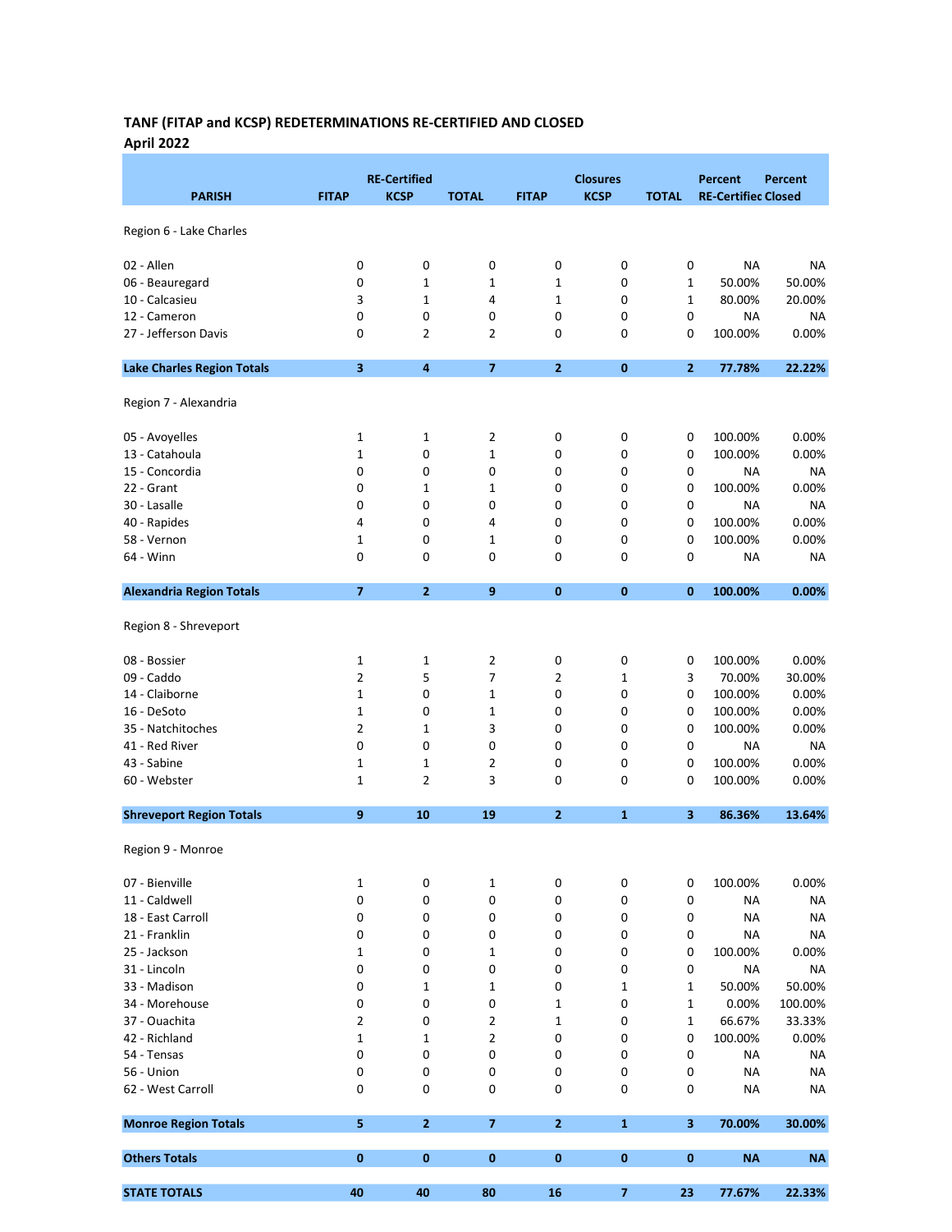# TANF (FITAP and KCSP) REDETERMINATIONS RE-CERTIFIED AND CLOSED April 2022

|                                   |                | <b>RE-Certified</b> |                                  |              | <b>Closures</b> |              | <b>Percent</b>             | Percent            |
|-----------------------------------|----------------|---------------------|----------------------------------|--------------|-----------------|--------------|----------------------------|--------------------|
| <b>PARISH</b>                     | <b>FITAP</b>   | <b>KCSP</b>         | <b>TOTAL</b>                     | <b>FITAP</b> | <b>KCSP</b>     | <b>TOTAL</b> | <b>RE-Certified Closed</b> |                    |
| Region 6 - Lake Charles           |                |                     |                                  |              |                 |              |                            |                    |
| 02 - Allen                        | 0              | 0                   | 0                                | 0            | 0               | 0            | ΝA                         | <b>NA</b>          |
| 06 - Beauregard                   | 0              | $\mathbf 1$         | $\mathbf{1}$                     | $\mathbf 1$  | 0               | 1            | 50.00%                     | 50.00%             |
| 10 - Calcasieu                    | 3              | $\mathbf{1}$        | 4                                | $\mathbf 1$  | 0               | 1            | 80.00%                     | 20.00%             |
| 12 - Cameron                      | 0              | 0                   | 0                                | 0            | 0               | 0            | ΝA                         | <b>NA</b>          |
| 27 - Jefferson Davis              | 0              | 2                   | $\overline{2}$                   | 0            | 0               | 0            | 100.00%                    | 0.00%              |
| <b>Lake Charles Region Totals</b> | 3              | $\pmb{4}$           | $\overline{7}$                   | $\mathbf{2}$ | 0               | 2            | 77.78%                     | 22.22%             |
| Region 7 - Alexandria             |                |                     |                                  |              |                 |              |                            |                    |
| 05 - Avoyelles                    | 1              | $\mathbf{1}$        | $\overline{2}$                   | 0            | 0               | 0            | 100.00%                    | 0.00%              |
| 13 - Catahoula                    | 1              | 0                   | $\mathbf 1$                      | 0            | 0               | 0            | 100.00%                    | 0.00%              |
| 15 - Concordia                    | 0              | 0                   | 0                                | 0            | 0               | 0            | NA                         | NA                 |
| 22 - Grant                        | 0              | 1                   | 1                                | 0            | 0               | 0            | 100.00%                    | 0.00%              |
| 30 - Lasalle                      | 0              | 0                   | 0                                | 0            | 0               | $\pmb{0}$    | NA                         | <b>NA</b>          |
| 40 - Rapides                      | 4              | 0                   | 4                                | 0            | 0               | 0            | 100.00%                    | 0.00%              |
| 58 - Vernon                       | 1              | 0                   | $\mathbf{1}$                     | 0            | 0               | 0            | 100.00%                    | 0.00%              |
| 64 - Winn                         | 0              | 0                   | 0                                | 0            | 0               | 0            | <b>NA</b>                  | <b>NA</b>          |
| <b>Alexandria Region Totals</b>   | $\overline{7}$ | $\overline{2}$      | 9                                | $\bf{0}$     | 0               | $\bf{0}$     | 100.00%                    | 0.00%              |
| Region 8 - Shreveport             |                |                     |                                  |              |                 |              |                            |                    |
| 08 - Bossier                      | 1              | 1                   | $\overline{2}$                   | 0            | 0               | 0            | 100.00%                    | 0.00%              |
| 09 - Caddo                        | 2              | 5                   | 7                                | 2            | $\mathbf{1}$    | 3            | 70.00%                     | 30.00%             |
| 14 - Claiborne                    | 1              | 0                   | 1                                | 0            | 0               | 0            | 100.00%                    | 0.00%              |
| 16 - DeSoto                       | 1              | 0                   | $\mathbf 1$                      | 0            | 0               | 0            | 100.00%                    | 0.00%              |
| 35 - Natchitoches                 | 2              | 1                   | 3                                | 0            | 0               | $\pmb{0}$    | 100.00%                    | 0.00%              |
| 41 - Red River                    | 0              | 0                   | 0                                | 0            | 0               | 0            | NA                         | <b>NA</b>          |
| 43 - Sabine                       | 1              | $\mathbf 1$         | $\overline{2}$                   | 0            | 0               | 0            | 100.00%                    | 0.00%              |
| 60 - Webster                      | 1              | $\overline{2}$      | 3                                | 0            | 0               | 0            | 100.00%                    | 0.00%              |
| <b>Shreveport Region Totals</b>   | $\mathbf{9}$   | 10                  | 19                               | $\mathbf{2}$ | $\mathbf{1}$    | 3            | 86.36%                     | 13.64%             |
| Region 9 - Monroe                 |                |                     |                                  |              |                 |              |                            |                    |
| 07 - Bienville                    | 1              | 0                   | 1                                | 0            | 0               | 0            | 100.00%                    | 0.00%              |
| 11 - Caldwell                     | 0              | 0                   | 0                                | 0            | 0               | 0            | ΝA                         | <b>NA</b>          |
| 18 - East Carroll                 | 0              | 0                   | 0                                | 0            | 0               | 0            | <b>NA</b>                  | <b>NA</b>          |
| 21 - Franklin                     | 0              | 0                   | 0                                | 0            | 0               | 0            | ΝA                         | <b>NA</b>          |
| 25 - Jackson                      | 1              | 0                   | $\mathbf 1$                      | 0            | 0               | 0            | 100.00%                    | 0.00%              |
| 31 - Lincoln                      | 0              | 0                   | 0                                | 0            | 0               | 0            | ΝA                         | <b>NA</b>          |
| 33 - Madison                      | 0              | 1                   | 1                                | 0            | 1               | 1            | 50.00%                     | 50.00%             |
| 34 - Morehouse                    | 0              | 0                   | 0                                | $\mathbf 1$  | 0               | 1            | 0.00%<br>66.67%            | 100.00%            |
| 37 - Ouachita                     | 2              | 0                   | $\overline{2}$<br>$\overline{2}$ | 1            | 0               | 1            |                            | 33.33%             |
| 42 - Richland<br>54 - Tensas      | 1<br>0         | 1<br>0              | 0                                | 0<br>0       | 0<br>0          | 0<br>0       | 100.00%<br><b>NA</b>       | 0.00%<br><b>NA</b> |
| 56 - Union                        | 0              | 0                   | 0                                | 0            | 0               | 0            | NA                         | <b>NA</b>          |
| 62 - West Carroll                 | 0              | $\pmb{0}$           | 0                                | 0            | 0               | 0            | <b>NA</b>                  | <b>NA</b>          |
| <b>Monroe Region Totals</b>       | 5              | $\overline{2}$      | $\overline{\mathbf{z}}$          | $\mathbf{2}$ | $\mathbf{1}$    | 3            | 70.00%                     | 30.00%             |
| <b>Others Totals</b>              | $\bf{0}$       | $\pmb{0}$           | $\bf{0}$                         | 0            | 0               | 0            | <b>NA</b>                  | <b>NA</b>          |
| <b>STATE TOTALS</b>               | 40             | 40                  | 80                               | 16           | $\overline{7}$  | 23           | 77.67%                     | 22.33%             |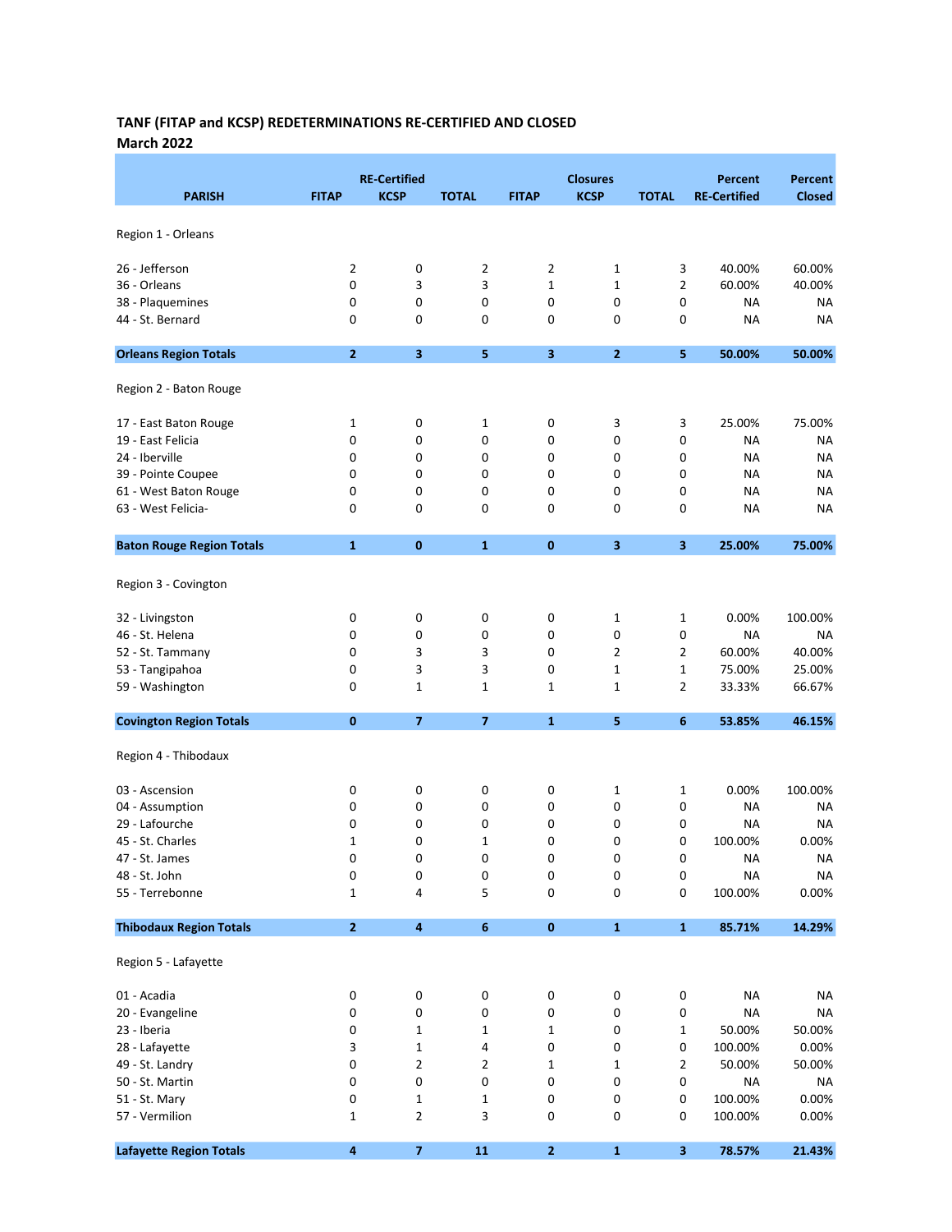#### TANF (FITAP and KCSP) REDETERMINATIONS RE-CERTIFIED AND CLOSED March 2022

|                                  |                  | <b>RE-Certified</b> |                         |              | <b>Closures</b>         |                | <b>Percent</b>      | Percent       |
|----------------------------------|------------------|---------------------|-------------------------|--------------|-------------------------|----------------|---------------------|---------------|
| <b>PARISH</b>                    | <b>FITAP</b>     | <b>KCSP</b>         | <b>TOTAL</b>            | <b>FITAP</b> | <b>KCSP</b>             | <b>TOTAL</b>   | <b>RE-Certified</b> | <b>Closed</b> |
| Region 1 - Orleans               |                  |                     |                         |              |                         |                |                     |               |
|                                  |                  |                     |                         |              |                         |                |                     |               |
| 26 - Jefferson                   | $\overline{2}$   | 0                   | 2                       | 2            | 1                       | 3              | 40.00%              | 60.00%        |
| 36 - Orleans                     | 0                | 3                   | 3                       | $\mathbf{1}$ | $\mathbf 1$             | 2              | 60.00%              | 40.00%        |
| 38 - Plaquemines                 | 0                | 0                   | 0                       | 0            | 0                       | 0              | <b>NA</b>           | NA            |
| 44 - St. Bernard                 | 0                | 0                   | 0                       | 0            | 0                       | 0              | <b>NA</b>           | <b>NA</b>     |
| <b>Orleans Region Totals</b>     | $\overline{2}$   | 3                   | 5                       | 3            | $\overline{2}$          | 5              | 50.00%              | 50.00%        |
| Region 2 - Baton Rouge           |                  |                     |                         |              |                         |                |                     |               |
| 17 - East Baton Rouge            | 1                | 0                   | 1                       | 0            | 3                       | 3              | 25.00%              | 75.00%        |
| 19 - East Felicia                | 0                | 0                   | 0                       | 0            | 0                       | 0              | <b>NA</b>           | NA            |
| 24 - Iberville                   | 0                | 0                   | 0                       | 0            | 0                       | 0              | <b>NA</b>           | NA            |
| 39 - Pointe Coupee               | 0                | 0                   | 0                       | 0            | 0                       | 0              | <b>NA</b>           | <b>NA</b>     |
| 61 - West Baton Rouge            | 0                | 0                   | 0                       | 0            | 0                       | 0              | <b>NA</b>           | NA            |
| 63 - West Felicia-               | 0                | 0                   | 0                       | 0            | 0                       | 0              | <b>NA</b>           | <b>NA</b>     |
| <b>Baton Rouge Region Totals</b> | $\mathbf{1}$     | $\bf{0}$            | $\mathbf{1}$            | $\bf{0}$     | $\overline{\mathbf{3}}$ | 3              | 25.00%              | 75.00%        |
|                                  |                  |                     |                         |              |                         |                |                     |               |
| Region 3 - Covington             |                  |                     |                         |              |                         |                |                     |               |
| 32 - Livingston                  | 0                | 0                   | 0                       | 0            | 1                       | $\mathbf{1}$   | 0.00%               | 100.00%       |
| 46 - St. Helena                  | 0                | 0                   | 0                       | 0            | 0                       | 0              | <b>NA</b>           | NA            |
| 52 - St. Tammany                 | 0                | 3                   | 3                       | 0            | $\overline{2}$          | 2              | 60.00%              | 40.00%        |
| 53 - Tangipahoa                  | 0                | 3                   | 3                       | 0            | $\mathbf 1$             | 1              | 75.00%              | 25.00%        |
| 59 - Washington                  | $\mathbf 0$      | 1                   | 1                       | $\mathbf 1$  | 1                       | 2              | 33.33%              | 66.67%        |
| <b>Covington Region Totals</b>   | $\bf{0}$         | $\overline{7}$      | $\overline{\mathbf{z}}$ | $\mathbf{1}$ | 5                       | $6\phantom{1}$ | 53.85%              | 46.15%        |
| Region 4 - Thibodaux             |                  |                     |                         |              |                         |                |                     |               |
| 03 - Ascension                   | 0                | 0                   | 0                       | 0            | 1                       | 1              | 0.00%               | 100.00%       |
| 04 - Assumption                  | 0                | 0                   | 0                       | 0            | 0                       | 0              | <b>NA</b>           | NA            |
| 29 - Lafourche                   | 0                | 0                   | 0                       | 0            | 0                       | 0              | <b>NA</b>           | <b>NA</b>     |
| 45 - St. Charles                 | 1                | 0                   | 1                       | 0            | 0                       | 0              | 100.00%             | 0.00%         |
| 47 - St. James                   | 0                | 0                   | 0                       | 0            | 0                       | 0              | <b>NA</b>           | <b>NA</b>     |
| 48 - St. John                    | 0                | 0                   | 0                       | 0            | 0                       | 0              | <b>NA</b>           | <b>NA</b>     |
| 55 - Terrebonne                  | 1                | 4                   | 5                       | 0            | 0                       | 0              | 100.00%             | 0.00%         |
| <b>Thibodaux Region Totals</b>   | $\overline{2}$   | 4                   | $\boldsymbol{6}$        | 0            | $\mathbf 1$             | ${\bf 1}$      | 85.71%              | 14.29%        |
| Region 5 - Lafayette             |                  |                     |                         |              |                         |                |                     |               |
| 01 - Acadia                      |                  |                     |                         |              |                         |                | <b>NA</b>           | <b>NA</b>     |
|                                  | $\pmb{0}$<br>0   | 0                   | 0                       | 0            | 0                       | $\pmb{0}$      | <b>NA</b>           |               |
| 20 - Evangeline                  |                  | 0                   | 0                       | 0            | 0                       | 0              |                     | <b>NA</b>     |
| 23 - Iberia                      | 0                | 1                   | 1                       | 1            | 0                       | 1              | 50.00%              | 50.00%        |
| 28 - Lafayette                   | 3                | $\mathbf 1$         | 4                       | 0            | 0                       | 0              | 100.00%             | 0.00%         |
| 49 - St. Landry                  | 0                | 2                   | $\overline{2}$          | $\mathbf 1$  | $\mathbf 1$             | $\overline{2}$ | 50.00%              | 50.00%        |
| 50 - St. Martin                  | 0                | 0                   | 0                       | 0            | 0                       | 0              | <b>NA</b>           | <b>NA</b>     |
| 51 - St. Mary                    | 0                | 1                   | 1                       | 0            | 0                       | 0              | 100.00%             | 0.00%         |
| 57 - Vermilion                   | $\mathbf{1}$     | $\overline{2}$      | 3                       | 0            | 0                       | 0              | 100.00%             | 0.00%         |
| <b>Lafayette Region Totals</b>   | $\boldsymbol{4}$ | $\overline{7}$      | 11                      | $\mathbf{2}$ | $\mathbf{1}$            | $\mathbf{3}$   | 78.57%              | 21.43%        |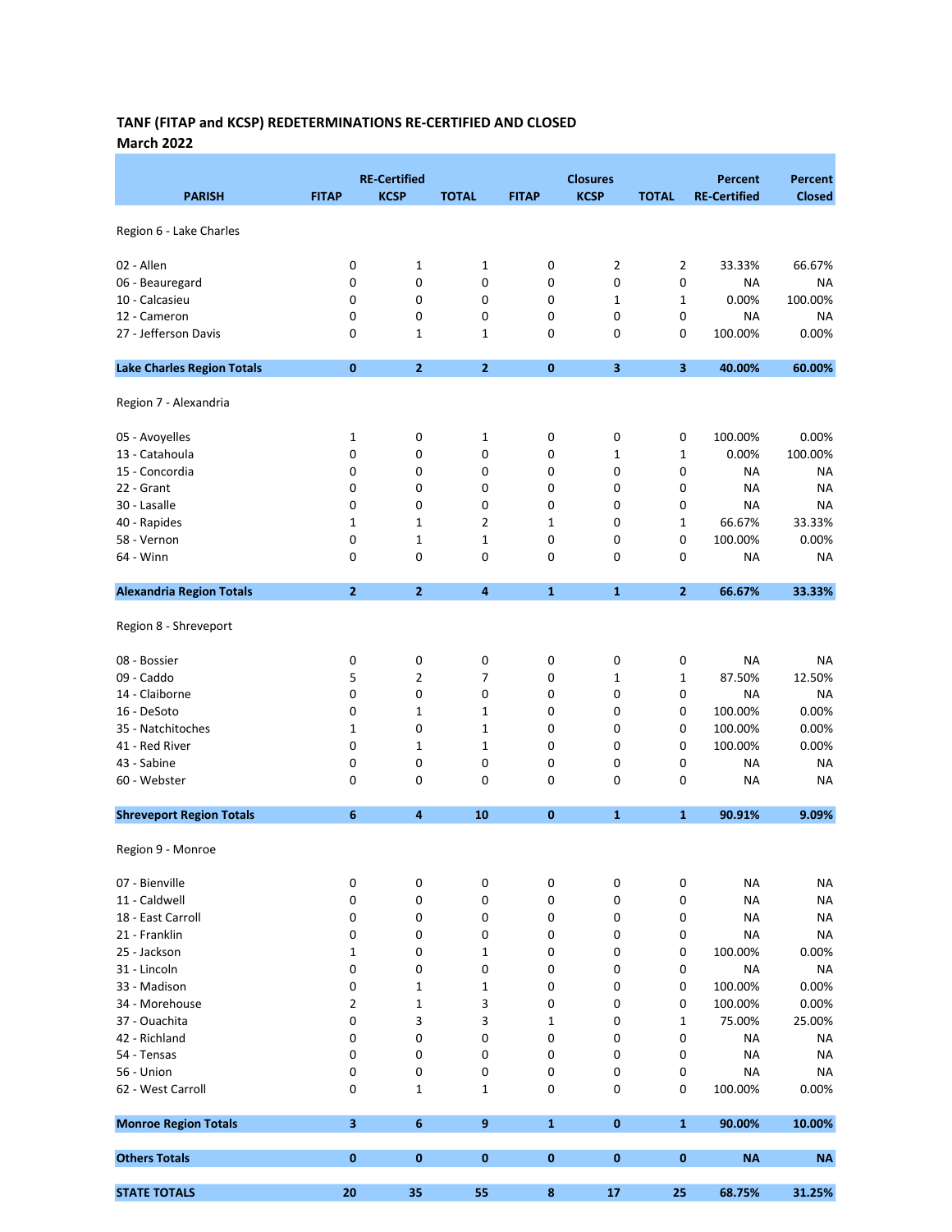#### TANF (FITAP and KCSP) REDETERMINATIONS RE-CERTIFIED AND CLOSED March 2022

|                                      |                         | <b>RE-Certified</b> |                  |              | <b>Closures</b>         |                | <b>Percent</b>      | <b>Percent</b>       |
|--------------------------------------|-------------------------|---------------------|------------------|--------------|-------------------------|----------------|---------------------|----------------------|
| <b>PARISH</b>                        | <b>FITAP</b>            | <b>KCSP</b>         | <b>TOTAL</b>     | <b>FITAP</b> | <b>KCSP</b>             | <b>TOTAL</b>   | <b>RE-Certified</b> | <b>Closed</b>        |
| Region 6 - Lake Charles              |                         |                     |                  |              |                         |                |                     |                      |
|                                      |                         |                     |                  |              |                         |                |                     |                      |
| 02 - Allen                           | 0                       | $\mathbf 1$         | $\mathbf 1$      | 0            | 2                       | $\overline{2}$ | 33.33%              | 66.67%               |
| 06 - Beauregard                      | 0                       | 0                   | 0                | 0            | 0                       | 0              | NA                  | NA                   |
| 10 - Calcasieu                       | 0<br>0                  | 0<br>0              | 0                | 0<br>0       | $\mathbf 1$<br>0        | 1<br>0         | 0.00%               | 100.00%<br><b>NA</b> |
| 12 - Cameron<br>27 - Jefferson Davis |                         |                     | 0                | 0            |                         |                | NA                  | 0.00%                |
|                                      | 0                       | 1                   | 1                |              | 0                       | 0              | 100.00%             |                      |
| <b>Lake Charles Region Totals</b>    | $\bf{0}$                | $\overline{2}$      | $\overline{2}$   | $\bf{0}$     | $\overline{\mathbf{3}}$ | 3              | 40.00%              | 60.00%               |
| Region 7 - Alexandria                |                         |                     |                  |              |                         |                |                     |                      |
| 05 - Avoyelles                       | 1                       | 0                   | 1                | 0            | 0                       | 0              | 100.00%             | 0.00%                |
| 13 - Catahoula                       | 0                       | 0                   | 0                | 0            | 1                       | 1              | 0.00%               | 100.00%              |
| 15 - Concordia                       | 0                       | 0                   | 0                | 0            | 0                       | 0              | NA                  | NA                   |
| 22 - Grant                           | 0                       | 0                   | 0                | 0            | 0                       | 0              | <b>NA</b>           | NA                   |
| 30 - Lasalle                         | 0                       | 0                   | 0                | 0            | 0                       | 0              | <b>NA</b>           | <b>NA</b>            |
| 40 - Rapides                         | 1                       | 1                   | 2                | 1            | 0                       | 1              | 66.67%              | 33.33%               |
| 58 - Vernon                          | 0                       | $\mathbf 1$         | 1                | 0            | 0                       | 0              | 100.00%             | 0.00%                |
| 64 - Winn                            | 0                       | 0                   | 0                | 0            | 0                       | 0              | ΝA                  | NA                   |
| <b>Alexandria Region Totals</b>      | $\mathbf{2}$            | $\mathbf{2}$        | 4                | $\mathbf{1}$ | $\mathbf{1}$            | $\mathbf{2}$   | 66.67%              | 33.33%               |
| Region 8 - Shreveport                |                         |                     |                  |              |                         |                |                     |                      |
| 08 - Bossier                         | 0                       | 0                   | $\pmb{0}$        | 0            | 0                       | 0              | NA                  | NA                   |
| 09 - Caddo                           | 5                       | 2                   | 7                | 0            | 1                       | 1              | 87.50%              | 12.50%               |
| 14 - Claiborne                       | 0                       | 0                   | 0                | 0            | 0                       | 0              | <b>NA</b>           | NA                   |
| 16 - DeSoto                          | 0                       | 1                   | 1                | 0            | 0                       | 0              | 100.00%             | 0.00%                |
| 35 - Natchitoches                    | 1                       | 0                   | $\mathbf 1$      | 0            | 0                       | 0              | 100.00%             | 0.00%                |
| 41 - Red River                       | 0                       | $\mathbf 1$         | 1                | 0            | 0                       | 0              | 100.00%             | 0.00%                |
| 43 - Sabine                          | 0                       | 0                   | 0                | 0            | 0                       | 0              | NA                  | NA                   |
| 60 - Webster                         | 0                       | 0                   | 0                | 0            | 0                       | 0              | <b>NA</b>           | NA                   |
| <b>Shreveport Region Totals</b>      | 6                       | 4                   | 10               | 0            | $\mathbf{1}$            | $\mathbf{1}$   | 90.91%              | 9.09%                |
|                                      |                         |                     |                  |              |                         |                |                     |                      |
| Region 9 - Monroe                    |                         |                     |                  |              |                         |                |                     |                      |
| 07 - Bienville                       | 0                       | 0                   | 0                | 0            | 0                       | 0              | ΝA                  | <b>NA</b>            |
| 11 - Caldwell                        | 0                       | 0                   | 0                | 0            | 0                       | 0              | <b>NA</b>           | <b>NA</b>            |
| 18 - East Carroll                    | 0                       | 0                   | 0                | 0            | 0                       | 0              | <b>NA</b>           | <b>NA</b>            |
| 21 - Franklin                        | 0                       | 0                   | 0                | 0            | 0                       | 0              | <b>NA</b>           | <b>NA</b>            |
| 25 - Jackson                         | 1                       | 0                   | 1                | 0            | 0                       | 0              | 100.00%             | 0.00%                |
| 31 - Lincoln                         | 0                       | 0                   | 0                | 0            | 0                       | 0              | <b>NA</b>           | <b>NA</b>            |
| 33 - Madison                         | 0                       | $\mathbf 1$         | 1                | 0            | 0                       | 0              | 100.00%             | 0.00%                |
| 34 - Morehouse                       | $\overline{2}$          | 1                   | 3                | 0            | 0                       | 0              | 100.00%             | 0.00%                |
| 37 - Ouachita                        | 0                       | 3                   | 3                | 1            | 0                       | $\mathbf{1}$   | 75.00%              | 25.00%               |
| 42 - Richland                        | 0                       | $\pmb{0}$           | 0                | 0            | 0                       | 0              | <b>NA</b>           | <b>NA</b>            |
| 54 - Tensas                          | 0                       | 0                   | 0                | 0            | 0                       | 0              | NA                  | <b>NA</b>            |
| 56 - Union                           | 0                       | $\pmb{0}$           | 0                | 0            | 0                       | 0              | <b>NA</b>           | <b>NA</b>            |
| 62 - West Carroll                    | 0                       | $\mathbf 1$         | $\mathbf 1$      | 0            | 0                       | 0              | 100.00%             | 0.00%                |
| <b>Monroe Region Totals</b>          | $\overline{\mathbf{3}}$ | 6                   | $\boldsymbol{9}$ | $\mathbf{1}$ | $\mathbf{0}$            | $\mathbf{1}$   | 90.00%              | 10.00%               |
| <b>Others Totals</b>                 | 0                       | $\bf{0}$            | 0                | 0            | 0                       | 0              | <b>NA</b>           | <b>NA</b>            |
| <b>STATE TOTALS</b>                  | 20                      | 35                  | 55               | 8            | 17                      | 25             | 68.75%              | 31.25%               |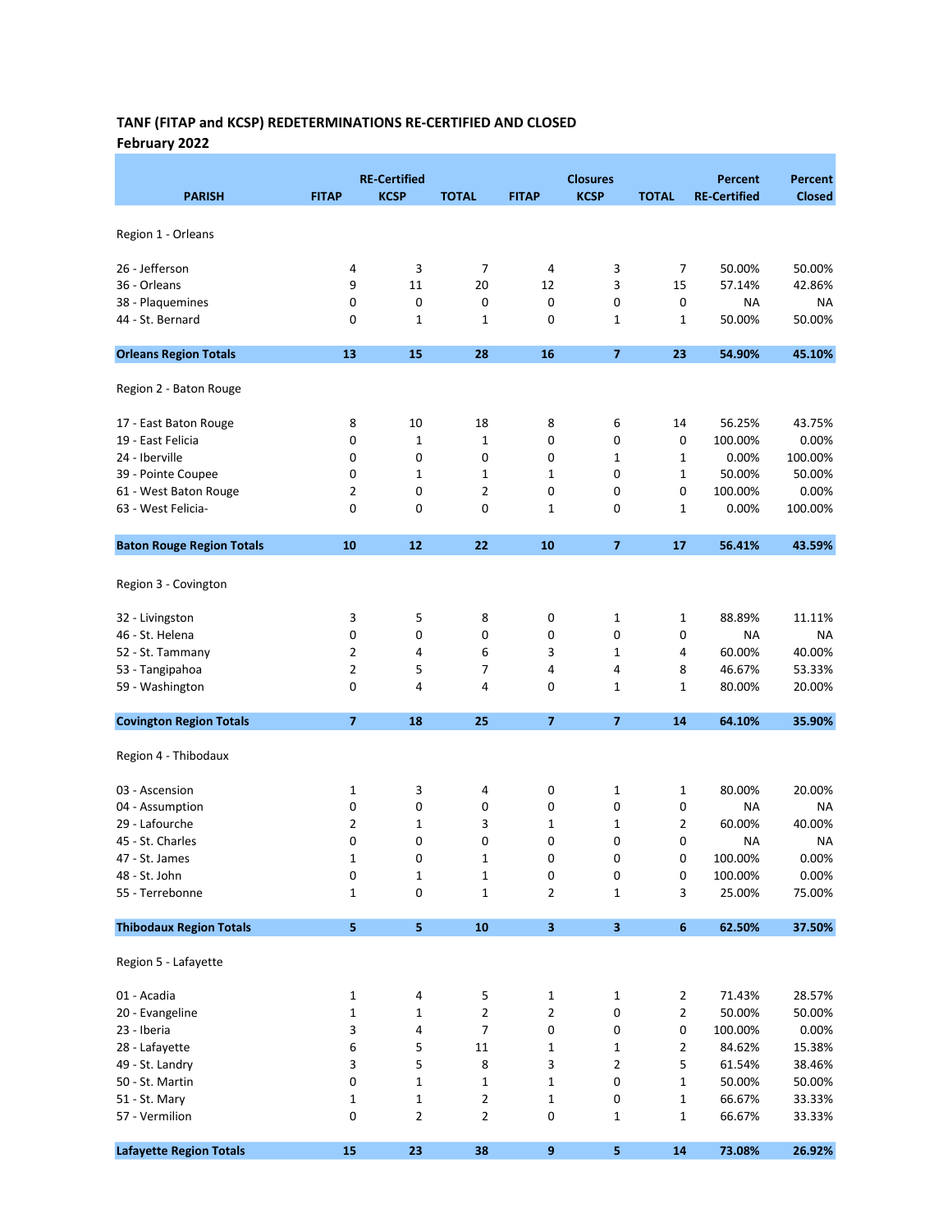## TANF (FITAP and KCSP) REDETERMINATIONS RE-CERTIFIED AND CLOSED February 2022

| <b>PARISH</b>                    | <b>FITAP</b>   | <b>RE-Certified</b><br><b>KCSP</b> | <b>TOTAL</b> | <b>FITAP</b>            | <b>Closures</b><br><b>KCSP</b> | <b>TOTAL</b>     | <b>Percent</b><br><b>RE-Certified</b> | <b>Percent</b><br><b>Closed</b> |
|----------------------------------|----------------|------------------------------------|--------------|-------------------------|--------------------------------|------------------|---------------------------------------|---------------------------------|
| Region 1 - Orleans               |                |                                    |              |                         |                                |                  |                                       |                                 |
| 26 - Jefferson                   | 4              | 3                                  | 7            | 4                       | 3                              | 7                | 50.00%                                | 50.00%                          |
| 36 - Orleans                     | 9              | 11                                 | 20           | 12                      | 3                              | 15               | 57.14%                                | 42.86%                          |
| 38 - Plaquemines                 | 0              | 0                                  | 0            | 0                       | 0                              | 0                | NA                                    | NA                              |
| 44 - St. Bernard                 | 0              | 1                                  | 1            | 0                       | 1                              | 1                | 50.00%                                | 50.00%                          |
|                                  |                |                                    |              |                         |                                |                  |                                       |                                 |
| <b>Orleans Region Totals</b>     | 13             | 15                                 | 28           | 16                      | $\overline{ }$                 | 23               | 54.90%                                | 45.10%                          |
| Region 2 - Baton Rouge           |                |                                    |              |                         |                                |                  |                                       |                                 |
| 17 - East Baton Rouge            | 8              | 10                                 | 18           | 8                       | 6                              | 14               | 56.25%                                | 43.75%                          |
| 19 - East Felicia                | 0              | 1                                  | 1            | 0                       | 0                              | $\pmb{0}$        | 100.00%                               | 0.00%                           |
| 24 - Iberville                   | 0              | 0                                  | 0            | 0                       | 1                              | 1                | 0.00%                                 | 100.00%                         |
| 39 - Pointe Coupee               | 0              | 1                                  | 1            | 1                       | 0                              | 1                | 50.00%                                | 50.00%                          |
| 61 - West Baton Rouge            | 2              | 0                                  | 2            | 0                       | 0                              | 0                | 100.00%                               | 0.00%                           |
| 63 - West Felicia-               | 0              | 0                                  | 0            | $\mathbf{1}$            | 0                              | 1                | 0.00%                                 | 100.00%                         |
| <b>Baton Rouge Region Totals</b> | 10             | 12                                 | 22           | 10                      | $\overline{7}$                 | 17               | 56.41%                                | 43.59%                          |
| Region 3 - Covington             |                |                                    |              |                         |                                |                  |                                       |                                 |
| 32 - Livingston                  | 3              | 5                                  | 8            | 0                       | 1                              | 1                | 88.89%                                | 11.11%                          |
| 46 - St. Helena                  | 0              | 0                                  | 0            | 0                       | 0                              | 0                | NA                                    | NA                              |
| 52 - St. Tammany                 | 2              | 4                                  | 6            | 3                       | 1                              | 4                | 60.00%                                | 40.00%                          |
| 53 - Tangipahoa                  | 2              | 5                                  | 7            | 4                       | 4                              | 8                | 46.67%                                | 53.33%                          |
| 59 - Washington                  | 0              | 4                                  | 4            | 0                       | 1                              | 1                | 80.00%                                | 20.00%                          |
| <b>Covington Region Totals</b>   | $\overline{7}$ | 18                                 | 25           | $\overline{7}$          | $\overline{7}$                 | 14               | 64.10%                                | 35.90%                          |
| Region 4 - Thibodaux             |                |                                    |              |                         |                                |                  |                                       |                                 |
| 03 - Ascension                   | 1              | 3                                  | 4            | 0                       | 1                              | 1                | 80.00%                                | 20.00%                          |
| 04 - Assumption                  | 0              | 0                                  | 0            | 0                       | 0                              | 0                | NA                                    | NA                              |
| 29 - Lafourche                   | $\overline{2}$ | $\mathbf 1$                        | 3            | $\mathbf{1}$            | $\mathbf 1$                    | 2                | 60.00%                                | 40.00%                          |
| 45 - St. Charles                 | 0              | 0                                  | 0            | 0                       | 0                              | 0                | NA                                    | NA                              |
| 47 - St. James                   | 1              | 0                                  | 1            | 0                       | 0                              | 0                | 100.00%                               | 0.00%                           |
| 48 - St. John                    | 0              | 1                                  | 1            | 0                       | 0                              | 0                | 100.00%                               | 0.00%                           |
| 55 - Terrebonne                  | 1              | 0                                  | $\mathbf 1$  | $\overline{2}$          | 1                              | 3                | 25.00%                                | 75.00%                          |
| <b>Thibodaux Region Totals</b>   | ${\sf s}$      | ${\sf s}$                          | ${\bf 10}$   | $\overline{\mathbf{3}}$ | $\overline{\mathbf{3}}$        | $\boldsymbol{6}$ | 62.50%                                | 37.50%                          |
| Region 5 - Lafayette             |                |                                    |              |                         |                                |                  |                                       |                                 |
| 01 - Acadia                      | $\mathbf{1}$   | 4                                  | 5            | 1                       | $\mathbf{1}$                   | $\overline{2}$   | 71.43%                                | 28.57%                          |
| 20 - Evangeline                  | 1              | $\mathbf 1$                        | $\mathbf{2}$ | $\overline{2}$          | 0                              | $\overline{2}$   | 50.00%                                | 50.00%                          |
| 23 - Iberia                      | 3              | 4                                  | 7            | 0                       | 0                              | 0                | 100.00%                               | 0.00%                           |
| 28 - Lafayette                   | 6              | 5                                  | 11           | $\mathbf{1}$            | $\mathbf{1}$                   | 2                | 84.62%                                | 15.38%                          |
| 49 - St. Landry                  | 3              | 5                                  | 8            | 3                       | $\mathbf 2$                    | 5                | 61.54%                                | 38.46%                          |
| 50 - St. Martin                  | 0              | $\mathbf 1$                        | $\mathbf 1$  | $\mathbf{1}$            | 0                              | 1                | 50.00%                                | 50.00%                          |
| 51 - St. Mary                    | 1              | $\mathbf 1$                        | 2            | $\mathbf{1}$            | 0                              | 1                | 66.67%                                | 33.33%                          |
| 57 - Vermilion                   | 0              | 2                                  | $\mathbf{2}$ | 0                       | 1                              | 1                | 66.67%                                | 33.33%                          |
| <b>Lafayette Region Totals</b>   | 15             | 23                                 | 38           | 9                       | $\overline{\mathbf{5}}$        | 14               | 73.08%                                | 26.92%                          |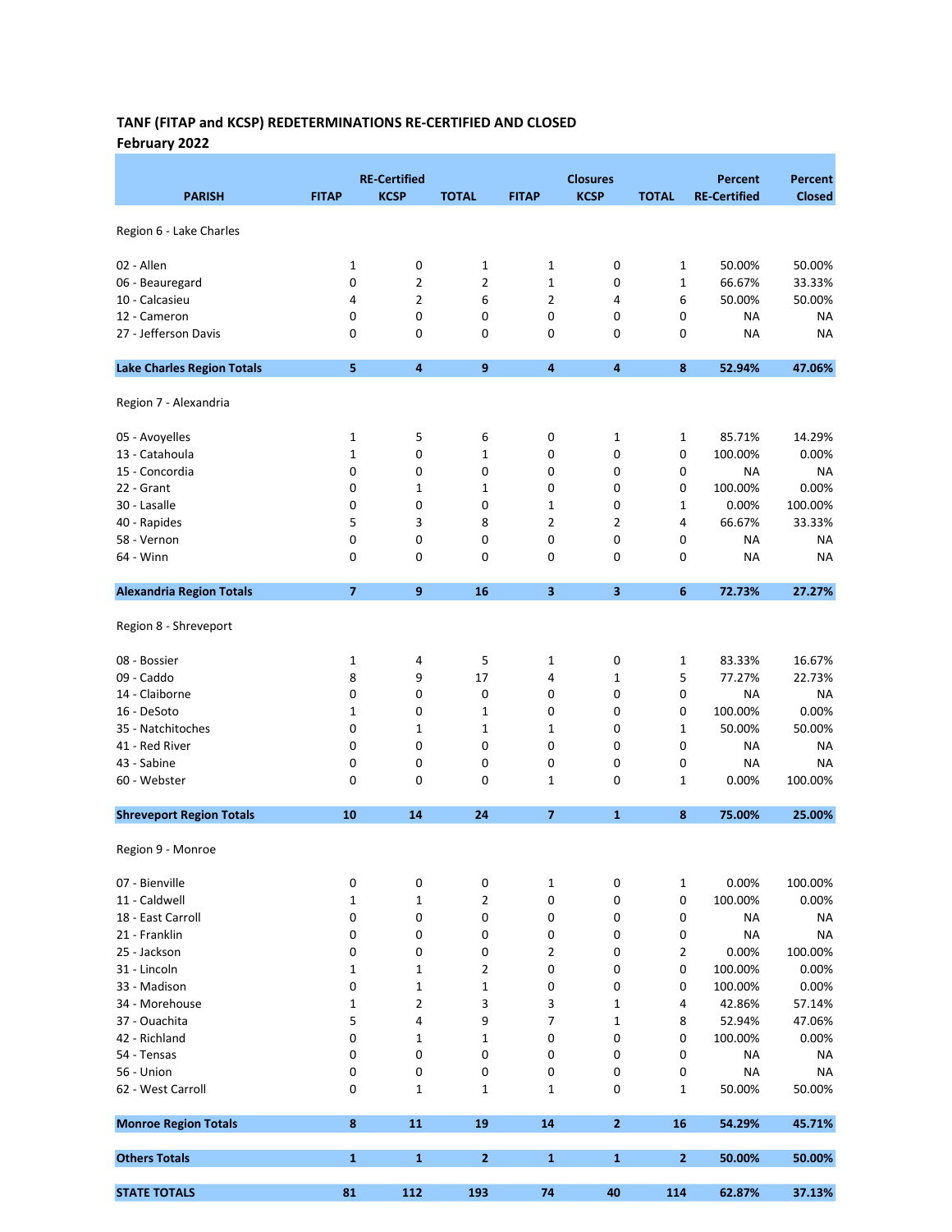# TANF (FITAP and KCSP) REDETERMINATIONS RE-CERTIFIED AND CLOSED February 2022

|                                   |                | <b>RE-Certified</b> |                  |                         | <b>Closures</b>         |              | <b>Percent</b>      | <b>Percent</b> |
|-----------------------------------|----------------|---------------------|------------------|-------------------------|-------------------------|--------------|---------------------|----------------|
| <b>PARISH</b>                     | <b>FITAP</b>   | <b>KCSP</b>         | <b>TOTAL</b>     | <b>FITAP</b>            | <b>KCSP</b>             | <b>TOTAL</b> | <b>RE-Certified</b> | <b>Closed</b>  |
|                                   |                |                     |                  |                         |                         |              |                     |                |
| Region 6 - Lake Charles           |                |                     |                  |                         |                         |              |                     |                |
| 02 - Allen                        | 1              | 0                   | $\mathbf 1$      | 1                       | 0                       | $\mathbf{1}$ | 50.00%              | 50.00%         |
| 06 - Beauregard                   | 0              | 2                   | $\overline{2}$   | $\mathbf 1$             | 0                       | $\mathbf{1}$ | 66.67%              | 33.33%         |
| 10 - Calcasieu                    | 4              | 2                   | 6                | $\overline{2}$          | 4                       | 6            | 50.00%              | 50.00%         |
| 12 - Cameron                      | 0              | $\mathbf 0$         | 0                | 0                       | 0                       | 0            | ΝA                  | NA             |
| 27 - Jefferson Davis              | 0              | 0                   | 0                | 0                       | 0                       | 0            | <b>NA</b>           | NA             |
| <b>Lake Charles Region Totals</b> | 5              | 4                   | $\boldsymbol{9}$ | 4                       | $\overline{\mathbf{4}}$ | 8            | 52.94%              | 47.06%         |
|                                   |                |                     |                  |                         |                         |              |                     |                |
| Region 7 - Alexandria             |                |                     |                  |                         |                         |              |                     |                |
| 05 - Avoyelles                    | 1              | 5                   | 6                | 0                       | 1                       | 1            | 85.71%              | 14.29%         |
| 13 - Catahoula                    | $\mathbf{1}$   | 0                   | 1                | 0                       | 0                       | 0            | 100.00%             | 0.00%          |
| 15 - Concordia                    | 0              | 0                   | 0                | 0                       | 0                       | 0            | NA                  | NA             |
| 22 - Grant                        | 0              | $\mathbf 1$         | 1                | 0                       | 0                       | 0            | 100.00%             | 0.00%          |
| 30 - Lasalle                      | 0              | 0                   | 0                | $\mathbf 1$             | 0                       | $\mathbf{1}$ | 0.00%               | 100.00%        |
| 40 - Rapides                      | 5              | 3                   | 8                | 2                       | 2                       | 4            | 66.67%              | 33.33%         |
| 58 - Vernon                       | 0              | 0                   | 0                | 0                       | 0                       | 0            | <b>NA</b>           | NA             |
| 64 - Winn                         | 0              | 0                   | 0                | 0                       | 0                       | 0            | NA                  | NA             |
| <b>Alexandria Region Totals</b>   | $\overline{ }$ | 9                   | 16               | 3                       | 3                       | 6            | 72.73%              | 27.27%         |
|                                   |                |                     |                  |                         |                         |              |                     |                |
| Region 8 - Shreveport             |                |                     |                  |                         |                         |              |                     |                |
| 08 - Bossier                      | 1              | 4                   | 5                | 1                       | 0                       | 1            | 83.33%              | 16.67%         |
| 09 - Caddo                        | 8              | 9                   | 17               | 4                       | 1                       | 5            | 77.27%              | 22.73%         |
| 14 - Claiborne                    | 0              | 0                   | 0                | 0                       | 0                       | 0            | <b>NA</b>           | NA             |
| 16 - DeSoto                       | 1              | 0                   | 1                | 0                       | 0                       | 0            | 100.00%             | 0.00%          |
| 35 - Natchitoches                 | 0              | $\mathbf 1$         | 1                | $\mathbf 1$             | 0                       | 1            | 50.00%              | 50.00%         |
| 41 - Red River                    | 0              | 0                   | 0                | 0                       | 0                       | 0            | NA                  | <b>NA</b>      |
| 43 - Sabine                       | 0              | 0                   | 0                | 0                       | 0                       | 0            | <b>NA</b>           | NA             |
| 60 - Webster                      | 0              | $\mathbf 0$         | 0                | 1                       | 0                       | 1            | 0.00%               | 100.00%        |
| <b>Shreveport Region Totals</b>   | 10             | 14                  | 24               | $\overline{\mathbf{z}}$ | $\mathbf{1}$            | 8            | 75.00%              | 25.00%         |
|                                   |                |                     |                  |                         |                         |              |                     |                |
| Region 9 - Monroe                 |                |                     |                  |                         |                         |              |                     |                |
| 07 - Bienville                    | 0              | 0                   | 0                | 1                       | 0                       | $\mathbf{1}$ | 0.00%               | 100.00%        |
| 11 - Caldwell                     | 1              | 1                   | 2                | 0                       | 0                       | 0            | 100.00%             | 0.00%          |
| 18 - East Carroll                 | 0              | 0                   | 0                | 0                       | 0                       | 0            | ΝA                  | NA             |
| 21 - Franklin                     | 0              | 0                   | 0                | 0                       | 0                       | 0            | <b>NA</b>           | <b>NA</b>      |
| 25 - Jackson                      | 0              | 0                   | 0                | $\overline{2}$          | 0                       | 2            | 0.00%               | 100.00%        |
| 31 - Lincoln                      | 1              | $\mathbf 1$         | 2                | 0                       | 0                       | 0            | 100.00%             | 0.00%          |
| 33 - Madison                      | 0              | 1                   | 1                | 0                       | 0                       | 0            | 100.00%             | 0.00%          |
| 34 - Morehouse                    | 1              | 2                   | 3                | 3                       | 1                       | 4            | 42.86%              | 57.14%         |
| 37 - Ouachita                     | 5              | 4                   | 9                | 7                       | $\mathbf 1$             | 8            | 52.94%              | 47.06%         |
| 42 - Richland                     | 0              | $\mathbf 1$         | 1                | 0                       | 0                       | 0            | 100.00%             | 0.00%          |
| 54 - Tensas                       | 0              | 0                   | 0                | 0                       | 0                       | 0            | ΝA                  | NA             |
| 56 - Union                        | 0              | $\pmb{0}$           | 0                | 0                       | 0                       | 0            |                     | <b>NA</b>      |
| 62 - West Carroll                 | 0              | $\mathbf 1$         | $\mathbf 1$      | $\mathbf{1}$            | 0                       | 1            | <b>NA</b><br>50.00% | 50.00%         |
|                                   |                |                     |                  |                         |                         |              |                     |                |
| <b>Monroe Region Totals</b>       | $\bf8$         | 11                  | 19               | 14                      | $\overline{2}$          | 16           | 54.29%              | 45.71%         |
| <b>Others Totals</b>              | $\mathbf{1}$   | 1                   | $\mathbf{2}$     | $\mathbf{1}$            | $\mathbf{1}$            | $\mathbf{2}$ | 50.00%              | 50.00%         |
| <b>STATE TOTALS</b>               | 81             | 112                 | 193              | 74                      | 40                      | 114          | 62.87%              | 37.13%         |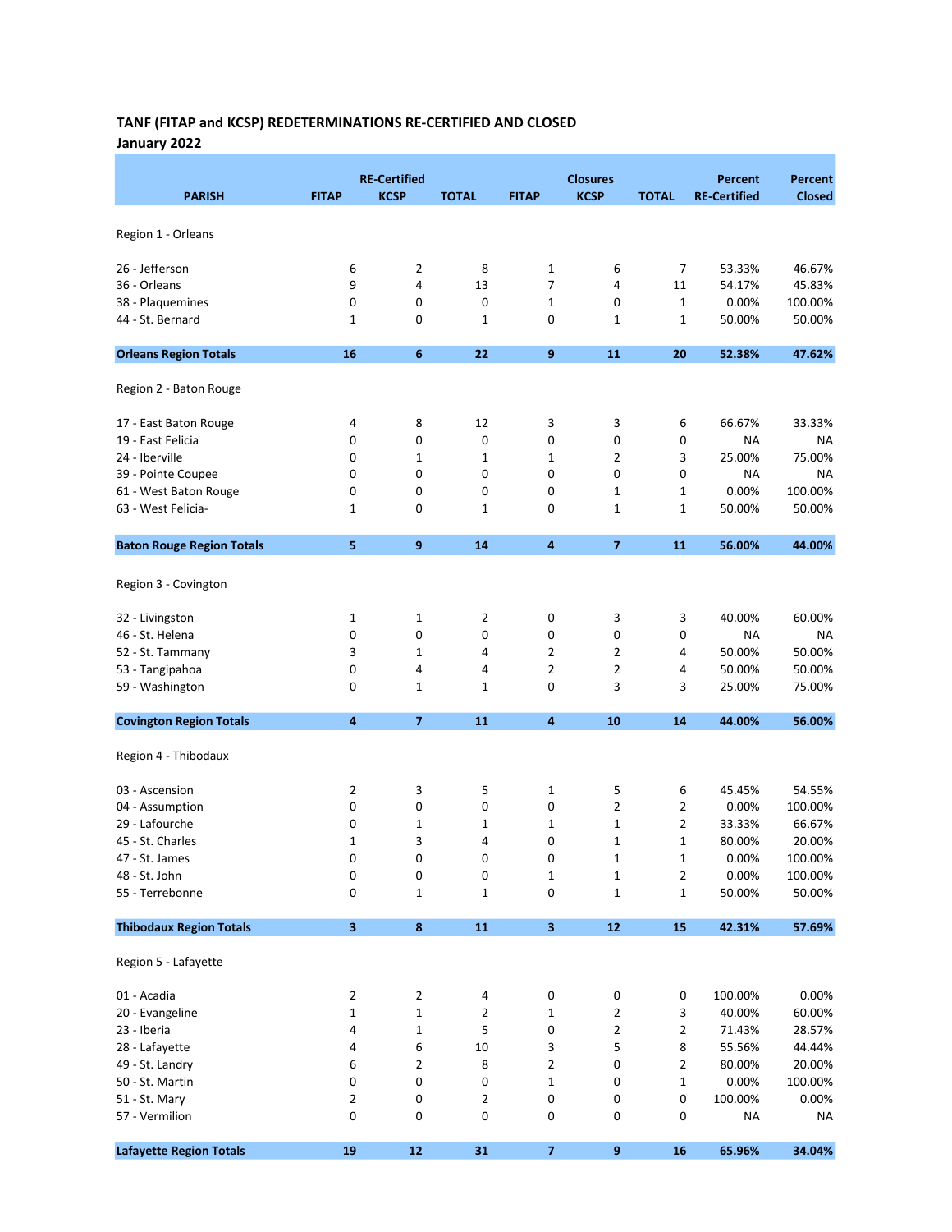## TANF (FITAP and KCSP) REDETERMINATIONS RE-CERTIFIED AND CLOSED January 2022

| <b>PARISH</b>                    | <b>FITAP</b>   | <b>RE-Certified</b><br><b>KCSP</b> | <b>TOTAL</b> | <b>FITAP</b>            | <b>Closures</b><br><b>KCSP</b> | <b>TOTAL</b>   | <b>Percent</b><br><b>RE-Certified</b> | <b>Percent</b><br><b>Closed</b> |
|----------------------------------|----------------|------------------------------------|--------------|-------------------------|--------------------------------|----------------|---------------------------------------|---------------------------------|
|                                  |                |                                    |              |                         |                                |                |                                       |                                 |
| Region 1 - Orleans               |                |                                    |              |                         |                                |                |                                       |                                 |
| 26 - Jefferson                   | 6              | 2                                  | 8            | 1                       | 6                              | 7              | 53.33%                                | 46.67%                          |
| 36 - Orleans                     | 9              | 4                                  | 13           | 7                       | 4                              | 11             | 54.17%                                | 45.83%                          |
| 38 - Plaquemines                 | $\mathbf 0$    | 0                                  | 0            | 1                       | 0                              | 1              | 0.00%                                 | 100.00%                         |
| 44 - St. Bernard                 | 1              | 0                                  | 1            | 0                       | 1                              | 1              | 50.00%                                | 50.00%                          |
| <b>Orleans Region Totals</b>     | 16             | $6\phantom{1}6$                    | 22           | 9                       | 11                             | 20             | 52.38%                                | 47.62%                          |
| Region 2 - Baton Rouge           |                |                                    |              |                         |                                |                |                                       |                                 |
| 17 - East Baton Rouge            | 4              | 8                                  | 12           | 3                       | 3                              | 6              | 66.67%                                | 33.33%                          |
| 19 - East Felicia                | 0              | 0                                  | 0            | 0                       | 0                              | 0              | NA                                    | NA                              |
| 24 - Iberville                   | 0              | 1                                  | 1            | 1                       | $\overline{2}$                 | 3              | 25.00%                                | 75.00%                          |
| 39 - Pointe Coupee               | 0              | 0                                  | 0            | 0                       | 0                              | 0              | ΝA                                    | <b>NA</b>                       |
| 61 - West Baton Rouge            | 0              | 0                                  | 0            | 0                       | 1                              | 1              | 0.00%                                 | 100.00%                         |
| 63 - West Felicia-               | 1              | 0                                  | 1            | 0                       | 1                              | 1              | 50.00%                                | 50.00%                          |
| <b>Baton Rouge Region Totals</b> | 5              | 9                                  | 14           | 4                       | $\overline{7}$                 | 11             | 56.00%                                | 44.00%                          |
| Region 3 - Covington             |                |                                    |              |                         |                                |                |                                       |                                 |
| 32 - Livingston                  | 1              | $\mathbf{1}$                       | 2            | 0                       | 3                              | 3              | 40.00%                                | 60.00%                          |
| 46 - St. Helena                  | 0              | 0                                  | 0            | 0                       | 0                              | 0              | ΝA                                    | NA                              |
| 52 - St. Tammany                 | 3              | 1                                  | 4            | $\overline{2}$          | $\overline{2}$                 | 4              | 50.00%                                | 50.00%                          |
| 53 - Tangipahoa                  | 0              | 4                                  | 4            | $\overline{2}$          | $\overline{2}$                 | 4              | 50.00%                                | 50.00%                          |
| 59 - Washington                  | $\mathbf 0$    | 1                                  | $\mathbf 1$  | 0                       | 3                              | 3              | 25.00%                                | 75.00%                          |
| <b>Covington Region Totals</b>   | 4              | $\overline{7}$                     | 11           | 4                       | 10                             | 14             | 44.00%                                | 56.00%                          |
| Region 4 - Thibodaux             |                |                                    |              |                         |                                |                |                                       |                                 |
| 03 - Ascension                   | $\overline{2}$ | 3                                  | 5            | 1                       | 5                              | 6              | 45.45%                                | 54.55%                          |
| 04 - Assumption                  | $\mathbf 0$    | 0                                  | 0            | 0                       | $\overline{2}$                 | $\overline{2}$ | 0.00%                                 | 100.00%                         |
| 29 - Lafourche                   | 0              | 1                                  | 1            | $\mathbf 1$             | $\mathbf{1}$                   | $\overline{2}$ | 33.33%                                | 66.67%                          |
| 45 - St. Charles                 | 1              | 3                                  | 4            | 0                       | $\mathbf{1}$                   | 1              | 80.00%                                | 20.00%                          |
| 47 - St. James                   | 0              | 0                                  | 0            | 0                       | 1                              | 1              | 0.00%                                 | 100.00%                         |
| 48 - St. John                    | 0              | 0                                  | 0            | 1                       | $\mathbf 1$                    | 2              | 0.00%                                 | 100.00%                         |
| 55 - Terrebonne                  | 0              | 1                                  | $\mathbf 1$  | 0                       | 1                              | $\mathbf{1}$   | 50.00%                                | 50.00%                          |
| <b>Thibodaux Region Totals</b>   | $\mathbf{3}$   | 8                                  | ${\bf 11}$   | $\overline{\mathbf{3}}$ | 12                             | 15             | 42.31%                                | 57.69%                          |
| Region 5 - Lafayette             |                |                                    |              |                         |                                |                |                                       |                                 |
| 01 - Acadia                      | $\overline{2}$ | 2                                  | 4            | 0                       | 0                              | 0              | 100.00%                               | 0.00%                           |
| 20 - Evangeline                  | 1              | 1                                  | 2            | 1                       | 2                              | 3              | 40.00%                                | 60.00%                          |
| 23 - Iberia                      | 4              | 1                                  | 5            | 0                       | $\overline{2}$                 | 2              | 71.43%                                | 28.57%                          |
| 28 - Lafayette                   | 4              | 6                                  | $10\,$       | 3                       | 5                              | 8              | 55.56%                                | 44.44%                          |
| 49 - St. Landry                  | 6              | $\mathbf{2}$                       | 8            | 2                       | 0                              | 2              | 80.00%                                | 20.00%                          |
| 50 - St. Martin                  | 0              | 0                                  | 0            | 1                       | 0                              | 1              | 0.00%                                 | 100.00%                         |
| 51 - St. Mary                    | 2              | 0                                  | 2            | 0                       | 0                              | 0              | 100.00%                               | 0.00%                           |
| 57 - Vermilion                   |                |                                    |              |                         |                                |                |                                       |                                 |
|                                  | 0              | 0                                  | 0            | 0                       | 0                              | 0              | <b>NA</b>                             | <b>NA</b>                       |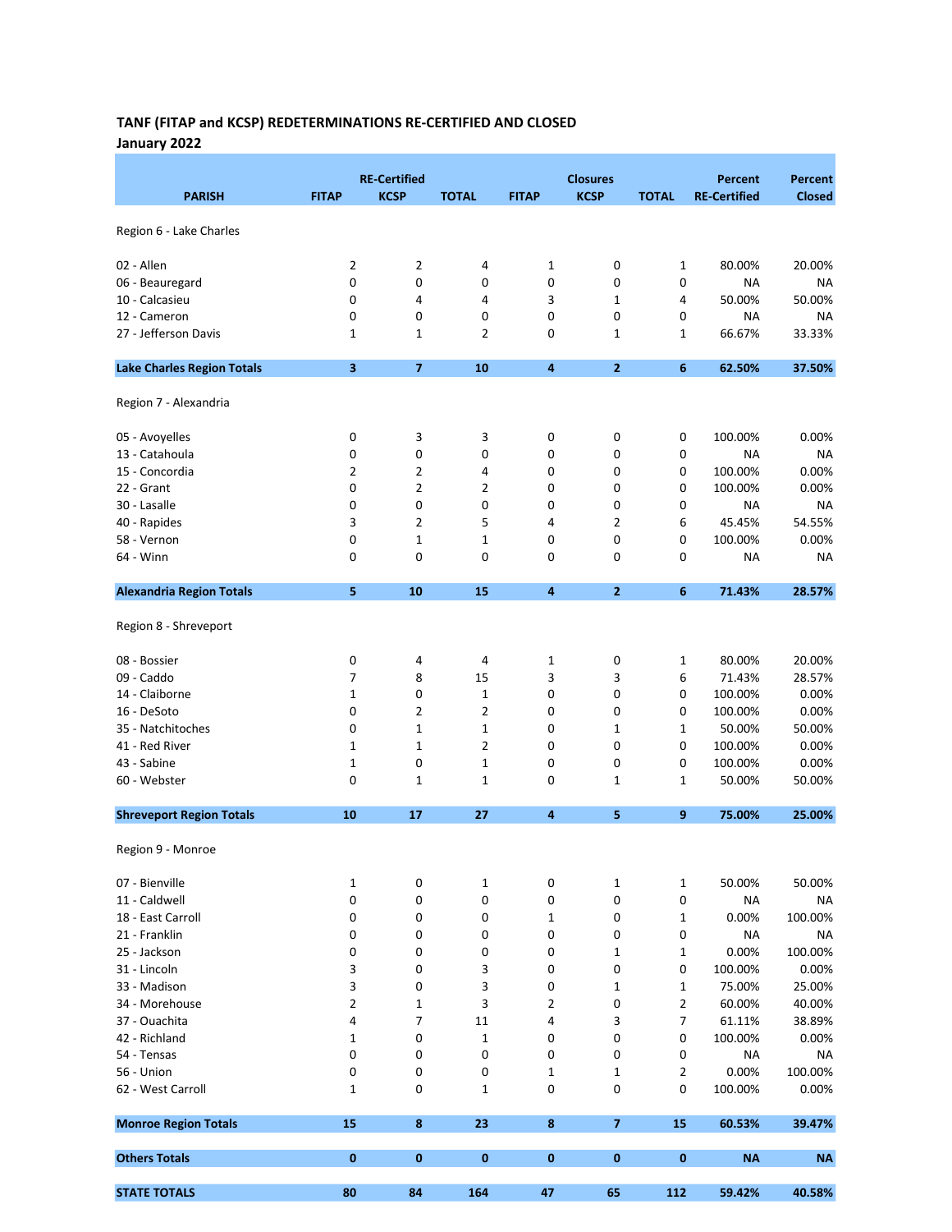# TANF (FITAP and KCSP) REDETERMINATIONS RE-CERTIFIED AND CLOSED January 2022

| <b>KCSP</b><br><b>PARISH</b><br><b>KCSP</b><br><b>RE-Certified</b><br><b>Closed</b><br><b>FITAP</b><br><b>TOTAL</b><br><b>FITAP</b><br><b>TOTAL</b><br>Region 6 - Lake Charles<br>02 - Allen<br>2<br>$\overline{2}$<br>0<br>20.00%<br>4<br>1<br>$\mathbf{1}$<br>80.00%<br>0<br>0<br>0<br>0<br>0<br>0<br>06 - Beauregard<br>NA<br>NA<br>3<br>10 - Calcasieu<br>4<br>$\mathbf 1$<br>50.00%<br>50.00%<br>0<br>4<br>4<br>0<br>0<br>0<br>0<br>0<br>0<br>12 - Cameron<br>ΝA<br>NA<br>27 - Jefferson Davis<br>2<br>0<br>66.67%<br>33.33%<br>1<br>1<br>1<br>1<br>$\overline{\mathbf{3}}$<br>$\overline{7}$<br>10<br>$\overline{2}$<br><b>Lake Charles Region Totals</b><br>4<br>6<br>62.50%<br>37.50%<br>Region 7 - Alexandria<br>3<br>100.00%<br>0.00%<br>05 - Avoyelles<br>0<br>3<br>0<br>0<br>0<br>13 - Catahoula<br>0<br>0<br>0<br>0<br>0<br>0<br>ΝA<br>NA<br>$\overline{2}$<br>$\overline{2}$<br>0<br>100.00%<br>0.00%<br>15 - Concordia<br>4<br>0<br>0<br>$\overline{2}$<br>22 - Grant<br>0<br>2<br>0<br>0<br>100.00%<br>0.00%<br>0<br>0<br>0<br>0<br>0<br>0<br>0<br><b>NA</b><br>30 - Lasalle<br>ΝA<br>$\overline{2}$<br>54.55%<br>40 - Rapides<br>3<br>5<br>2<br>45.45%<br>4<br>6<br>58 - Vernon<br>$\mathbf 1$<br>0<br>0<br>100.00%<br>0.00%<br>0<br>1<br>0<br>0<br>0<br>0<br>0<br>0<br>64 - Winn<br>0<br>ΝA<br>NA<br><b>Alexandria Region Totals</b><br>5<br>10<br>15<br>4<br>$\mathbf{2}$<br>6<br>71.43%<br>28.57%<br>Region 8 - Shreveport<br>0<br>0<br>80.00%<br>20.00%<br>08 - Bossier<br>4<br>4<br>1<br>$\mathbf{1}$<br>09 - Caddo<br>7<br>8<br>15<br>3<br>3<br>6<br>71.43%<br>28.57%<br>0<br>$\mathbf 1$<br>$1\,$<br>0<br>0<br>0<br>100.00%<br>0.00%<br>14 - Claiborne<br>$\overline{2}$<br>16 - DeSoto<br>0<br>2<br>0<br>100.00%<br>0.00%<br>0<br>0<br>$\mathbf 1$<br>$\mathbf 1$<br>0<br>50.00%<br>50.00%<br>35 - Natchitoches<br>0<br>1<br>1<br>41 - Red River<br>$\mathbf 1$<br>2<br>0<br>0<br>0<br>100.00%<br>0.00%<br>1<br>0.00%<br>43 - Sabine<br>0<br>0<br>0<br>0<br>100.00%<br>1<br>1<br>60 - Webster<br>0<br>$\mathbf{1}$<br>0<br>50.00%<br>1<br>1<br>$\mathbf{1}$<br>50.00%<br><b>Shreveport Region Totals</b><br>10<br>17<br>27<br>4<br>5<br>9<br>75.00%<br>25.00%<br>Region 9 - Monroe<br>07 - Bienville<br>0<br>$\mathbf 1$<br>50.00%<br>1<br>0<br>1<br>$\mathbf{1}$<br>50.00%<br>11 - Caldwell<br>0<br>0<br>0<br>0<br>0<br>0<br>NA<br>NA<br>18 - East Carroll<br>0<br>0<br>$\mathbf 1$<br>0<br>0.00%<br>100.00%<br>0<br>$\mathbf{1}$<br>21 - Franklin<br>0<br>0<br>0<br>0<br>0<br>0<br><b>NA</b><br>ΝA<br>25 - Jackson<br>0<br>0<br>0.00%<br>100.00%<br>0<br>0<br>1<br>$\mathbf{1}$<br>31 - Lincoln<br>3<br>0<br>3<br>0<br>0<br>0<br>100.00%<br>0.00%<br>33 - Madison<br>3<br>0<br>3<br>75.00%<br>25.00%<br>0<br>1<br>$\mathbf{1}$<br>$\overline{2}$<br>3<br>2<br>0<br>$\overline{2}$<br>40.00%<br>34 - Morehouse<br>1<br>60.00%<br>7<br>4<br>4<br>3<br>7<br>61.11%<br>38.89%<br>37 - Ouachita<br>11<br>$\pmb{0}$<br>$\mathbf 1$<br>0<br>42 - Richland<br>$\mathbf 1$<br>0<br>0<br>100.00%<br>0.00%<br>54 - Tensas<br>0<br>0<br>0<br>0<br>0<br>0<br>ΝA<br>NA<br>100.00%<br>56 - Union<br>0<br>0<br>0<br>$\mathbf{1}$<br>$\mathbf 1$<br>$\overline{2}$<br>0.00%<br>62 - West Carroll<br>0<br>$\mathbf 1$<br>0<br>0<br>100.00%<br>0.00%<br>1<br>0<br><b>Monroe Region Totals</b><br>15<br>8<br>23<br>8<br>$\overline{ }$<br>15<br>60.53%<br>39.47%<br><b>Others Totals</b><br>$\bf{0}$<br>$\bf{0}$<br>0<br>0<br>0<br><b>NA</b><br>0<br><b>NA</b><br><b>STATE TOTALS</b><br>80<br>84<br>164<br>65<br>59.42%<br>40.58%<br>47<br>112 |  | <b>RE-Certified</b> |  | <b>Closures</b> | <b>Percent</b> | <b>Percent</b> |
|--------------------------------------------------------------------------------------------------------------------------------------------------------------------------------------------------------------------------------------------------------------------------------------------------------------------------------------------------------------------------------------------------------------------------------------------------------------------------------------------------------------------------------------------------------------------------------------------------------------------------------------------------------------------------------------------------------------------------------------------------------------------------------------------------------------------------------------------------------------------------------------------------------------------------------------------------------------------------------------------------------------------------------------------------------------------------------------------------------------------------------------------------------------------------------------------------------------------------------------------------------------------------------------------------------------------------------------------------------------------------------------------------------------------------------------------------------------------------------------------------------------------------------------------------------------------------------------------------------------------------------------------------------------------------------------------------------------------------------------------------------------------------------------------------------------------------------------------------------------------------------------------------------------------------------------------------------------------------------------------------------------------------------------------------------------------------------------------------------------------------------------------------------------------------------------------------------------------------------------------------------------------------------------------------------------------------------------------------------------------------------------------------------------------------------------------------------------------------------------------------------------------------------------------------------------------------------------------------------------------------------------------------------------------------------------------------------------------------------------------------------------------------------------------------------------------------------------------------------------------------------------------------------------------------------------------------------------------------------------------------------------------------------------------------------------------------------------------------------------------------------------------------------------------------------------------------------------------------------------------------------------------------------------------------------------------------------------------------------------------------------------------------------------------------------------------------------------------------------------------------------------------------------------------------------|--|---------------------|--|-----------------|----------------|----------------|
|                                                                                                                                                                                                                                                                                                                                                                                                                                                                                                                                                                                                                                                                                                                                                                                                                                                                                                                                                                                                                                                                                                                                                                                                                                                                                                                                                                                                                                                                                                                                                                                                                                                                                                                                                                                                                                                                                                                                                                                                                                                                                                                                                                                                                                                                                                                                                                                                                                                                                                                                                                                                                                                                                                                                                                                                                                                                                                                                                                                                                                                                                                                                                                                                                                                                                                                                                                                                                                                                                                                                                        |  |                     |  |                 |                |                |
|                                                                                                                                                                                                                                                                                                                                                                                                                                                                                                                                                                                                                                                                                                                                                                                                                                                                                                                                                                                                                                                                                                                                                                                                                                                                                                                                                                                                                                                                                                                                                                                                                                                                                                                                                                                                                                                                                                                                                                                                                                                                                                                                                                                                                                                                                                                                                                                                                                                                                                                                                                                                                                                                                                                                                                                                                                                                                                                                                                                                                                                                                                                                                                                                                                                                                                                                                                                                                                                                                                                                                        |  |                     |  |                 |                |                |
|                                                                                                                                                                                                                                                                                                                                                                                                                                                                                                                                                                                                                                                                                                                                                                                                                                                                                                                                                                                                                                                                                                                                                                                                                                                                                                                                                                                                                                                                                                                                                                                                                                                                                                                                                                                                                                                                                                                                                                                                                                                                                                                                                                                                                                                                                                                                                                                                                                                                                                                                                                                                                                                                                                                                                                                                                                                                                                                                                                                                                                                                                                                                                                                                                                                                                                                                                                                                                                                                                                                                                        |  |                     |  |                 |                |                |
|                                                                                                                                                                                                                                                                                                                                                                                                                                                                                                                                                                                                                                                                                                                                                                                                                                                                                                                                                                                                                                                                                                                                                                                                                                                                                                                                                                                                                                                                                                                                                                                                                                                                                                                                                                                                                                                                                                                                                                                                                                                                                                                                                                                                                                                                                                                                                                                                                                                                                                                                                                                                                                                                                                                                                                                                                                                                                                                                                                                                                                                                                                                                                                                                                                                                                                                                                                                                                                                                                                                                                        |  |                     |  |                 |                |                |
|                                                                                                                                                                                                                                                                                                                                                                                                                                                                                                                                                                                                                                                                                                                                                                                                                                                                                                                                                                                                                                                                                                                                                                                                                                                                                                                                                                                                                                                                                                                                                                                                                                                                                                                                                                                                                                                                                                                                                                                                                                                                                                                                                                                                                                                                                                                                                                                                                                                                                                                                                                                                                                                                                                                                                                                                                                                                                                                                                                                                                                                                                                                                                                                                                                                                                                                                                                                                                                                                                                                                                        |  |                     |  |                 |                |                |
|                                                                                                                                                                                                                                                                                                                                                                                                                                                                                                                                                                                                                                                                                                                                                                                                                                                                                                                                                                                                                                                                                                                                                                                                                                                                                                                                                                                                                                                                                                                                                                                                                                                                                                                                                                                                                                                                                                                                                                                                                                                                                                                                                                                                                                                                                                                                                                                                                                                                                                                                                                                                                                                                                                                                                                                                                                                                                                                                                                                                                                                                                                                                                                                                                                                                                                                                                                                                                                                                                                                                                        |  |                     |  |                 |                |                |
|                                                                                                                                                                                                                                                                                                                                                                                                                                                                                                                                                                                                                                                                                                                                                                                                                                                                                                                                                                                                                                                                                                                                                                                                                                                                                                                                                                                                                                                                                                                                                                                                                                                                                                                                                                                                                                                                                                                                                                                                                                                                                                                                                                                                                                                                                                                                                                                                                                                                                                                                                                                                                                                                                                                                                                                                                                                                                                                                                                                                                                                                                                                                                                                                                                                                                                                                                                                                                                                                                                                                                        |  |                     |  |                 |                |                |
|                                                                                                                                                                                                                                                                                                                                                                                                                                                                                                                                                                                                                                                                                                                                                                                                                                                                                                                                                                                                                                                                                                                                                                                                                                                                                                                                                                                                                                                                                                                                                                                                                                                                                                                                                                                                                                                                                                                                                                                                                                                                                                                                                                                                                                                                                                                                                                                                                                                                                                                                                                                                                                                                                                                                                                                                                                                                                                                                                                                                                                                                                                                                                                                                                                                                                                                                                                                                                                                                                                                                                        |  |                     |  |                 |                |                |
|                                                                                                                                                                                                                                                                                                                                                                                                                                                                                                                                                                                                                                                                                                                                                                                                                                                                                                                                                                                                                                                                                                                                                                                                                                                                                                                                                                                                                                                                                                                                                                                                                                                                                                                                                                                                                                                                                                                                                                                                                                                                                                                                                                                                                                                                                                                                                                                                                                                                                                                                                                                                                                                                                                                                                                                                                                                                                                                                                                                                                                                                                                                                                                                                                                                                                                                                                                                                                                                                                                                                                        |  |                     |  |                 |                |                |
|                                                                                                                                                                                                                                                                                                                                                                                                                                                                                                                                                                                                                                                                                                                                                                                                                                                                                                                                                                                                                                                                                                                                                                                                                                                                                                                                                                                                                                                                                                                                                                                                                                                                                                                                                                                                                                                                                                                                                                                                                                                                                                                                                                                                                                                                                                                                                                                                                                                                                                                                                                                                                                                                                                                                                                                                                                                                                                                                                                                                                                                                                                                                                                                                                                                                                                                                                                                                                                                                                                                                                        |  |                     |  |                 |                |                |
|                                                                                                                                                                                                                                                                                                                                                                                                                                                                                                                                                                                                                                                                                                                                                                                                                                                                                                                                                                                                                                                                                                                                                                                                                                                                                                                                                                                                                                                                                                                                                                                                                                                                                                                                                                                                                                                                                                                                                                                                                                                                                                                                                                                                                                                                                                                                                                                                                                                                                                                                                                                                                                                                                                                                                                                                                                                                                                                                                                                                                                                                                                                                                                                                                                                                                                                                                                                                                                                                                                                                                        |  |                     |  |                 |                |                |
|                                                                                                                                                                                                                                                                                                                                                                                                                                                                                                                                                                                                                                                                                                                                                                                                                                                                                                                                                                                                                                                                                                                                                                                                                                                                                                                                                                                                                                                                                                                                                                                                                                                                                                                                                                                                                                                                                                                                                                                                                                                                                                                                                                                                                                                                                                                                                                                                                                                                                                                                                                                                                                                                                                                                                                                                                                                                                                                                                                                                                                                                                                                                                                                                                                                                                                                                                                                                                                                                                                                                                        |  |                     |  |                 |                |                |
|                                                                                                                                                                                                                                                                                                                                                                                                                                                                                                                                                                                                                                                                                                                                                                                                                                                                                                                                                                                                                                                                                                                                                                                                                                                                                                                                                                                                                                                                                                                                                                                                                                                                                                                                                                                                                                                                                                                                                                                                                                                                                                                                                                                                                                                                                                                                                                                                                                                                                                                                                                                                                                                                                                                                                                                                                                                                                                                                                                                                                                                                                                                                                                                                                                                                                                                                                                                                                                                                                                                                                        |  |                     |  |                 |                |                |
|                                                                                                                                                                                                                                                                                                                                                                                                                                                                                                                                                                                                                                                                                                                                                                                                                                                                                                                                                                                                                                                                                                                                                                                                                                                                                                                                                                                                                                                                                                                                                                                                                                                                                                                                                                                                                                                                                                                                                                                                                                                                                                                                                                                                                                                                                                                                                                                                                                                                                                                                                                                                                                                                                                                                                                                                                                                                                                                                                                                                                                                                                                                                                                                                                                                                                                                                                                                                                                                                                                                                                        |  |                     |  |                 |                |                |
|                                                                                                                                                                                                                                                                                                                                                                                                                                                                                                                                                                                                                                                                                                                                                                                                                                                                                                                                                                                                                                                                                                                                                                                                                                                                                                                                                                                                                                                                                                                                                                                                                                                                                                                                                                                                                                                                                                                                                                                                                                                                                                                                                                                                                                                                                                                                                                                                                                                                                                                                                                                                                                                                                                                                                                                                                                                                                                                                                                                                                                                                                                                                                                                                                                                                                                                                                                                                                                                                                                                                                        |  |                     |  |                 |                |                |
|                                                                                                                                                                                                                                                                                                                                                                                                                                                                                                                                                                                                                                                                                                                                                                                                                                                                                                                                                                                                                                                                                                                                                                                                                                                                                                                                                                                                                                                                                                                                                                                                                                                                                                                                                                                                                                                                                                                                                                                                                                                                                                                                                                                                                                                                                                                                                                                                                                                                                                                                                                                                                                                                                                                                                                                                                                                                                                                                                                                                                                                                                                                                                                                                                                                                                                                                                                                                                                                                                                                                                        |  |                     |  |                 |                |                |
|                                                                                                                                                                                                                                                                                                                                                                                                                                                                                                                                                                                                                                                                                                                                                                                                                                                                                                                                                                                                                                                                                                                                                                                                                                                                                                                                                                                                                                                                                                                                                                                                                                                                                                                                                                                                                                                                                                                                                                                                                                                                                                                                                                                                                                                                                                                                                                                                                                                                                                                                                                                                                                                                                                                                                                                                                                                                                                                                                                                                                                                                                                                                                                                                                                                                                                                                                                                                                                                                                                                                                        |  |                     |  |                 |                |                |
|                                                                                                                                                                                                                                                                                                                                                                                                                                                                                                                                                                                                                                                                                                                                                                                                                                                                                                                                                                                                                                                                                                                                                                                                                                                                                                                                                                                                                                                                                                                                                                                                                                                                                                                                                                                                                                                                                                                                                                                                                                                                                                                                                                                                                                                                                                                                                                                                                                                                                                                                                                                                                                                                                                                                                                                                                                                                                                                                                                                                                                                                                                                                                                                                                                                                                                                                                                                                                                                                                                                                                        |  |                     |  |                 |                |                |
|                                                                                                                                                                                                                                                                                                                                                                                                                                                                                                                                                                                                                                                                                                                                                                                                                                                                                                                                                                                                                                                                                                                                                                                                                                                                                                                                                                                                                                                                                                                                                                                                                                                                                                                                                                                                                                                                                                                                                                                                                                                                                                                                                                                                                                                                                                                                                                                                                                                                                                                                                                                                                                                                                                                                                                                                                                                                                                                                                                                                                                                                                                                                                                                                                                                                                                                                                                                                                                                                                                                                                        |  |                     |  |                 |                |                |
|                                                                                                                                                                                                                                                                                                                                                                                                                                                                                                                                                                                                                                                                                                                                                                                                                                                                                                                                                                                                                                                                                                                                                                                                                                                                                                                                                                                                                                                                                                                                                                                                                                                                                                                                                                                                                                                                                                                                                                                                                                                                                                                                                                                                                                                                                                                                                                                                                                                                                                                                                                                                                                                                                                                                                                                                                                                                                                                                                                                                                                                                                                                                                                                                                                                                                                                                                                                                                                                                                                                                                        |  |                     |  |                 |                |                |
|                                                                                                                                                                                                                                                                                                                                                                                                                                                                                                                                                                                                                                                                                                                                                                                                                                                                                                                                                                                                                                                                                                                                                                                                                                                                                                                                                                                                                                                                                                                                                                                                                                                                                                                                                                                                                                                                                                                                                                                                                                                                                                                                                                                                                                                                                                                                                                                                                                                                                                                                                                                                                                                                                                                                                                                                                                                                                                                                                                                                                                                                                                                                                                                                                                                                                                                                                                                                                                                                                                                                                        |  |                     |  |                 |                |                |
|                                                                                                                                                                                                                                                                                                                                                                                                                                                                                                                                                                                                                                                                                                                                                                                                                                                                                                                                                                                                                                                                                                                                                                                                                                                                                                                                                                                                                                                                                                                                                                                                                                                                                                                                                                                                                                                                                                                                                                                                                                                                                                                                                                                                                                                                                                                                                                                                                                                                                                                                                                                                                                                                                                                                                                                                                                                                                                                                                                                                                                                                                                                                                                                                                                                                                                                                                                                                                                                                                                                                                        |  |                     |  |                 |                |                |
|                                                                                                                                                                                                                                                                                                                                                                                                                                                                                                                                                                                                                                                                                                                                                                                                                                                                                                                                                                                                                                                                                                                                                                                                                                                                                                                                                                                                                                                                                                                                                                                                                                                                                                                                                                                                                                                                                                                                                                                                                                                                                                                                                                                                                                                                                                                                                                                                                                                                                                                                                                                                                                                                                                                                                                                                                                                                                                                                                                                                                                                                                                                                                                                                                                                                                                                                                                                                                                                                                                                                                        |  |                     |  |                 |                |                |
|                                                                                                                                                                                                                                                                                                                                                                                                                                                                                                                                                                                                                                                                                                                                                                                                                                                                                                                                                                                                                                                                                                                                                                                                                                                                                                                                                                                                                                                                                                                                                                                                                                                                                                                                                                                                                                                                                                                                                                                                                                                                                                                                                                                                                                                                                                                                                                                                                                                                                                                                                                                                                                                                                                                                                                                                                                                                                                                                                                                                                                                                                                                                                                                                                                                                                                                                                                                                                                                                                                                                                        |  |                     |  |                 |                |                |
|                                                                                                                                                                                                                                                                                                                                                                                                                                                                                                                                                                                                                                                                                                                                                                                                                                                                                                                                                                                                                                                                                                                                                                                                                                                                                                                                                                                                                                                                                                                                                                                                                                                                                                                                                                                                                                                                                                                                                                                                                                                                                                                                                                                                                                                                                                                                                                                                                                                                                                                                                                                                                                                                                                                                                                                                                                                                                                                                                                                                                                                                                                                                                                                                                                                                                                                                                                                                                                                                                                                                                        |  |                     |  |                 |                |                |
|                                                                                                                                                                                                                                                                                                                                                                                                                                                                                                                                                                                                                                                                                                                                                                                                                                                                                                                                                                                                                                                                                                                                                                                                                                                                                                                                                                                                                                                                                                                                                                                                                                                                                                                                                                                                                                                                                                                                                                                                                                                                                                                                                                                                                                                                                                                                                                                                                                                                                                                                                                                                                                                                                                                                                                                                                                                                                                                                                                                                                                                                                                                                                                                                                                                                                                                                                                                                                                                                                                                                                        |  |                     |  |                 |                |                |
|                                                                                                                                                                                                                                                                                                                                                                                                                                                                                                                                                                                                                                                                                                                                                                                                                                                                                                                                                                                                                                                                                                                                                                                                                                                                                                                                                                                                                                                                                                                                                                                                                                                                                                                                                                                                                                                                                                                                                                                                                                                                                                                                                                                                                                                                                                                                                                                                                                                                                                                                                                                                                                                                                                                                                                                                                                                                                                                                                                                                                                                                                                                                                                                                                                                                                                                                                                                                                                                                                                                                                        |  |                     |  |                 |                |                |
|                                                                                                                                                                                                                                                                                                                                                                                                                                                                                                                                                                                                                                                                                                                                                                                                                                                                                                                                                                                                                                                                                                                                                                                                                                                                                                                                                                                                                                                                                                                                                                                                                                                                                                                                                                                                                                                                                                                                                                                                                                                                                                                                                                                                                                                                                                                                                                                                                                                                                                                                                                                                                                                                                                                                                                                                                                                                                                                                                                                                                                                                                                                                                                                                                                                                                                                                                                                                                                                                                                                                                        |  |                     |  |                 |                |                |
|                                                                                                                                                                                                                                                                                                                                                                                                                                                                                                                                                                                                                                                                                                                                                                                                                                                                                                                                                                                                                                                                                                                                                                                                                                                                                                                                                                                                                                                                                                                                                                                                                                                                                                                                                                                                                                                                                                                                                                                                                                                                                                                                                                                                                                                                                                                                                                                                                                                                                                                                                                                                                                                                                                                                                                                                                                                                                                                                                                                                                                                                                                                                                                                                                                                                                                                                                                                                                                                                                                                                                        |  |                     |  |                 |                |                |
|                                                                                                                                                                                                                                                                                                                                                                                                                                                                                                                                                                                                                                                                                                                                                                                                                                                                                                                                                                                                                                                                                                                                                                                                                                                                                                                                                                                                                                                                                                                                                                                                                                                                                                                                                                                                                                                                                                                                                                                                                                                                                                                                                                                                                                                                                                                                                                                                                                                                                                                                                                                                                                                                                                                                                                                                                                                                                                                                                                                                                                                                                                                                                                                                                                                                                                                                                                                                                                                                                                                                                        |  |                     |  |                 |                |                |
|                                                                                                                                                                                                                                                                                                                                                                                                                                                                                                                                                                                                                                                                                                                                                                                                                                                                                                                                                                                                                                                                                                                                                                                                                                                                                                                                                                                                                                                                                                                                                                                                                                                                                                                                                                                                                                                                                                                                                                                                                                                                                                                                                                                                                                                                                                                                                                                                                                                                                                                                                                                                                                                                                                                                                                                                                                                                                                                                                                                                                                                                                                                                                                                                                                                                                                                                                                                                                                                                                                                                                        |  |                     |  |                 |                |                |
|                                                                                                                                                                                                                                                                                                                                                                                                                                                                                                                                                                                                                                                                                                                                                                                                                                                                                                                                                                                                                                                                                                                                                                                                                                                                                                                                                                                                                                                                                                                                                                                                                                                                                                                                                                                                                                                                                                                                                                                                                                                                                                                                                                                                                                                                                                                                                                                                                                                                                                                                                                                                                                                                                                                                                                                                                                                                                                                                                                                                                                                                                                                                                                                                                                                                                                                                                                                                                                                                                                                                                        |  |                     |  |                 |                |                |
|                                                                                                                                                                                                                                                                                                                                                                                                                                                                                                                                                                                                                                                                                                                                                                                                                                                                                                                                                                                                                                                                                                                                                                                                                                                                                                                                                                                                                                                                                                                                                                                                                                                                                                                                                                                                                                                                                                                                                                                                                                                                                                                                                                                                                                                                                                                                                                                                                                                                                                                                                                                                                                                                                                                                                                                                                                                                                                                                                                                                                                                                                                                                                                                                                                                                                                                                                                                                                                                                                                                                                        |  |                     |  |                 |                |                |
|                                                                                                                                                                                                                                                                                                                                                                                                                                                                                                                                                                                                                                                                                                                                                                                                                                                                                                                                                                                                                                                                                                                                                                                                                                                                                                                                                                                                                                                                                                                                                                                                                                                                                                                                                                                                                                                                                                                                                                                                                                                                                                                                                                                                                                                                                                                                                                                                                                                                                                                                                                                                                                                                                                                                                                                                                                                                                                                                                                                                                                                                                                                                                                                                                                                                                                                                                                                                                                                                                                                                                        |  |                     |  |                 |                |                |
|                                                                                                                                                                                                                                                                                                                                                                                                                                                                                                                                                                                                                                                                                                                                                                                                                                                                                                                                                                                                                                                                                                                                                                                                                                                                                                                                                                                                                                                                                                                                                                                                                                                                                                                                                                                                                                                                                                                                                                                                                                                                                                                                                                                                                                                                                                                                                                                                                                                                                                                                                                                                                                                                                                                                                                                                                                                                                                                                                                                                                                                                                                                                                                                                                                                                                                                                                                                                                                                                                                                                                        |  |                     |  |                 |                |                |
|                                                                                                                                                                                                                                                                                                                                                                                                                                                                                                                                                                                                                                                                                                                                                                                                                                                                                                                                                                                                                                                                                                                                                                                                                                                                                                                                                                                                                                                                                                                                                                                                                                                                                                                                                                                                                                                                                                                                                                                                                                                                                                                                                                                                                                                                                                                                                                                                                                                                                                                                                                                                                                                                                                                                                                                                                                                                                                                                                                                                                                                                                                                                                                                                                                                                                                                                                                                                                                                                                                                                                        |  |                     |  |                 |                |                |
|                                                                                                                                                                                                                                                                                                                                                                                                                                                                                                                                                                                                                                                                                                                                                                                                                                                                                                                                                                                                                                                                                                                                                                                                                                                                                                                                                                                                                                                                                                                                                                                                                                                                                                                                                                                                                                                                                                                                                                                                                                                                                                                                                                                                                                                                                                                                                                                                                                                                                                                                                                                                                                                                                                                                                                                                                                                                                                                                                                                                                                                                                                                                                                                                                                                                                                                                                                                                                                                                                                                                                        |  |                     |  |                 |                |                |
|                                                                                                                                                                                                                                                                                                                                                                                                                                                                                                                                                                                                                                                                                                                                                                                                                                                                                                                                                                                                                                                                                                                                                                                                                                                                                                                                                                                                                                                                                                                                                                                                                                                                                                                                                                                                                                                                                                                                                                                                                                                                                                                                                                                                                                                                                                                                                                                                                                                                                                                                                                                                                                                                                                                                                                                                                                                                                                                                                                                                                                                                                                                                                                                                                                                                                                                                                                                                                                                                                                                                                        |  |                     |  |                 |                |                |
|                                                                                                                                                                                                                                                                                                                                                                                                                                                                                                                                                                                                                                                                                                                                                                                                                                                                                                                                                                                                                                                                                                                                                                                                                                                                                                                                                                                                                                                                                                                                                                                                                                                                                                                                                                                                                                                                                                                                                                                                                                                                                                                                                                                                                                                                                                                                                                                                                                                                                                                                                                                                                                                                                                                                                                                                                                                                                                                                                                                                                                                                                                                                                                                                                                                                                                                                                                                                                                                                                                                                                        |  |                     |  |                 |                |                |
|                                                                                                                                                                                                                                                                                                                                                                                                                                                                                                                                                                                                                                                                                                                                                                                                                                                                                                                                                                                                                                                                                                                                                                                                                                                                                                                                                                                                                                                                                                                                                                                                                                                                                                                                                                                                                                                                                                                                                                                                                                                                                                                                                                                                                                                                                                                                                                                                                                                                                                                                                                                                                                                                                                                                                                                                                                                                                                                                                                                                                                                                                                                                                                                                                                                                                                                                                                                                                                                                                                                                                        |  |                     |  |                 |                |                |
|                                                                                                                                                                                                                                                                                                                                                                                                                                                                                                                                                                                                                                                                                                                                                                                                                                                                                                                                                                                                                                                                                                                                                                                                                                                                                                                                                                                                                                                                                                                                                                                                                                                                                                                                                                                                                                                                                                                                                                                                                                                                                                                                                                                                                                                                                                                                                                                                                                                                                                                                                                                                                                                                                                                                                                                                                                                                                                                                                                                                                                                                                                                                                                                                                                                                                                                                                                                                                                                                                                                                                        |  |                     |  |                 |                |                |
|                                                                                                                                                                                                                                                                                                                                                                                                                                                                                                                                                                                                                                                                                                                                                                                                                                                                                                                                                                                                                                                                                                                                                                                                                                                                                                                                                                                                                                                                                                                                                                                                                                                                                                                                                                                                                                                                                                                                                                                                                                                                                                                                                                                                                                                                                                                                                                                                                                                                                                                                                                                                                                                                                                                                                                                                                                                                                                                                                                                                                                                                                                                                                                                                                                                                                                                                                                                                                                                                                                                                                        |  |                     |  |                 |                |                |
|                                                                                                                                                                                                                                                                                                                                                                                                                                                                                                                                                                                                                                                                                                                                                                                                                                                                                                                                                                                                                                                                                                                                                                                                                                                                                                                                                                                                                                                                                                                                                                                                                                                                                                                                                                                                                                                                                                                                                                                                                                                                                                                                                                                                                                                                                                                                                                                                                                                                                                                                                                                                                                                                                                                                                                                                                                                                                                                                                                                                                                                                                                                                                                                                                                                                                                                                                                                                                                                                                                                                                        |  |                     |  |                 |                |                |
|                                                                                                                                                                                                                                                                                                                                                                                                                                                                                                                                                                                                                                                                                                                                                                                                                                                                                                                                                                                                                                                                                                                                                                                                                                                                                                                                                                                                                                                                                                                                                                                                                                                                                                                                                                                                                                                                                                                                                                                                                                                                                                                                                                                                                                                                                                                                                                                                                                                                                                                                                                                                                                                                                                                                                                                                                                                                                                                                                                                                                                                                                                                                                                                                                                                                                                                                                                                                                                                                                                                                                        |  |                     |  |                 |                |                |
|                                                                                                                                                                                                                                                                                                                                                                                                                                                                                                                                                                                                                                                                                                                                                                                                                                                                                                                                                                                                                                                                                                                                                                                                                                                                                                                                                                                                                                                                                                                                                                                                                                                                                                                                                                                                                                                                                                                                                                                                                                                                                                                                                                                                                                                                                                                                                                                                                                                                                                                                                                                                                                                                                                                                                                                                                                                                                                                                                                                                                                                                                                                                                                                                                                                                                                                                                                                                                                                                                                                                                        |  |                     |  |                 |                |                |
|                                                                                                                                                                                                                                                                                                                                                                                                                                                                                                                                                                                                                                                                                                                                                                                                                                                                                                                                                                                                                                                                                                                                                                                                                                                                                                                                                                                                                                                                                                                                                                                                                                                                                                                                                                                                                                                                                                                                                                                                                                                                                                                                                                                                                                                                                                                                                                                                                                                                                                                                                                                                                                                                                                                                                                                                                                                                                                                                                                                                                                                                                                                                                                                                                                                                                                                                                                                                                                                                                                                                                        |  |                     |  |                 |                |                |
|                                                                                                                                                                                                                                                                                                                                                                                                                                                                                                                                                                                                                                                                                                                                                                                                                                                                                                                                                                                                                                                                                                                                                                                                                                                                                                                                                                                                                                                                                                                                                                                                                                                                                                                                                                                                                                                                                                                                                                                                                                                                                                                                                                                                                                                                                                                                                                                                                                                                                                                                                                                                                                                                                                                                                                                                                                                                                                                                                                                                                                                                                                                                                                                                                                                                                                                                                                                                                                                                                                                                                        |  |                     |  |                 |                |                |
|                                                                                                                                                                                                                                                                                                                                                                                                                                                                                                                                                                                                                                                                                                                                                                                                                                                                                                                                                                                                                                                                                                                                                                                                                                                                                                                                                                                                                                                                                                                                                                                                                                                                                                                                                                                                                                                                                                                                                                                                                                                                                                                                                                                                                                                                                                                                                                                                                                                                                                                                                                                                                                                                                                                                                                                                                                                                                                                                                                                                                                                                                                                                                                                                                                                                                                                                                                                                                                                                                                                                                        |  |                     |  |                 |                |                |
|                                                                                                                                                                                                                                                                                                                                                                                                                                                                                                                                                                                                                                                                                                                                                                                                                                                                                                                                                                                                                                                                                                                                                                                                                                                                                                                                                                                                                                                                                                                                                                                                                                                                                                                                                                                                                                                                                                                                                                                                                                                                                                                                                                                                                                                                                                                                                                                                                                                                                                                                                                                                                                                                                                                                                                                                                                                                                                                                                                                                                                                                                                                                                                                                                                                                                                                                                                                                                                                                                                                                                        |  |                     |  |                 |                |                |
|                                                                                                                                                                                                                                                                                                                                                                                                                                                                                                                                                                                                                                                                                                                                                                                                                                                                                                                                                                                                                                                                                                                                                                                                                                                                                                                                                                                                                                                                                                                                                                                                                                                                                                                                                                                                                                                                                                                                                                                                                                                                                                                                                                                                                                                                                                                                                                                                                                                                                                                                                                                                                                                                                                                                                                                                                                                                                                                                                                                                                                                                                                                                                                                                                                                                                                                                                                                                                                                                                                                                                        |  |                     |  |                 |                |                |
|                                                                                                                                                                                                                                                                                                                                                                                                                                                                                                                                                                                                                                                                                                                                                                                                                                                                                                                                                                                                                                                                                                                                                                                                                                                                                                                                                                                                                                                                                                                                                                                                                                                                                                                                                                                                                                                                                                                                                                                                                                                                                                                                                                                                                                                                                                                                                                                                                                                                                                                                                                                                                                                                                                                                                                                                                                                                                                                                                                                                                                                                                                                                                                                                                                                                                                                                                                                                                                                                                                                                                        |  |                     |  |                 |                |                |
|                                                                                                                                                                                                                                                                                                                                                                                                                                                                                                                                                                                                                                                                                                                                                                                                                                                                                                                                                                                                                                                                                                                                                                                                                                                                                                                                                                                                                                                                                                                                                                                                                                                                                                                                                                                                                                                                                                                                                                                                                                                                                                                                                                                                                                                                                                                                                                                                                                                                                                                                                                                                                                                                                                                                                                                                                                                                                                                                                                                                                                                                                                                                                                                                                                                                                                                                                                                                                                                                                                                                                        |  |                     |  |                 |                |                |
|                                                                                                                                                                                                                                                                                                                                                                                                                                                                                                                                                                                                                                                                                                                                                                                                                                                                                                                                                                                                                                                                                                                                                                                                                                                                                                                                                                                                                                                                                                                                                                                                                                                                                                                                                                                                                                                                                                                                                                                                                                                                                                                                                                                                                                                                                                                                                                                                                                                                                                                                                                                                                                                                                                                                                                                                                                                                                                                                                                                                                                                                                                                                                                                                                                                                                                                                                                                                                                                                                                                                                        |  |                     |  |                 |                |                |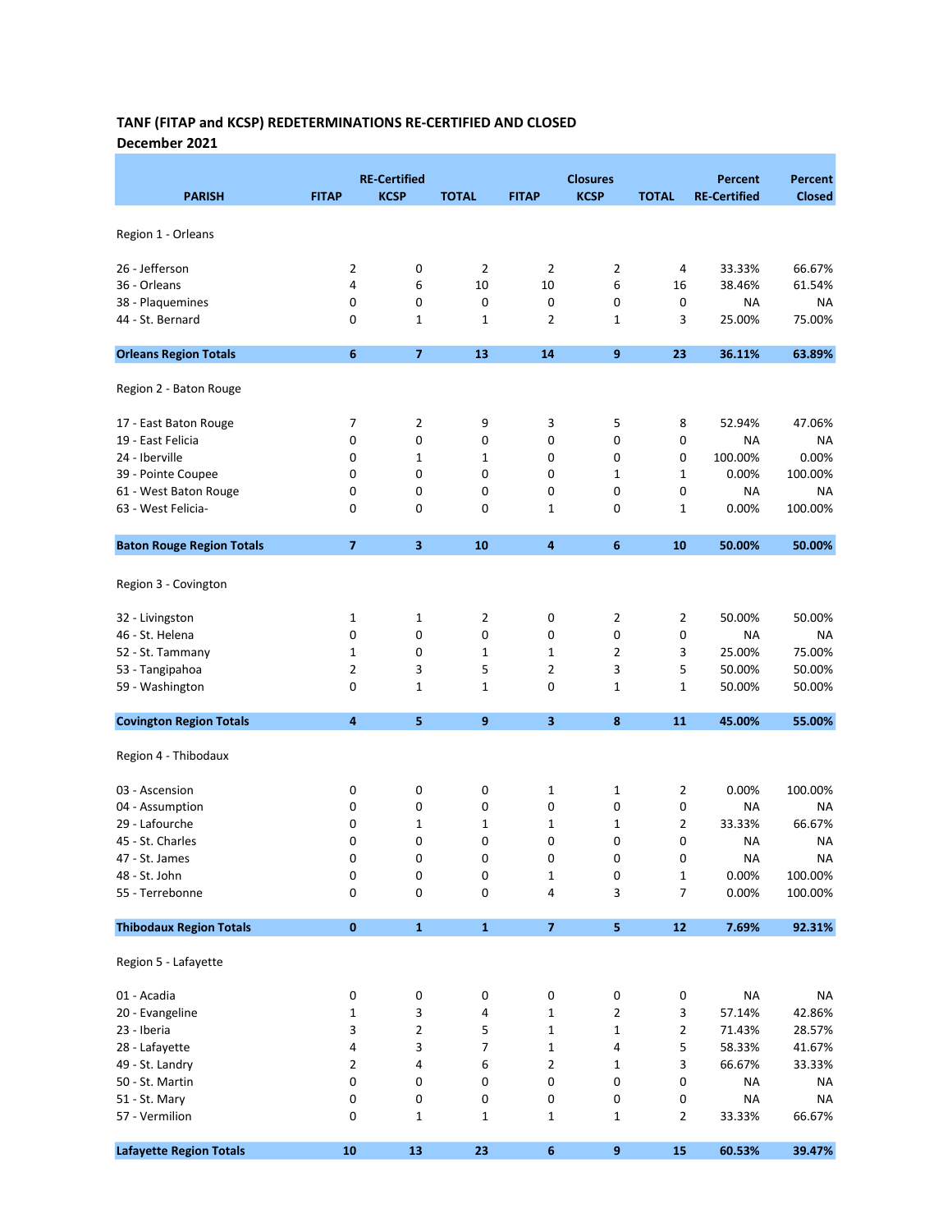# TANF (FITAP and KCSP) REDETERMINATIONS RE-CERTIFIED AND CLOSED

December 2021

| <b>PARISH</b>                    | <b>FITAP</b>   | <b>RE-Certified</b><br><b>KCSP</b> | <b>TOTAL</b>   | <b>FITAP</b>   | <b>Closures</b><br><b>KCSP</b> | <b>TOTAL</b>   | <b>Percent</b><br><b>RE-Certified</b> | Percent<br><b>Closed</b> |
|----------------------------------|----------------|------------------------------------|----------------|----------------|--------------------------------|----------------|---------------------------------------|--------------------------|
| Region 1 - Orleans               |                |                                    |                |                |                                |                |                                       |                          |
| 26 - Jefferson                   | 2              | 0                                  | $\overline{2}$ | 2              | 2                              | 4              | 33.33%                                | 66.67%                   |
| 36 - Orleans                     | 4              | 6                                  | 10             | 10             | 6                              | 16             | 38.46%                                | 61.54%                   |
| 38 - Plaquemines                 | 0              | 0                                  | 0              | 0              | 0                              | 0              | NA                                    | <b>NA</b>                |
| 44 - St. Bernard                 | 0              | 1                                  | 1              | 2              | 1                              | 3              | 25.00%                                | 75.00%                   |
| <b>Orleans Region Totals</b>     | 6              | $\overline{\mathbf{z}}$            | 13             | 14             | 9                              | 23             | 36.11%                                | 63.89%                   |
| Region 2 - Baton Rouge           |                |                                    |                |                |                                |                |                                       |                          |
| 17 - East Baton Rouge            | 7              | 2                                  | 9              | 3              | 5                              | 8              | 52.94%                                | 47.06%                   |
| 19 - East Felicia                | 0              | 0                                  | 0              | 0              | 0                              | 0              | NA                                    | ΝA                       |
| 24 - Iberville                   | 0              | 1                                  | 1              | 0              | 0                              | 0              | 100.00%                               | 0.00%                    |
| 39 - Pointe Coupee               | 0              | 0                                  | 0              | 0              | 1                              | 1              | 0.00%                                 | 100.00%                  |
| 61 - West Baton Rouge            | 0              | 0                                  | 0              | 0              | 0                              | 0              | NA                                    | ΝA                       |
| 63 - West Felicia-               | 0              | 0                                  | 0              | 1              | 0                              | 1              | 0.00%                                 | 100.00%                  |
| <b>Baton Rouge Region Totals</b> | $\overline{7}$ | 3                                  | 10             | 4              | 6                              | 10             | 50.00%                                | 50.00%                   |
| Region 3 - Covington             |                |                                    |                |                |                                |                |                                       |                          |
| 32 - Livingston                  | 1              | 1                                  | 2              | 0              | 2                              | 2              | 50.00%                                | 50.00%                   |
| 46 - St. Helena                  | 0              | 0                                  | 0              | 0              | 0                              | 0              | <b>NA</b>                             | NA                       |
| 52 - St. Tammany                 | 1              | 0                                  | 1              | $\mathbf{1}$   | 2                              | 3              | 25.00%                                | 75.00%                   |
| 53 - Tangipahoa                  | $\overline{2}$ | 3                                  | 5              | $\overline{2}$ | 3                              | 5              | 50.00%                                | 50.00%                   |
| 59 - Washington                  | 0              | 1                                  | 1              | 0              | 1                              | $\mathbf{1}$   | 50.00%                                | 50.00%                   |
| <b>Covington Region Totals</b>   | 4              | 5                                  | 9              | 3              | 8                              | 11             | 45.00%                                | 55.00%                   |
| Region 4 - Thibodaux             |                |                                    |                |                |                                |                |                                       |                          |
| 03 - Ascension                   | 0              | 0                                  | 0              | $\mathbf 1$    | 1                              | 2              | 0.00%                                 | 100.00%                  |
| 04 - Assumption                  | 0              | 0                                  | 0              | 0              | 0                              | 0              | NA                                    | ΝA                       |
| 29 - Lafourche                   | 0              | $\mathbf{1}$                       | 1              | 1              | 1                              | 2              | 33.33%                                | 66.67%                   |
| 45 - St. Charles                 | $\Omega$       | 0                                  | 0              | 0              | 0                              | 0              | NA                                    | NA                       |
| 47 - St. James                   | 0              | 0                                  | 0              | 0              | 0                              | 0              | NA                                    | NА                       |
| 48 - St. John                    | 0              | 0                                  | 0              | $\mathbf 1$    | 0                              | $\mathbf 1$    | 0.00%                                 | 100.00%                  |
| 55 - Terrebonne                  | 0              | 0                                  | 0              | 4              | 3                              | $\overline{7}$ | 0.00%                                 | 100.00%                  |
| <b>Thibodaux Region Totals</b>   | $\pmb{0}$      | $\mathbf 1$                        | $\mathbf 1$    | $\overline{7}$ | 5                              | 12             | 7.69%                                 | 92.31%                   |
| Region 5 - Lafayette             |                |                                    |                |                |                                |                |                                       |                          |
| 01 - Acadia                      | $\pmb{0}$      | $\pmb{0}$                          | $\pmb{0}$      | 0              | 0                              | 0              | <b>NA</b>                             | <b>NA</b>                |
| 20 - Evangeline                  | 1              | 3                                  | 4              | $\mathbf 1$    | $\overline{2}$                 | 3              | 57.14%                                | 42.86%                   |
| 23 - Iberia                      | 3              | $\overline{2}$                     | 5              | $\mathbf{1}$   | $\mathbf 1$                    | $\overline{2}$ | 71.43%                                | 28.57%                   |
| 28 - Lafayette                   | 4              | 3                                  | 7              | $\mathbf 1$    | 4                              | 5              | 58.33%                                | 41.67%                   |
| 49 - St. Landry                  | 2              | 4                                  | 6              | 2              | 1                              | 3              | 66.67%                                | 33.33%                   |
| 50 - St. Martin                  | $\pmb{0}$      | 0                                  | 0              | 0              | 0                              | 0              | <b>NA</b>                             | NA                       |
| 51 - St. Mary                    | 0              | 0                                  | 0              | 0              | 0                              | 0              | <b>NA</b>                             | <b>NA</b>                |
| 57 - Vermilion                   | 0              | $\mathbf 1$                        | $\mathbf 1$    | $\mathbf 1$    | 1                              | $\overline{2}$ | 33.33%                                | 66.67%                   |
| <b>Lafayette Region Totals</b>   | 10             | 13                                 | 23             | 6              | 9                              | 15             | 60.53%                                | 39.47%                   |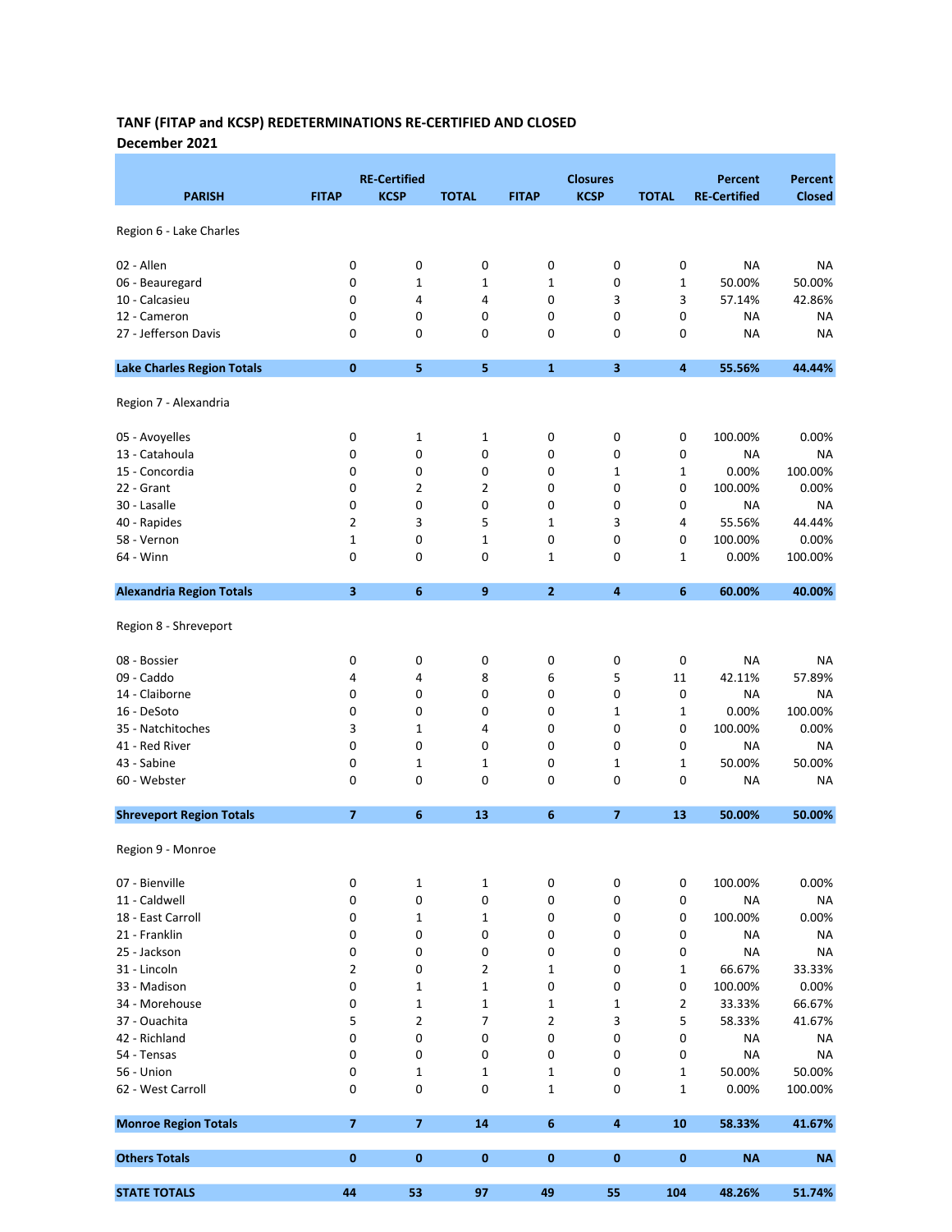#### TANF (FITAP and KCSP) REDETERMINATIONS RE-CERTIFIED AND CLOSED December 2021

|                                   |                | <b>RE-Certified</b>     |              |                  | <b>Closures</b>         |                  | <b>Percent</b>      | Percent           |
|-----------------------------------|----------------|-------------------------|--------------|------------------|-------------------------|------------------|---------------------|-------------------|
| <b>PARISH</b>                     | <b>FITAP</b>   | <b>KCSP</b>             | <b>TOTAL</b> | <b>FITAP</b>     | <b>KCSP</b>             | <b>TOTAL</b>     | <b>RE-Certified</b> | <b>Closed</b>     |
| Region 6 - Lake Charles           |                |                         |              |                  |                         |                  |                     |                   |
| 02 - Allen                        | 0              | 0                       | 0            | 0                | 0                       | $\pmb{0}$        | <b>NA</b>           | <b>NA</b>         |
| 06 - Beauregard                   | 0              | 1                       | 1            | 1                | 0                       | 1                | 50.00%              | 50.00%            |
| 10 - Calcasieu                    | 0              | 4                       | 4            | 0                | 3                       | 3                | 57.14%              | 42.86%            |
| 12 - Cameron                      | 0              | 0                       | 0            | 0                | 0                       | 0                | <b>NA</b>           | NA                |
| 27 - Jefferson Davis              | 0              | 0                       | 0            | 0                | 0                       | 0                | <b>NA</b>           | <b>NA</b>         |
| <b>Lake Charles Region Totals</b> | $\bf{0}$       | 5                       | 5            | $\mathbf{1}$     | 3                       | $\boldsymbol{4}$ | 55.56%              | 44.44%            |
| Region 7 - Alexandria             |                |                         |              |                  |                         |                  |                     |                   |
| 05 - Avoyelles                    | 0              | 1                       | 1            | 0                | 0                       | 0                | 100.00%             | 0.00%             |
| 13 - Catahoula                    | 0              | 0                       | 0            | 0                | 0                       | 0                | <b>NA</b>           | NA                |
| 15 - Concordia                    | 0              | 0                       | 0            | 0                | 1                       | 1                | 0.00%               | 100.00%           |
| 22 - Grant                        | 0              | 2                       | 2            | 0                | 0                       | 0                | 100.00%             | 0.00%             |
| 30 - Lasalle                      | 0              | 0                       | 0            | 0                | 0                       | 0                | <b>NA</b>           | NA                |
| 40 - Rapides                      | $\overline{2}$ | 3                       | 5            | $\mathbf{1}$     | 3                       | 4                | 55.56%              | 44.44%            |
| 58 - Vernon                       | 1              | 0                       | 1            | 0                | 0                       | 0                | 100.00%             | 0.00%             |
| 64 - Winn                         | 0              | 0                       | 0            | 1                | 0                       | 1                | 0.00%               | 100.00%           |
| <b>Alexandria Region Totals</b>   | 3              | 6                       | 9            | $\overline{2}$   | $\overline{\mathbf{4}}$ | 6                | 60.00%              | 40.00%            |
| Region 8 - Shreveport             |                |                         |              |                  |                         |                  |                     |                   |
| 08 - Bossier                      | 0              | 0                       | 0            | 0                | 0                       | 0                | <b>NA</b>           | NA                |
| 09 - Caddo                        | 4              | 4                       | 8            | 6                | 5                       | 11               | 42.11%              | 57.89%            |
| 14 - Claiborne                    | 0              | 0                       | 0            | 0                | 0                       | 0                | NA                  | <b>NA</b>         |
| 16 - DeSoto                       | 0              | 0                       | 0            | 0                | 1                       | $\mathbf{1}$     | 0.00%               | 100.00%           |
| 35 - Natchitoches                 | 3              | 1                       | 4            | 0                | 0                       | 0                | 100.00%             | 0.00%             |
| 41 - Red River                    | 0              | 0                       | 0            | 0                | 0                       | 0                | <b>NA</b>           | NA                |
| 43 - Sabine                       | 0              | 1                       | 1            | 0                | 1                       | 1                | 50.00%              | 50.00%            |
| 60 - Webster                      | $\mathbf 0$    | 0                       | 0            | 0                | 0                       | 0                | NA                  | NA                |
| <b>Shreveport Region Totals</b>   | $\overline{7}$ | 6                       | 13           | 6                | $\overline{ }$          | 13               | 50.00%              | 50.00%            |
| Region 9 - Monroe                 |                |                         |              |                  |                         |                  |                     |                   |
| 07 - Bienville                    | 0              | 1                       | $\mathbf 1$  | 0                | 0                       | 0                | 100.00%             | 0.00%             |
| 11 - Caldwell                     | 0              | 0                       | 0            | 0                | 0                       | 0                | <b>NA</b>           | NA                |
| 18 - East Carroll                 | 0              | 1                       | 1            | 0                | 0                       | 0                | 100.00%             | 0.00%             |
| 21 - Franklin                     | 0              | 0                       | 0            | 0                | 0                       | $\pmb{0}$        | NA                  | NA                |
| 25 - Jackson                      | 0              | 0                       | 0            | 0                | 0                       | 0                | <b>NA</b>           | <b>NA</b>         |
| 31 - Lincoln                      | 2              | 0                       | 2            | $\mathbf 1$      | 0                       | 1                | 66.67%              | 33.33%            |
| 33 - Madison                      | 0              | 1                       | 1            | 0                | 0                       | 0                | 100.00%             | 0.00%             |
| 34 - Morehouse                    | 0              | 1                       | 1            | 1                | 1                       | 2                | 33.33%              | 66.67%            |
| 37 - Ouachita                     | 5              | $\overline{2}$          | 7            | $\overline{2}$   | 3                       | 5                | 58.33%              | 41.67%            |
| 42 - Richland                     | $\pmb{0}$      | 0                       | 0            | 0                | 0                       | 0                | NA                  | NA                |
| 54 - Tensas                       | 0              | 0                       | 0            | 0                | 0                       | 0                | <b>NA</b>           | <b>NA</b>         |
| 56 - Union<br>62 - West Carroll   | 0<br>0         | 1<br>0                  | 1<br>0       | 1<br>$\mathbf 1$ | 0<br>0                  | $\mathbf 1$<br>1 | 50.00%<br>0.00%     | 50.00%<br>100.00% |
| <b>Monroe Region Totals</b>       | $\overline{7}$ | $\overline{\mathbf{z}}$ | 14           | 6                | $\overline{\bf 4}$      | 10               |                     |                   |
|                                   |                |                         |              |                  |                         |                  | 58.33%              | 41.67%            |
| <b>Others Totals</b>              | $\bf{0}$       | $\bf{0}$                | $\pmb{0}$    | 0                | $\pmb{0}$               | $\bf{0}$         | <b>NA</b>           | <b>NA</b>         |
| <b>STATE TOTALS</b>               | 44             | 53                      | 97           | 49               | 55                      | 104              | 48.26%              | 51.74%            |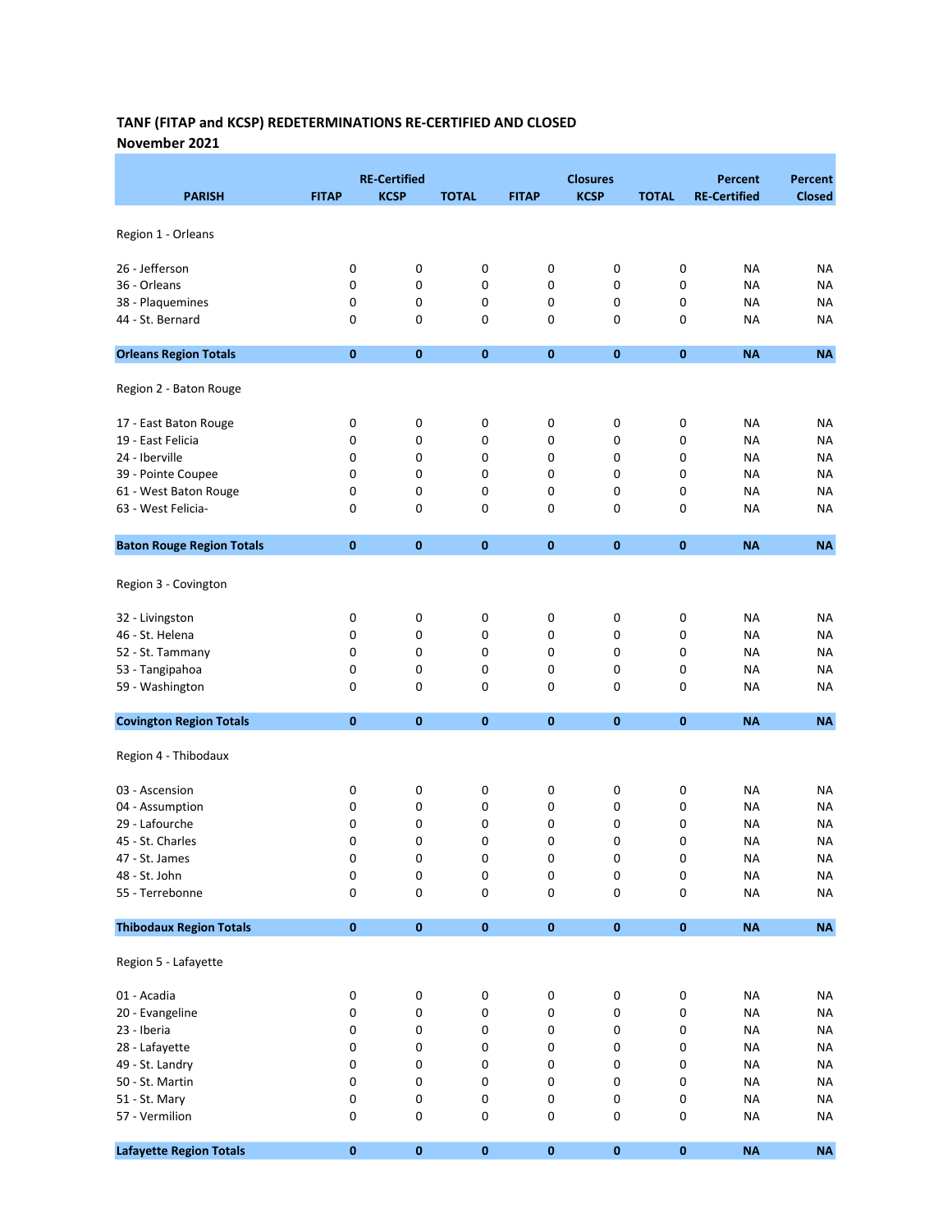#### TANF (FITAP and KCSP) REDETERMINATIONS RE-CERTIFIED AND CLOSED November 2021

|                                  |              | <b>RE-Certified</b> |              |              | <b>Closures</b> |              | <b>Percent</b>      | <b>Percent</b> |
|----------------------------------|--------------|---------------------|--------------|--------------|-----------------|--------------|---------------------|----------------|
| <b>PARISH</b>                    | <b>FITAP</b> | <b>KCSP</b>         | <b>TOTAL</b> | <b>FITAP</b> | <b>KCSP</b>     | <b>TOTAL</b> | <b>RE-Certified</b> | <b>Closed</b>  |
|                                  |              |                     |              |              |                 |              |                     |                |
| Region 1 - Orleans               |              |                     |              |              |                 |              |                     |                |
| 26 - Jefferson                   | 0            | 0                   | $\pmb{0}$    | 0            | 0               | 0            | <b>NA</b>           | NA             |
| 36 - Orleans                     | 0            | 0                   | 0            | 0            | 0               | 0            | <b>NA</b>           | <b>NA</b>      |
| 38 - Plaquemines                 | 0            | 0                   | 0            | 0            | 0               | 0            | <b>NA</b>           | <b>NA</b>      |
| 44 - St. Bernard                 | 0            | 0                   | 0            | 0            | 0               | 0            | <b>NA</b>           | <b>NA</b>      |
| <b>Orleans Region Totals</b>     | $\bf{0}$     | $\bf{0}$            | $\pmb{0}$    | $\pmb{0}$    | 0               | $\bf{0}$     | <b>NA</b>           | <b>NA</b>      |
| Region 2 - Baton Rouge           |              |                     |              |              |                 |              |                     |                |
| 17 - East Baton Rouge            | 0            | 0                   | 0            | 0            | 0               | 0            | <b>NA</b>           | <b>NA</b>      |
| 19 - East Felicia                | 0            | 0                   | 0            | 0            | 0               | 0            | <b>NA</b>           | NA             |
| 24 - Iberville                   | 0            | 0                   | 0            | 0            | 0               | 0            | NA                  | NA             |
| 39 - Pointe Coupee               | 0            | 0                   | 0            | 0            | 0               | 0            | <b>NA</b>           | ΝA             |
| 61 - West Baton Rouge            | 0            | 0                   | 0            | 0            | 0               | 0            | <b>NA</b>           | ΝA             |
| 63 - West Felicia-               | 0            | 0                   | 0            | 0            | 0               | 0            | <b>NA</b>           | NA             |
| <b>Baton Rouge Region Totals</b> | $\bf{0}$     | $\bf{0}$            | $\pmb{0}$    | $\bf{0}$     | $\bf{0}$        | $\bf{0}$     | <b>NA</b>           | <b>NA</b>      |
|                                  |              |                     |              |              |                 |              |                     |                |
| Region 3 - Covington             |              |                     |              |              |                 |              |                     |                |
| 32 - Livingston                  | 0            | 0                   | 0            | 0            | 0               | 0            | NA                  | <b>NA</b>      |
| 46 - St. Helena                  | 0            | 0                   | 0            | 0            | 0               | 0            | <b>NA</b>           | <b>NA</b>      |
| 52 - St. Tammany                 | 0            | 0                   | 0            | 0            | 0               | 0            | <b>NA</b>           | NA             |
| 53 - Tangipahoa                  | 0            | 0                   | 0            | 0            | 0               | 0            | <b>NA</b>           | NA             |
| 59 - Washington                  | 0            | 0                   | 0            | 0            | 0               | 0            | <b>NA</b>           | ΝA             |
| <b>Covington Region Totals</b>   | $\bf{0}$     | $\bf{0}$            | $\mathbf 0$  | $\bf{0}$     | $\bf{0}$        | $\bf{0}$     | <b>NA</b>           | <b>NA</b>      |
| Region 4 - Thibodaux             |              |                     |              |              |                 |              |                     |                |
| 03 - Ascension                   | 0            | 0                   | 0            | 0            | 0               | 0            | NA                  | ΝA             |
| 04 - Assumption                  | 0            | 0                   | 0            | 0            | 0               | 0            | <b>NA</b>           | NA             |
| 29 - Lafourche                   | 0            | 0                   | 0            | 0            | 0               | 0            | <b>NA</b>           | <b>NA</b>      |
| 45 - St. Charles                 | 0            | 0                   | 0            | 0            | 0               | 0            | <b>NA</b>           | NA             |
| 47 - St. James                   | 0            | 0                   | 0            | 0            | 0               | 0            | <b>NA</b>           | <b>NA</b>      |
| 48 - St. John                    | 0            | 0                   | $\pmb{0}$    | 0            | 0               | 0            | <b>NA</b>           | <b>NA</b>      |
| 55 - Terrebonne                  | 0            | 0                   | 0            | 0            | 0               | 0            | <b>NA</b>           | <b>NA</b>      |
| <b>Thibodaux Region Totals</b>   | $\pmb{0}$    | $\pmb{0}$           | $\pmb{0}$    | $\pmb{0}$    | $\pmb{0}$       | $\pmb{0}$    | <b>NA</b>           | $\sf NA$       |
| Region 5 - Lafayette             |              |                     |              |              |                 |              |                     |                |
| 01 - Acadia                      | $\pmb{0}$    | 0                   | $\pmb{0}$    | 0            | 0               | 0            | <b>NA</b>           | <b>NA</b>      |
| 20 - Evangeline                  | 0            | 0                   | $\pmb{0}$    | 0            | 0               | 0            | <b>NA</b>           | <b>NA</b>      |
| 23 - Iberia                      | 0            | 0                   | 0            | 0            | 0               | 0            | <b>NA</b>           | <b>NA</b>      |
| 28 - Lafayette                   | 0            | 0                   | $\pmb{0}$    | 0            | 0               | 0            | <b>NA</b>           | <b>NA</b>      |
| 49 - St. Landry                  | 0            | 0                   | 0            | 0            | 0               | 0            | <b>NA</b>           | <b>NA</b>      |
| 50 - St. Martin                  | 0            | 0                   | 0            | 0            | 0               | 0            | <b>NA</b>           | <b>NA</b>      |
| 51 - St. Mary                    | 0            | 0                   | 0            | 0            | 0               | 0            | <b>NA</b>           | <b>NA</b>      |
| 57 - Vermilion                   | 0            | 0                   | $\pmb{0}$    | 0            | 0               | 0            | <b>NA</b>           | <b>NA</b>      |
|                                  |              |                     |              |              |                 |              |                     |                |
| <b>Lafayette Region Totals</b>   | $\pmb{0}$    | $\pmb{0}$           | $\pmb{0}$    | $\pmb{0}$    | $\pmb{0}$       | $\pmb{0}$    | NA                  | $\sf NA$       |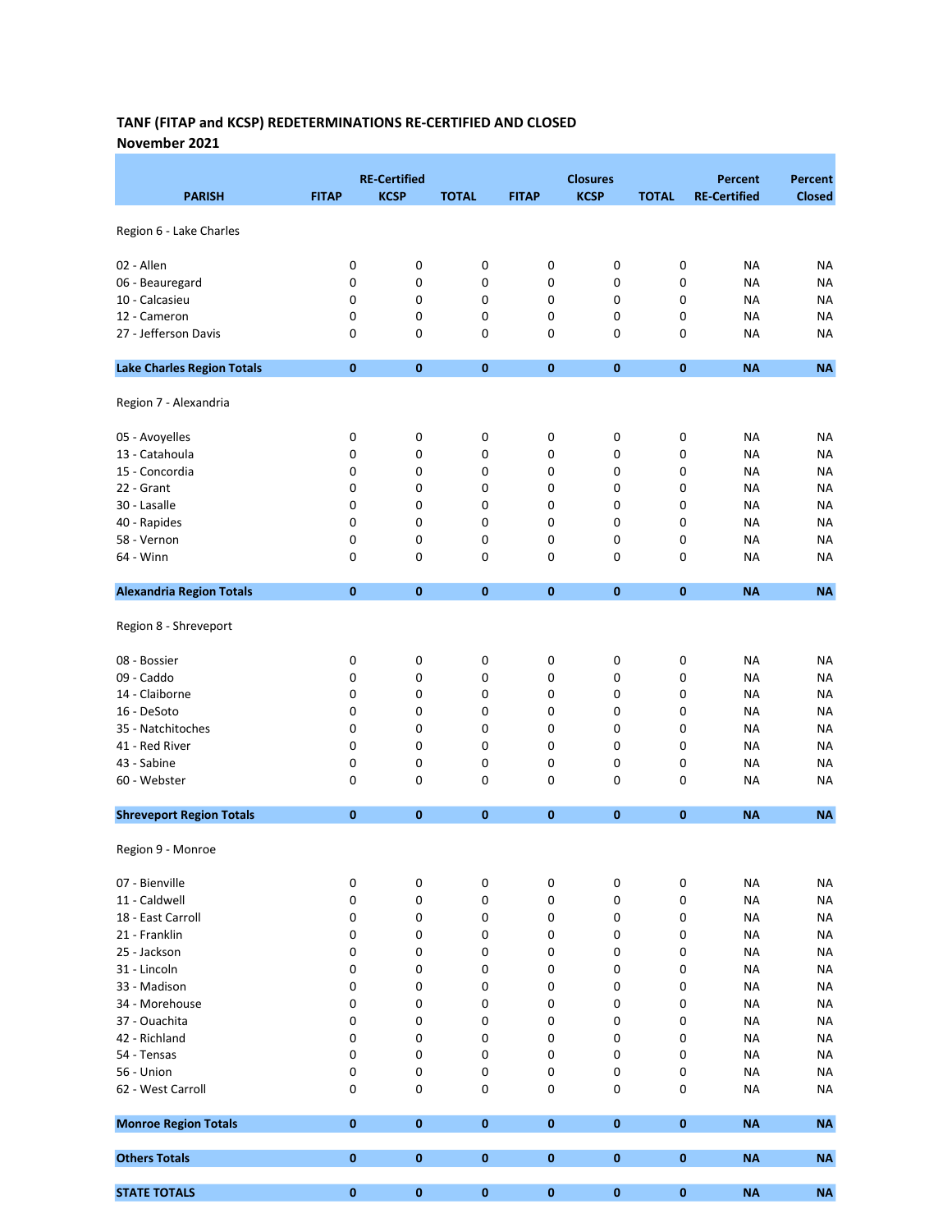#### TANF (FITAP and KCSP) REDETERMINATIONS RE-CERTIFIED AND CLOSED November 2021

|                                   |              | <b>RE-Certified</b> |                        |              | <b>Closures</b> |              | <b>Percent</b>      | Percent         |
|-----------------------------------|--------------|---------------------|------------------------|--------------|-----------------|--------------|---------------------|-----------------|
| <b>PARISH</b>                     | <b>FITAP</b> | <b>KCSP</b>         | <b>TOTAL</b>           | <b>FITAP</b> | <b>KCSP</b>     | <b>TOTAL</b> | <b>RE-Certified</b> | <b>Closed</b>   |
| Region 6 - Lake Charles           |              |                     |                        |              |                 |              |                     |                 |
| 02 - Allen                        | 0            | 0                   | 0                      | 0            | 0               | 0            | <b>NA</b>           | <b>NA</b>       |
| 06 - Beauregard                   | 0            | 0                   | 0                      | 0            | 0               | 0            | <b>NA</b>           | <b>NA</b>       |
| 10 - Calcasieu                    | 0            | 0                   | 0                      | 0            | 0               | 0            | <b>NA</b>           | <b>NA</b>       |
| 12 - Cameron                      | 0            | 0                   | 0                      | 0            | 0               | 0            | <b>NA</b>           | NA              |
| 27 - Jefferson Davis              | 0            | 0                   | 0                      | 0            | 0               | 0            | <b>NA</b>           | NA              |
| <b>Lake Charles Region Totals</b> | $\bf{0}$     | $\bf{0}$            | $\pmb{0}$              | $\pmb{0}$    | 0               | $\bf{0}$     | <b>NA</b>           | <b>NA</b>       |
| Region 7 - Alexandria             |              |                     |                        |              |                 |              |                     |                 |
| 05 - Avoyelles                    | 0            | 0                   | $\pmb{0}$              | 0            | 0               | 0            | <b>NA</b>           | NA              |
| 13 - Catahoula                    | 0            | 0                   | 0                      | 0            | 0               | 0            | <b>NA</b>           | NA              |
| 15 - Concordia                    | 0            | 0                   | 0                      | 0            | 0               | 0            | <b>NA</b>           | NA              |
| 22 - Grant                        | 0            | 0                   | 0                      | 0            | 0               | 0            | <b>NA</b>           | <b>NA</b>       |
| 30 - Lasalle                      | 0            | 0                   | 0                      | 0            | 0               | 0            | <b>NA</b>           | NA              |
| 40 - Rapides                      | 0            | 0                   | 0                      | 0            | 0               | 0            | <b>NA</b>           | NA              |
| 58 - Vernon                       | 0            | 0                   | 0                      | 0            | 0               | 0            | <b>NA</b>           | <b>NA</b>       |
| 64 - Winn                         | 0            | 0                   | 0                      | 0            | 0               | 0            | NA                  | <b>NA</b>       |
| <b>Alexandria Region Totals</b>   | $\mathbf 0$  | $\bf{0}$            | $\pmb{0}$              | $\bf{0}$     | $\bf{0}$        | $\bf{0}$     | <b>NA</b>           | <b>NA</b>       |
| Region 8 - Shreveport             |              |                     |                        |              |                 |              |                     |                 |
| 08 - Bossier                      | 0            | 0                   | 0                      | 0            | 0               | 0            | NA                  | NA              |
| 09 - Caddo                        | 0            | 0                   | 0                      | 0            | 0               | 0            | <b>NA</b>           | ΝA              |
| 14 - Claiborne                    | 0            | 0                   | 0                      | 0            | 0               | 0            | <b>NA</b>           | <b>NA</b>       |
| 16 - DeSoto                       | 0            | 0                   | 0                      | 0            | 0               | 0            | <b>NA</b>           | <b>NA</b>       |
| 35 - Natchitoches                 | 0            | 0                   | 0                      | 0            | 0               | 0            | <b>NA</b>           | NA              |
| 41 - Red River                    | 0            | 0                   | 0                      | 0            | 0               | 0            | <b>NA</b>           | NA              |
| 43 - Sabine                       | 0            | 0                   | $\pmb{0}$              | 0            | 0               | 0            | <b>NA</b>           | NA              |
| 60 - Webster                      | 0            | 0                   | 0                      | 0            | 0               | 0            | NA                  | ΝA              |
| <b>Shreveport Region Totals</b>   | $\bf{0}$     | $\bf{0}$            | $\bf{0}$               | $\bf{0}$     | $\bf{0}$        | $\bf{0}$     | <b>NA</b>           | <b>NA</b>       |
| Region 9 - Monroe                 |              |                     |                        |              |                 |              |                     |                 |
| 07 - Bienville                    | 0            | 0                   | $\pmb{0}$              | 0            | 0               | 0            | <b>NA</b>           | <b>NA</b>       |
| 11 - Caldwell                     | 0            | 0                   | $\pmb{0}$              | 0            | 0               | 0            | <b>NA</b>           | <b>NA</b>       |
| 18 - East Carroll                 | 0            | 0                   | 0                      | 0            | 0               | 0            | <b>NA</b>           | <b>NA</b>       |
| 21 - Franklin                     | 0            | 0                   | $\pmb{0}$              | 0            | 0               | 0            | <b>NA</b>           | <b>NA</b>       |
| 25 - Jackson                      | 0            | 0                   | 0                      | 0            | 0               | 0            | <b>NA</b>           | NA              |
| 31 - Lincoln                      | 0            | 0                   | 0                      | 0            | 0               | 0            | <b>NA</b>           | <b>NA</b>       |
| 33 - Madison                      | 0            | 0                   | 0                      | 0            | 0               | 0            | <b>NA</b>           | <b>NA</b>       |
| 34 - Morehouse                    | 0            | 0                   | 0                      | 0            | 0               | 0            | <b>NA</b>           | ΝA              |
| 37 - Ouachita                     | 0            | 0                   | 0                      | 0            | 0               | 0            | <b>NA</b>           | ΝA              |
| 42 - Richland                     | 0            | 0                   | $\pmb{0}$              | 0            | 0               | 0            | <b>NA</b>           | NA              |
| 54 - Tensas                       | 0            | 0                   | 0                      | 0            | 0               | 0            | <b>NA</b>           | <b>NA</b>       |
| 56 - Union<br>62 - West Carroll   | 0<br>0       | 0<br>0              | $\pmb{0}$<br>$\pmb{0}$ | 0<br>0       | 0<br>0          | 0<br>0       | <b>NA</b><br>NA     | <b>NA</b><br>ΝA |
| <b>Monroe Region Totals</b>       | $\pmb{0}$    | $\bf{0}$            | $\pmb{0}$              | $\pmb{0}$    | $\pmb{0}$       | $\pmb{0}$    | <b>NA</b>           | <b>NA</b>       |
| <b>Others Totals</b>              | $\bf{0}$     | $\bf{0}$            | $\pmb{0}$              | $\pmb{0}$    | 0               | $\bf{0}$     | <b>NA</b>           | <b>NA</b>       |
| <b>STATE TOTALS</b>               | $\pmb{0}$    | $\pmb{0}$           | $\pmb{0}$              | $\pmb{0}$    | $\pmb{0}$       | 0            | <b>NA</b>           | <b>NA</b>       |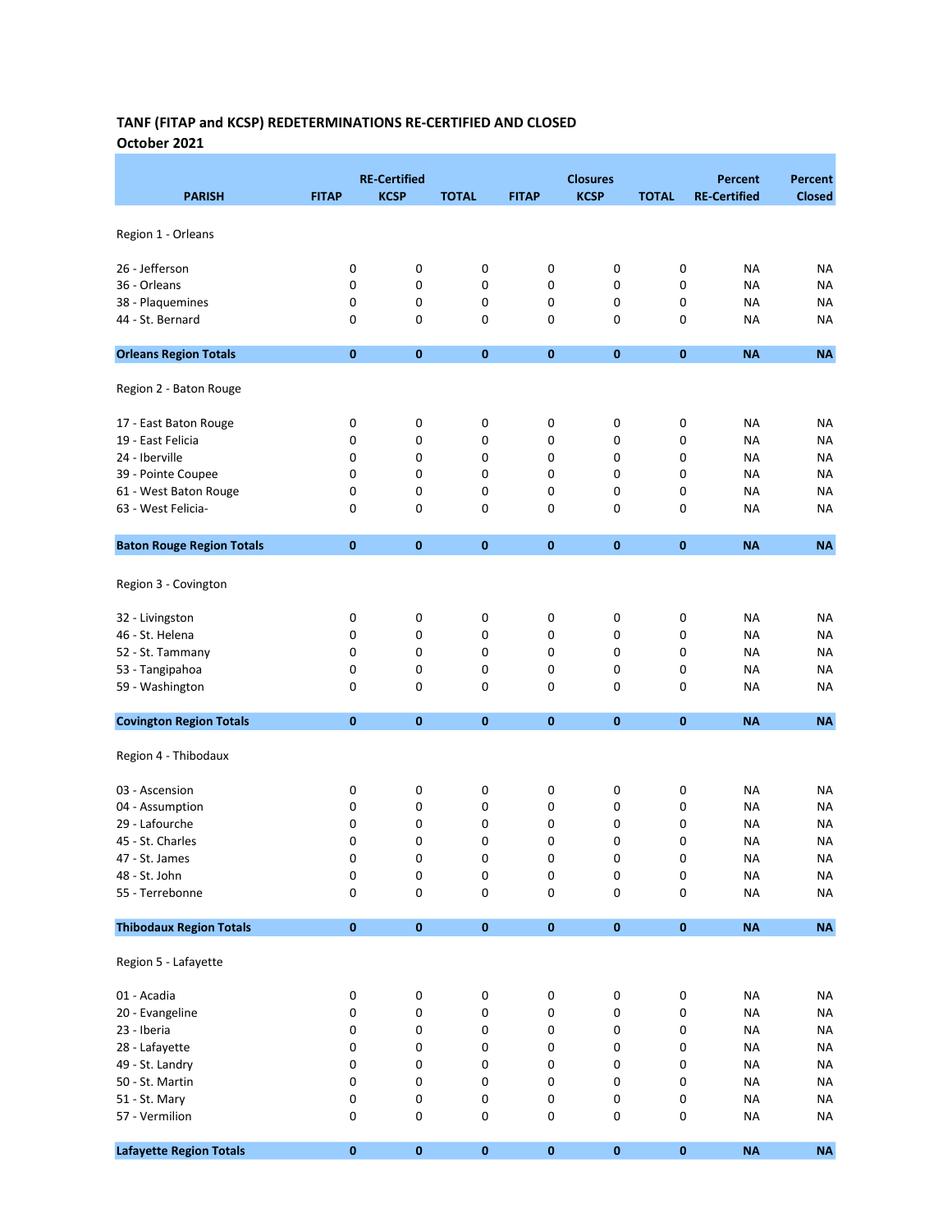#### TANF (FITAP and KCSP) REDETERMINATIONS RE-CERTIFIED AND CLOSED October 2021

|                                  |              | <b>RE-Certified</b> |              |              | <b>Closures</b> |              | <b>Percent</b>      | Percent       |
|----------------------------------|--------------|---------------------|--------------|--------------|-----------------|--------------|---------------------|---------------|
| <b>PARISH</b>                    | <b>FITAP</b> | <b>KCSP</b>         | <b>TOTAL</b> | <b>FITAP</b> | <b>KCSP</b>     | <b>TOTAL</b> | <b>RE-Certified</b> | <b>Closed</b> |
| Region 1 - Orleans               |              |                     |              |              |                 |              |                     |               |
| 26 - Jefferson                   | 0            | $\pmb{0}$           | $\pmb{0}$    | 0            | 0               | 0            | NA                  | NA            |
| 36 - Orleans                     | $\mathbf 0$  | 0                   | 0            | 0            | 0               | 0            | <b>NA</b>           | NA            |
| 38 - Plaquemines                 | 0            | 0                   | 0            | 0            | 0               | 0            | <b>NA</b>           | ΝA            |
| 44 - St. Bernard                 | 0            | 0                   | 0            | 0            | 0               | 0            | <b>NA</b>           | <b>NA</b>     |
|                                  |              |                     |              |              |                 |              |                     |               |
| <b>Orleans Region Totals</b>     | $\mathbf 0$  | $\bf{0}$            | $\mathbf 0$  | $\bf{0}$     | $\bf{0}$        | $\bf{0}$     | <b>NA</b>           | <b>NA</b>     |
| Region 2 - Baton Rouge           |              |                     |              |              |                 |              |                     |               |
| 17 - East Baton Rouge            | 0            | 0                   | 0            | 0            | 0               | 0            | NA                  | NA            |
| 19 - East Felicia                | 0            | 0                   | 0            | 0            | 0               | 0            | <b>NA</b>           | NA            |
| 24 - Iberville                   | 0            | 0                   | 0            | 0            | 0               | 0            | <b>NA</b>           | ΝA            |
| 39 - Pointe Coupee               | 0            | 0                   | 0            | 0            | 0               | 0            | <b>NA</b>           | NA            |
| 61 - West Baton Rouge            | $\mathbf 0$  | 0                   | 0            | 0            | 0               | 0            | <b>NA</b>           | ΝA            |
| 63 - West Felicia-               | 0            | 0                   | 0            | 0            | 0               | 0            | <b>NA</b>           | <b>NA</b>     |
| <b>Baton Rouge Region Totals</b> | $\bf{0}$     | 0                   | $\pmb{0}$    | $\pmb{0}$    | $\pmb{0}$       | 0            | <b>NA</b>           | <b>NA</b>     |
|                                  |              |                     |              |              |                 |              |                     |               |
| Region 3 - Covington             |              |                     |              |              |                 |              |                     |               |
| 32 - Livingston                  | 0            | 0                   | $\pmb{0}$    | 0            | 0               | 0            | <b>NA</b>           | <b>NA</b>     |
| 46 - St. Helena                  | 0            | 0                   | 0            | 0            | 0               | 0            | <b>NA</b>           | <b>NA</b>     |
| 52 - St. Tammany                 | 0            | 0                   | 0            | 0            | 0               | 0            | <b>NA</b>           | <b>NA</b>     |
| 53 - Tangipahoa                  | 0            | 0                   | 0            | 0            | 0               | 0            | <b>NA</b>           | NA            |
| 59 - Washington                  | $\mathbf 0$  | 0                   | 0            | 0            | 0               | 0            | <b>NA</b>           | NA            |
| <b>Covington Region Totals</b>   | $\bf{0}$     | $\mathbf 0$         | $\pmb{0}$    | 0            | $\mathbf{0}$    | $\bf{0}$     | <b>NA</b>           | <b>NA</b>     |
| Region 4 - Thibodaux             |              |                     |              |              |                 |              |                     |               |
|                                  |              |                     |              |              |                 |              |                     |               |
| 03 - Ascension                   | 0            | 0                   | 0            | 0            | 0               | 0            | NA                  | ΝA            |
| 04 - Assumption                  | 0            | 0                   | 0            | 0            | 0               | 0            | <b>NA</b>           | ΝA            |
| 29 - Lafourche                   | 0            | 0                   | 0            | 0            | 0               | 0            | NA                  | NA            |
| 45 - St. Charles                 | 0            | 0                   | 0            | 0            | 0               | 0            | <b>NA</b>           | <b>NA</b>     |
| 47 - St. James                   | $\Omega$     | 0                   | 0            | 0            | 0               | 0            | <b>NA</b>           | <b>NA</b>     |
| 48 - St. John                    | 0            | $\pmb{0}$           | 0            | 0            | 0               | 0            | <b>NA</b>           | <b>NA</b>     |
| 55 - Terrebonne                  | 0            | 0                   | 0            | 0            | 0               | 0            | <b>NA</b>           | <b>NA</b>     |
| <b>Thibodaux Region Totals</b>   | $\pmb{0}$    | $\pmb{0}$           | $\pmb{0}$    | $\pmb{0}$    | $\pmb{0}$       | $\pmb{0}$    | NA                  | $\sf NA$      |
| Region 5 - Lafayette             |              |                     |              |              |                 |              |                     |               |
| 01 - Acadia                      | 0            | $\pmb{0}$           | $\pmb{0}$    | 0            | 0               | 0            | <b>NA</b>           | <b>NA</b>     |
| 20 - Evangeline                  | 0            | 0                   | 0            | 0            | 0               | 0            | <b>NA</b>           | <b>NA</b>     |
| 23 - Iberia                      | 0            | 0                   | 0            | 0            | 0               | 0            | <b>NA</b>           | <b>NA</b>     |
| 28 - Lafayette                   | 0            | 0                   | 0            | 0            | 0               | 0            | <b>NA</b>           | <b>NA</b>     |
| 49 - St. Landry                  | 0            | 0                   | 0            | 0            | 0               | 0            | <b>NA</b>           | <b>NA</b>     |
| 50 - St. Martin                  | 0            | 0                   | 0            | 0            | 0               | 0            | <b>NA</b>           | <b>NA</b>     |
| 51 - St. Mary                    | 0            | 0                   | 0            | 0            | 0               | 0            | <b>NA</b>           | <b>NA</b>     |
| 57 - Vermilion                   | 0            | 0                   | 0            | 0            | 0               | 0            | <b>NA</b>           | NA            |
|                                  |              |                     |              |              |                 |              |                     |               |
| <b>Lafayette Region Totals</b>   | $\mathbf 0$  | $\pmb{0}$           | $\pmb{0}$    | $\pmb{0}$    | $\pmb{0}$       | $\pmb{0}$    | <b>NA</b>           | <b>NA</b>     |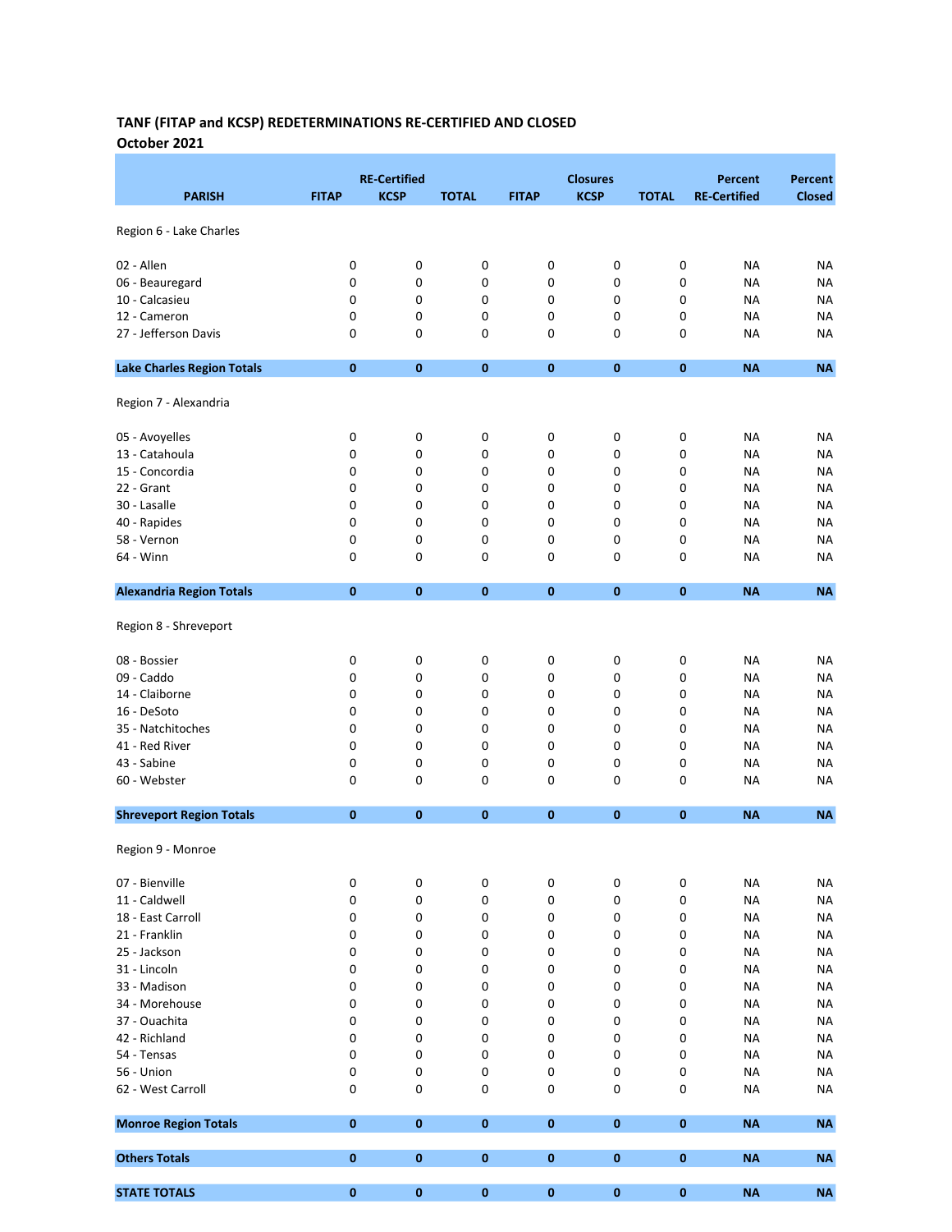## TANF (FITAP and KCSP) REDETERMINATIONS RE-CERTIFIED AND CLOSED October 2021

|                                   |              | <b>RE-Certified</b> |              |              | <b>Closures</b> |              | Percent             | Percent       |
|-----------------------------------|--------------|---------------------|--------------|--------------|-----------------|--------------|---------------------|---------------|
| <b>PARISH</b>                     | <b>FITAP</b> | <b>KCSP</b>         | <b>TOTAL</b> | <b>FITAP</b> | <b>KCSP</b>     | <b>TOTAL</b> | <b>RE-Certified</b> | <b>Closed</b> |
| Region 6 - Lake Charles           |              |                     |              |              |                 |              |                     |               |
|                                   |              |                     |              |              |                 |              |                     |               |
| 02 - Allen                        | 0            | 0                   | 0            | 0            | 0               | 0            | NA                  | <b>NA</b>     |
| 06 - Beauregard                   | 0            | 0                   | 0            | 0            | 0               | 0            | <b>NA</b>           | NA            |
| 10 - Calcasieu                    | 0            | 0                   | 0            | 0            | 0               | 0            | <b>NA</b>           | NA            |
| 12 - Cameron                      | 0            | 0                   | 0            | 0            | 0               | 0            | <b>NA</b>           | <b>NA</b>     |
| 27 - Jefferson Davis              | 0            | 0                   | 0            | 0            | 0               | 0            | <b>NA</b>           | NA            |
| <b>Lake Charles Region Totals</b> | $\bf{0}$     | $\bf{0}$            | $\pmb{0}$    | $\bf{0}$     | $\bf{0}$        | $\bf{0}$     | <b>NA</b>           | <b>NA</b>     |
| Region 7 - Alexandria             |              |                     |              |              |                 |              |                     |               |
| 05 - Avoyelles                    | 0            | 0                   | 0            | 0            | 0               | 0            | NA                  | NA            |
| 13 - Catahoula                    | 0            | 0                   | 0            | 0            | 0               | 0            | <b>NA</b>           | ΝA            |
| 15 - Concordia                    | 0            | 0                   | 0            | 0            | 0               | 0            | <b>NA</b>           | NA            |
| 22 - Grant                        | 0            | 0                   | 0            | 0            | 0               | 0            | <b>NA</b>           | <b>NA</b>     |
| 30 - Lasalle                      | 0            | 0                   | 0            | 0            | 0               | 0            | <b>NA</b>           | ΝA            |
| 40 - Rapides                      | 0            | 0                   | 0            | 0            | 0               | 0            | NA                  | NA            |
| 58 - Vernon                       | 0            | 0                   | 0            | 0            | 0               | 0            | <b>NA</b>           | NA            |
| 64 - Winn                         | 0            | 0                   | $\pmb{0}$    | 0            | 0               | 0            | <b>NA</b>           | NA            |
| <b>Alexandria Region Totals</b>   | $\bf{0}$     | $\bf{0}$            | $\pmb{0}$    | $\bf{0}$     | $\bf{0}$        | $\bf{0}$     | <b>NA</b>           | <b>NA</b>     |
| Region 8 - Shreveport             |              |                     |              |              |                 |              |                     |               |
| 08 - Bossier                      | 0            | 0                   | 0            | 0            | 0               | 0            | NA                  | ΝA            |
| 09 - Caddo                        | 0            | 0                   | 0            | 0            | 0               | 0            | <b>NA</b>           | NA            |
| 14 - Claiborne                    | 0            | 0                   | 0            | 0            | 0               | 0            | <b>NA</b>           | <b>NA</b>     |
| 16 - DeSoto                       | 0            | 0                   | 0            | 0            | 0               | 0            | <b>NA</b>           | NA            |
| 35 - Natchitoches                 | 0            | 0                   | 0            | 0            | 0               | 0            | <b>NA</b>           | NA            |
| 41 - Red River                    | 0            | 0                   | 0            | 0            | 0               | 0            | <b>NA</b>           | NA            |
| 43 - Sabine                       | 0            | 0                   | 0            | 0            | 0               | 0            | <b>NA</b>           | NA            |
| 60 - Webster                      | 0            | 0                   | 0            | 0            | 0               | 0            | NA                  | <b>NA</b>     |
|                                   |              |                     |              |              |                 |              |                     |               |
| <b>Shreveport Region Totals</b>   | $\bf{0}$     | $\bf{0}$            | $\pmb{0}$    | $\pmb{0}$    | 0               | $\bf{0}$     | <b>NA</b>           | <b>NA</b>     |
| Region 9 - Monroe                 |              |                     |              |              |                 |              |                     |               |
| 07 - Bienville                    | 0            | 0                   | 0            | 0            | 0               | 0            | <b>NA</b>           | <b>NA</b>     |
| 11 - Caldwell                     | 0            | 0                   | $\pmb{0}$    | 0            | 0               | 0            | <b>NA</b>           | <b>NA</b>     |
| 18 - East Carroll                 | 0            | 0                   | $\pmb{0}$    | 0            | 0               | 0            | <b>NA</b>           | <b>NA</b>     |
| 21 - Franklin                     | 0            | 0                   | 0            | 0            | 0               | 0            | <b>NA</b>           | <b>NA</b>     |
| 25 - Jackson                      | 0            | 0                   | 0            | 0            | 0               | 0            | <b>NA</b>           | NA            |
| 31 - Lincoln                      | 0            | 0                   | 0            | 0            | 0               | 0            | <b>NA</b>           | <b>NA</b>     |
| 33 - Madison                      | 0            | 0                   | 0            | 0            | 0               | 0            | <b>NA</b>           | <b>NA</b>     |
| 34 - Morehouse                    | 0            | 0                   | 0            | 0            | 0               | 0            | <b>NA</b>           | ΝA            |
| 37 - Ouachita                     | 0            | 0                   | 0            | 0            | 0               | 0            | <b>NA</b>           | ΝA            |
| 42 - Richland                     | 0            | 0                   | $\pmb{0}$    | 0            | 0               | 0            | <b>NA</b>           | <b>NA</b>     |
| 54 - Tensas                       | 0            | 0                   | 0            | 0            | 0               | 0            | <b>NA</b>           | NA            |
| 56 - Union                        | 0            | 0                   | $\pmb{0}$    | 0            | 0               | 0            | <b>NA</b>           | <b>NA</b>     |
| 62 - West Carroll                 | 0            | 0                   | $\pmb{0}$    | 0            | 0               | 0            | <b>NA</b>           | <b>NA</b>     |
| <b>Monroe Region Totals</b>       | $\pmb{0}$    | $\bf{0}$            | $\pmb{0}$    | $\pmb{0}$    | $\pmb{0}$       | 0            | <b>NA</b>           | <b>NA</b>     |
| <b>Others Totals</b>              | $\pmb{0}$    | 0                   | $\pmb{0}$    | 0            | 0               | $\pmb{0}$    | <b>NA</b>           | <b>NA</b>     |
| <b>STATE TOTALS</b>               | $\pmb{0}$    | $\pmb{0}$           | $\pmb{0}$    | 0            | 0               | 0            | <b>NA</b>           | <b>NA</b>     |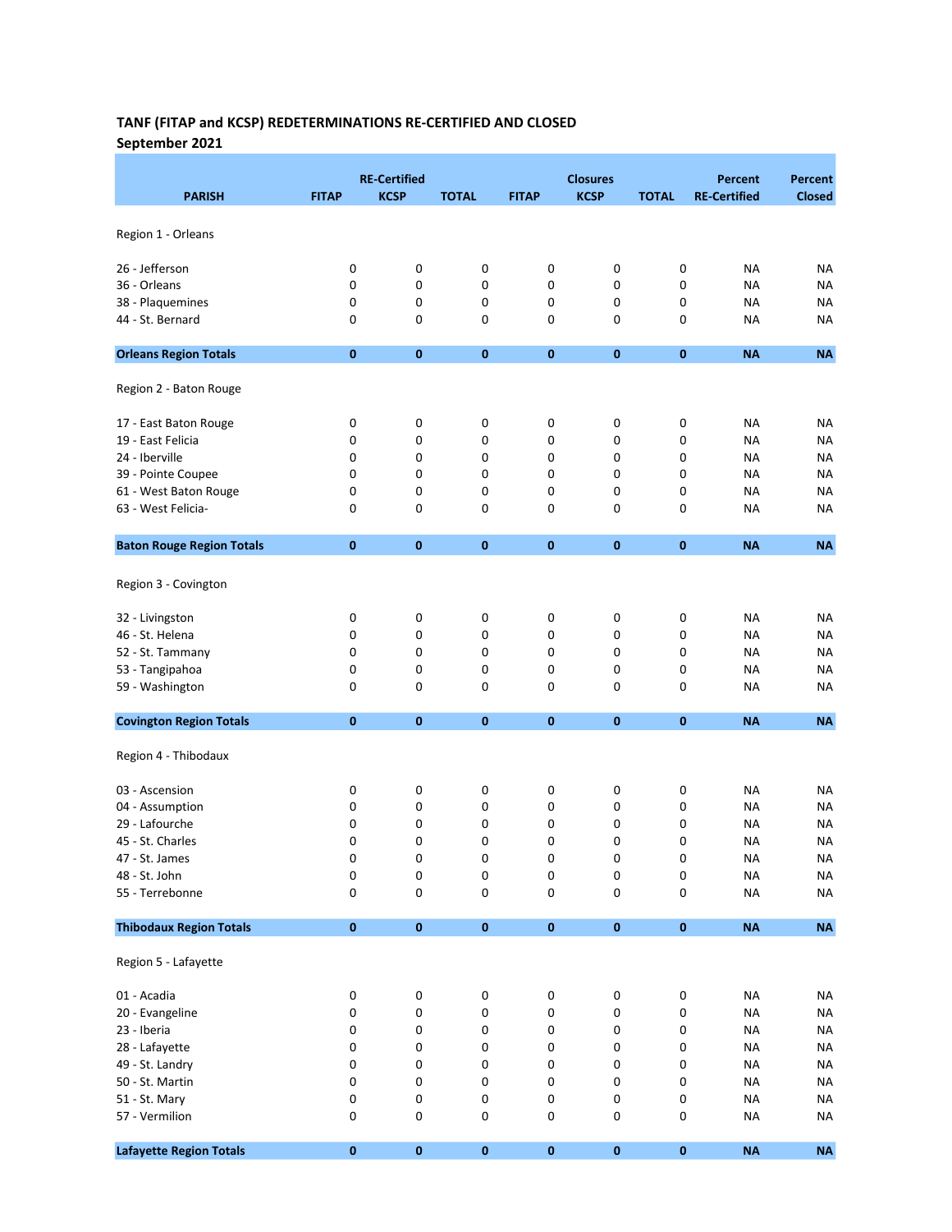## TANF (FITAP and KCSP) REDETERMINATIONS RE-CERTIFIED AND CLOSED September 2021

|                                  |              | <b>RE-Certified</b> |              |              | <b>Closures</b> |              | <b>Percent</b>      | <b>Percent</b> |
|----------------------------------|--------------|---------------------|--------------|--------------|-----------------|--------------|---------------------|----------------|
| <b>PARISH</b>                    | <b>FITAP</b> | <b>KCSP</b>         | <b>TOTAL</b> | <b>FITAP</b> | <b>KCSP</b>     | <b>TOTAL</b> | <b>RE-Certified</b> | <b>Closed</b>  |
|                                  |              |                     |              |              |                 |              |                     |                |
| Region 1 - Orleans               |              |                     |              |              |                 |              |                     |                |
| 26 - Jefferson                   | 0            | 0                   | $\pmb{0}$    | 0            | 0               | 0            | <b>NA</b>           | <b>NA</b>      |
| 36 - Orleans                     | $\mathbf 0$  | 0                   | 0            | 0            | 0               | 0            | <b>NA</b>           | ΝA             |
| 38 - Plaquemines                 | 0            | 0                   | 0            | 0            | 0               | 0            | <b>NA</b>           | ΝA             |
| 44 - St. Bernard                 | 0            | 0                   | 0            | 0            | 0               | 0            | <b>NA</b>           | <b>NA</b>      |
| <b>Orleans Region Totals</b>     | $\bf{0}$     | $\mathbf 0$         | $\pmb{0}$    | 0            | $\bf{0}$        | $\bf{0}$     | <b>NA</b>           | <b>NA</b>      |
| Region 2 - Baton Rouge           |              |                     |              |              |                 |              |                     |                |
| 17 - East Baton Rouge            | 0            | 0                   | 0            | 0            | 0               | 0            | <b>NA</b>           | <b>NA</b>      |
| 19 - East Felicia                | 0            | 0                   | $\pmb{0}$    | 0            | 0               | 0            | <b>NA</b>           | ΝA             |
| 24 - Iberville                   | 0            | 0                   | 0            | 0            | 0               | 0            | NA                  | NA             |
| 39 - Pointe Coupee               | $\mathbf 0$  | 0                   | 0            | 0            | 0               | 0            | <b>NA</b>           | NA             |
| 61 - West Baton Rouge            | 0            | 0                   | 0            | 0            | 0               | 0            | <b>NA</b>           | NA             |
| 63 - West Felicia-               | $\mathbf 0$  | 0                   | 0            | 0            | 0               | 0            | <b>NA</b>           | NA             |
| <b>Baton Rouge Region Totals</b> | $\bf{0}$     | $\bf{0}$            | $\pmb{0}$    | $\bf{0}$     | $\bf{0}$        | $\bf{0}$     | <b>NA</b>           | <b>NA</b>      |
|                                  |              |                     |              |              |                 |              |                     |                |
| Region 3 - Covington             |              |                     |              |              |                 |              |                     |                |
| 32 - Livingston                  | 0            | 0                   | $\pmb{0}$    | 0            | 0               | 0            | NA                  | <b>NA</b>      |
| 46 - St. Helena                  | 0            | 0                   | 0            | 0            | 0               | 0            | <b>NA</b>           | <b>NA</b>      |
| 52 - St. Tammany                 | 0            | 0                   | 0            | 0            | 0               | 0            | <b>NA</b>           | NA             |
| 53 - Tangipahoa                  | 0            | 0                   | 0            | 0            | 0               | 0            | <b>NA</b>           | NA             |
| 59 - Washington                  | $\mathbf 0$  | 0                   | 0            | 0            | 0               | 0            | <b>NA</b>           | NA             |
| <b>Covington Region Totals</b>   | $\bf{0}$     | $\mathbf 0$         | $\mathbf{0}$ | $\bf{0}$     | $\mathbf{0}$    | $\bf{0}$     | <b>NA</b>           | <b>NA</b>      |
| Region 4 - Thibodaux             |              |                     |              |              |                 |              |                     |                |
| 03 - Ascension                   | 0            | 0                   | 0            | 0            | 0               | 0            | NA                  | ΝA             |
| 04 - Assumption                  | 0            | 0                   | 0            | 0            | 0               | 0            | NA                  | NA             |
| 29 - Lafourche                   | 0            | 0                   | 0            | 0            | 0               | 0            | <b>NA</b>           | <b>NA</b>      |
| 45 - St. Charles                 | 0            | 0                   | 0            | 0            | 0               | 0            | <b>NA</b>           | NA             |
| 47 - St. James                   | 0            | 0                   | 0            | 0            | 0               | 0            | <b>NA</b>           | <b>NA</b>      |
| 48 - St. John                    | $\pmb{0}$    | 0                   | 0            | 0            | 0               | 0            | <b>NA</b>           | <b>NA</b>      |
| 55 - Terrebonne                  | 0            | $\mathsf 0$         | 0            | 0            | 0               | 0            | <b>NA</b>           | <b>NA</b>      |
| <b>Thibodaux Region Totals</b>   | $\pmb{0}$    | $\pmb{0}$           | $\pmb{0}$    | $\pmb{0}$    | $\pmb{0}$       | $\pmb{0}$    | <b>NA</b>           | $\sf NA$       |
| Region 5 - Lafayette             |              |                     |              |              |                 |              |                     |                |
|                                  |              |                     |              |              |                 |              |                     |                |
| 01 - Acadia                      | $\pmb{0}$    | $\pmb{0}$           | $\pmb{0}$    | 0            | 0               | 0            | <b>NA</b>           | <b>NA</b>      |
| 20 - Evangeline                  | 0            | 0                   | 0            | 0            | 0               | 0            | <b>NA</b>           | <b>NA</b>      |
| 23 - Iberia                      | 0            | 0                   | 0            | 0            | 0               | 0            | <b>NA</b>           | <b>NA</b>      |
| 28 - Lafayette                   | 0            | 0                   | 0            | 0            | 0               | 0            | <b>NA</b>           | <b>NA</b>      |
| 49 - St. Landry                  | 0            | 0                   | 0            | 0            | 0               | 0            | <b>NA</b>           | <b>NA</b>      |
| 50 - St. Martin                  | 0            | 0                   | 0            | 0            | 0               | 0            | <b>NA</b>           | <b>NA</b>      |
| 51 - St. Mary                    | 0            | $\pmb{0}$           | 0            | 0            | 0               | 0            | <b>NA</b>           | <b>NA</b>      |
| 57 - Vermilion                   | 0            | 0                   | 0            | 0            | 0               | 0            | <b>NA</b>           | <b>NA</b>      |
| <b>Lafayette Region Totals</b>   | $\pmb{0}$    | $\pmb{0}$           | $\pmb{0}$    | $\pmb{0}$    | $\pmb{0}$       | $\pmb{0}$    | NA                  | $\sf NA$       |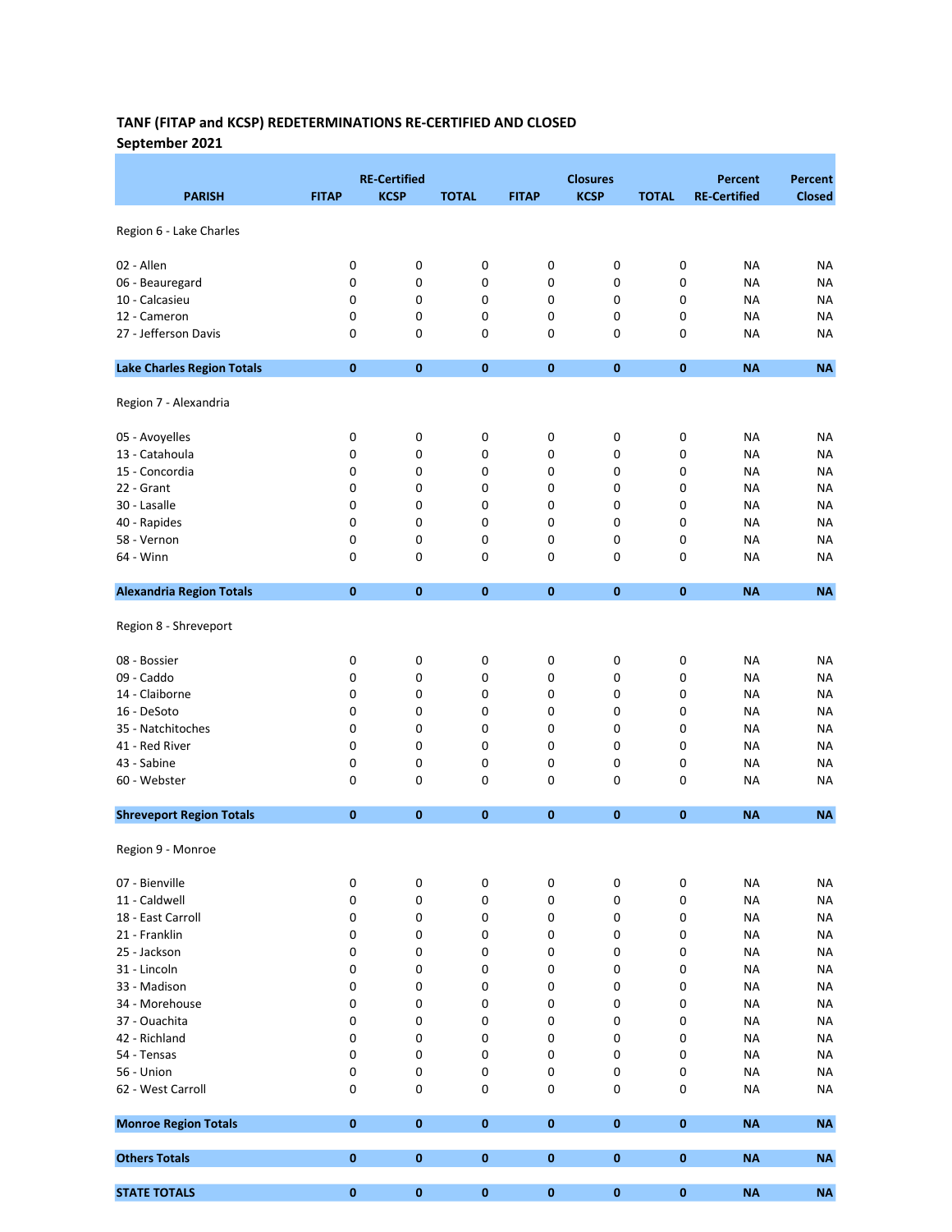# TANF (FITAP and KCSP) REDETERMINATIONS RE-CERTIFIED AND CLOSED September 2021

|                                   |              | <b>RE-Certified</b> |                        |              | <b>Closures</b> |              | <b>Percent</b>         | Percent         |
|-----------------------------------|--------------|---------------------|------------------------|--------------|-----------------|--------------|------------------------|-----------------|
| <b>PARISH</b>                     | <b>FITAP</b> | <b>KCSP</b>         | <b>TOTAL</b>           | <b>FITAP</b> | <b>KCSP</b>     | <b>TOTAL</b> | <b>RE-Certified</b>    | <b>Closed</b>   |
| Region 6 - Lake Charles           |              |                     |                        |              |                 |              |                        |                 |
| 02 - Allen                        | 0            | 0                   | 0                      | 0            | 0               | 0            | <b>NA</b>              | <b>NA</b>       |
| 06 - Beauregard                   | 0            | 0                   | 0                      | 0            | 0               | 0            | <b>NA</b>              | <b>NA</b>       |
| 10 - Calcasieu                    | 0            | 0                   | 0                      | 0            | 0               | 0            | <b>NA</b>              | <b>NA</b>       |
| 12 - Cameron                      | 0            | 0                   | 0                      | 0            | 0               | 0            | <b>NA</b>              | NA              |
| 27 - Jefferson Davis              | 0            | 0                   | 0                      | 0            | 0               | 0            | <b>NA</b>              | NA              |
| <b>Lake Charles Region Totals</b> | $\bf{0}$     | $\bf{0}$            | $\pmb{0}$              | $\pmb{0}$    | 0               | $\bf{0}$     | <b>NA</b>              | <b>NA</b>       |
| Region 7 - Alexandria             |              |                     |                        |              |                 |              |                        |                 |
| 05 - Avoyelles                    | 0            | 0                   | $\pmb{0}$              | 0            | 0               | 0            | <b>NA</b>              | NA              |
| 13 - Catahoula                    | 0            | 0                   | 0                      | 0            | 0               | 0            | <b>NA</b>              | NA              |
| 15 - Concordia                    | 0            | 0                   | 0                      | 0            | 0               | 0            | <b>NA</b>              | NA              |
| 22 - Grant                        | 0            | 0                   | 0                      | 0            | 0               | 0            | <b>NA</b>              | <b>NA</b>       |
| 30 - Lasalle                      | 0            | 0                   | 0                      | 0            | 0               | 0            | <b>NA</b>              | NA              |
| 40 - Rapides                      | 0            | 0                   | 0                      | 0            | 0               | 0            | <b>NA</b>              | NA              |
| 58 - Vernon                       | 0            | 0                   | 0                      | 0            | 0               | 0            | <b>NA</b>              | <b>NA</b>       |
| 64 - Winn                         | 0            | 0                   | 0                      | 0            | 0               | 0            | NA                     | <b>NA</b>       |
| <b>Alexandria Region Totals</b>   | $\mathbf 0$  | $\bf{0}$            | $\pmb{0}$              | $\bf{0}$     | $\bf{0}$        | $\bf{0}$     | <b>NA</b>              | <b>NA</b>       |
| Region 8 - Shreveport             |              |                     |                        |              |                 |              |                        |                 |
| 08 - Bossier                      | 0            | 0                   | 0                      | 0            | 0               | 0            | NA                     | NA              |
| 09 - Caddo                        | 0            | 0                   | 0                      | 0            | 0               | 0            | <b>NA</b>              | ΝA              |
| 14 - Claiborne                    | 0            | 0                   | 0                      | 0            | 0               | 0            | <b>NA</b>              | <b>NA</b>       |
| 16 - DeSoto                       | 0            | 0                   | 0                      | 0            | 0               | 0            | <b>NA</b>              | <b>NA</b>       |
| 35 - Natchitoches                 | 0            | 0                   | 0                      | 0            | 0               | 0            | <b>NA</b>              | NA              |
| 41 - Red River                    | 0            | 0                   | 0                      | 0            | 0               | 0            | <b>NA</b>              | NA              |
| 43 - Sabine                       | 0            | 0                   | $\pmb{0}$              | 0            | 0               | 0            | <b>NA</b>              | NA              |
| 60 - Webster                      | 0            | 0                   | 0                      | 0            | 0               | 0            | <b>NA</b>              | NA              |
| <b>Shreveport Region Totals</b>   | $\bf{0}$     | $\bf{0}$            | $\bf{0}$               | $\bf{0}$     | $\mathbf{0}$    | $\bf{0}$     | <b>NA</b>              | <b>NA</b>       |
| Region 9 - Monroe                 |              |                     |                        |              |                 |              |                        |                 |
| 07 - Bienville                    | 0            | 0                   | $\pmb{0}$              | 0            | 0               | 0            | <b>NA</b>              | <b>NA</b>       |
| 11 - Caldwell                     | 0            | 0                   | $\pmb{0}$              | 0            | 0               | 0            | <b>NA</b>              | <b>NA</b>       |
| 18 - East Carroll                 | 0            | 0                   | 0                      | 0            | 0               | 0            | <b>NA</b>              | <b>NA</b>       |
| 21 - Franklin                     | 0            | 0                   | $\pmb{0}$              | 0            | 0               | 0            | <b>NA</b>              | <b>NA</b>       |
| 25 - Jackson                      | 0            | 0                   | 0                      | 0            | 0               | 0            | <b>NA</b>              | NA              |
| 31 - Lincoln                      | 0            | 0                   | 0                      | 0            | 0               | 0            | <b>NA</b>              | <b>NA</b>       |
| 33 - Madison                      | 0            | 0                   | 0                      | 0            | 0               | 0            | <b>NA</b>              | <b>NA</b>       |
| 34 - Morehouse                    | 0            | 0                   | 0                      | 0            | 0               | 0            | <b>NA</b>              | ΝA              |
| 37 - Ouachita                     | 0            | 0                   | 0                      | 0            | 0               | 0            | <b>NA</b>              | ΝA              |
| 42 - Richland                     | 0            | 0                   | $\pmb{0}$              | 0            | 0               | 0            | <b>NA</b>              | NA              |
| 54 - Tensas                       | 0            | 0                   | 0                      | 0            | 0               | 0            | <b>NA</b>              | <b>NA</b>       |
| 56 - Union<br>62 - West Carroll   | 0<br>0       | 0<br>0              | $\pmb{0}$<br>$\pmb{0}$ | 0<br>0       | 0<br>0          | 0<br>0       | <b>NA</b><br><b>NA</b> | <b>NA</b><br>ΝA |
| <b>Monroe Region Totals</b>       | $\pmb{0}$    | $\bf{0}$            | $\pmb{0}$              | $\pmb{0}$    | $\pmb{0}$       | $\pmb{0}$    | <b>NA</b>              | <b>NA</b>       |
| <b>Others Totals</b>              | $\bf{0}$     | $\bf{0}$            | $\pmb{0}$              | $\pmb{0}$    | 0               | $\bf{0}$     | <b>NA</b>              | <b>NA</b>       |
| <b>STATE TOTALS</b>               | $\pmb{0}$    | $\pmb{0}$           | $\pmb{0}$              | $\pmb{0}$    | $\pmb{0}$       | 0            | <b>NA</b>              | <b>NA</b>       |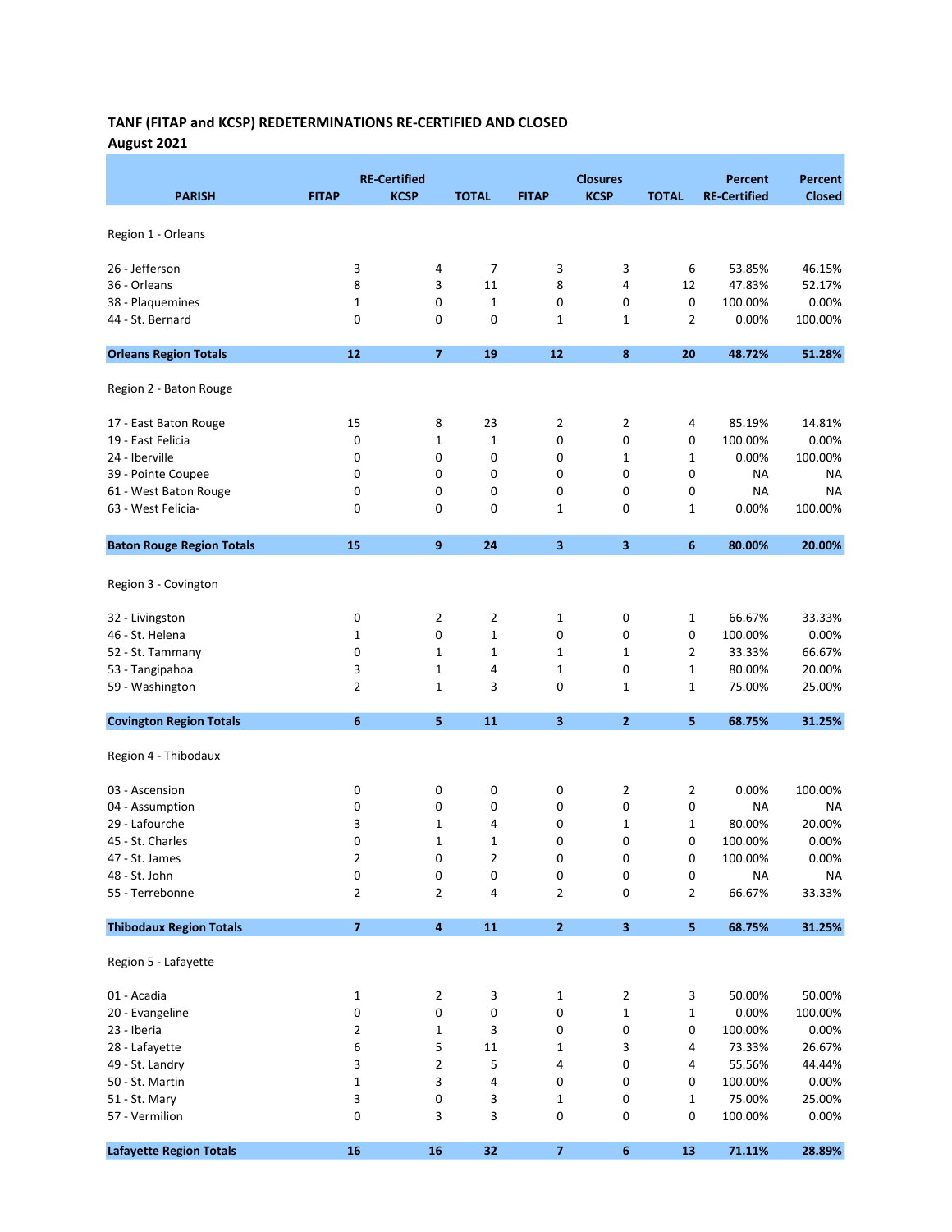# TANF (FITAP and KCSP) REDETERMINATIONS RE-CERTIFIED AND CLOSED August 2021

|                                  |                | <b>RE-Certified</b>     |                |                         | <b>Closures</b> |                | <b>Percent</b>      | <b>Percent</b> |
|----------------------------------|----------------|-------------------------|----------------|-------------------------|-----------------|----------------|---------------------|----------------|
| <b>PARISH</b>                    | <b>FITAP</b>   | <b>KCSP</b>             | <b>TOTAL</b>   | <b>FITAP</b>            | <b>KCSP</b>     | <b>TOTAL</b>   | <b>RE-Certified</b> | <b>Closed</b>  |
|                                  |                |                         |                |                         |                 |                |                     |                |
| Region 1 - Orleans               |                |                         |                |                         |                 |                |                     |                |
| 26 - Jefferson                   | 3              | 4                       | 7              | 3                       | 3               | 6              | 53.85%              | 46.15%         |
| 36 - Orleans                     | 8              | 3                       | 11             | 8                       | 4               | 12             | 47.83%              | 52.17%         |
| 38 - Plaquemines                 | $\mathbf 1$    | 0                       | $\mathbf{1}$   | 0                       | 0               | 0              | 100.00%             | 0.00%          |
| 44 - St. Bernard                 | 0              | 0                       | 0              | 1                       | 1               | $\overline{2}$ | 0.00%               | 100.00%        |
|                                  |                |                         |                |                         |                 |                |                     |                |
| <b>Orleans Region Totals</b>     | 12             | $\overline{ }$          | 19             | 12                      | 8               | 20             | 48.72%              | 51.28%         |
| Region 2 - Baton Rouge           |                |                         |                |                         |                 |                |                     |                |
| 17 - East Baton Rouge            | 15             | 8                       | 23             | 2                       | $\overline{2}$  | 4              | 85.19%              | 14.81%         |
| 19 - East Felicia                | 0              | $\mathbf 1$             | $\mathbf{1}$   | 0                       | 0               | 0              | 100.00%             | 0.00%          |
| 24 - Iberville                   | 0              | 0                       | 0              | 0                       | 1               | 1              | 0.00%               | 100.00%        |
| 39 - Pointe Coupee               | 0              | 0                       | 0              | 0                       | 0               | 0              | NA                  | NA             |
| 61 - West Baton Rouge            | 0              | 0                       | 0              | 0                       | 0               | 0              | NA                  | <b>NA</b>      |
| 63 - West Felicia-               | 0              | 0                       | 0              | 1                       | 0               | 1              | 0.00%               | 100.00%        |
| <b>Baton Rouge Region Totals</b> | 15             | 9                       | 24             | $\overline{\mathbf{3}}$ | 3               | 6              | 80.00%              | 20.00%         |
|                                  |                |                         |                |                         |                 |                |                     |                |
| Region 3 - Covington             |                |                         |                |                         |                 |                |                     |                |
| 32 - Livingston                  | 0              | $\overline{2}$          | 2              | 1                       | 0               | 1              | 66.67%              | 33.33%         |
| 46 - St. Helena                  | 1              | 0                       | $\mathbf{1}$   | 0                       | 0               | 0              | 100.00%             | 0.00%          |
| 52 - St. Tammany                 | 0              | $\mathbf{1}$            | $\mathbf{1}$   | 1                       | 1               | $\overline{2}$ | 33.33%              | 66.67%         |
| 53 - Tangipahoa                  | 3              | $\mathbf 1$             | 4              | 1                       | 0               | 1              | 80.00%              | 20.00%         |
| 59 - Washington                  | $\overline{2}$ | $\mathbf 1$             | 3              | 0                       | $\mathbf 1$     | 1              | 75.00%              | 25.00%         |
| <b>Covington Region Totals</b>   | 6              | 5                       | 11             | 3                       | $\overline{2}$  | 5              | 68.75%              | 31.25%         |
|                                  |                |                         |                |                         |                 |                |                     |                |
| Region 4 - Thibodaux             |                |                         |                |                         |                 |                |                     |                |
| 03 - Ascension                   | 0              | 0                       | 0              | 0                       | 2               | 2              | 0.00%               | 100.00%        |
| 04 - Assumption                  | 0              | 0                       | 0              | 0                       | 0               | 0              | <b>NA</b>           | NA             |
| 29 - Lafourche                   | 3              | $\mathbf 1$             | 4              | 0                       | 1               | 1              | 80.00%              | 20.00%         |
| 45 - St. Charles                 | 0              | $\mathbf 1$             | $\mathbf 1$    | 0                       | 0               | 0              | 100.00%             | 0.00%          |
| 47 - St. James                   | 2              | 0                       | $\overline{2}$ | 0                       | $\Omega$        | 0              | 100.00%             | 0.00%          |
| 48 - St. John                    | 0              | 0                       | 0              | 0                       | 0               | 0              | ΝA                  | NA             |
| 55 - Terrebonne                  | $\overline{2}$ | $\overline{2}$          | 4              | 2                       | 0               | $\overline{2}$ | 66.67%              | 33.33%         |
| <b>Thibodaux Region Totals</b>   | $\overline{7}$ | $\overline{\mathbf{4}}$ | 11             | $\mathbf{2}$            | 3               | 5              | 68.75%              | 31.25%         |
|                                  |                |                         |                |                         |                 |                |                     |                |
| Region 5 - Lafayette             |                |                         |                |                         |                 |                |                     |                |
| 01 - Acadia                      | 1              | 2                       | 3              | 1                       | 2               | 3              | 50.00%              | 50.00%         |
| 20 - Evangeline                  | 0              | 0                       | 0              | 0                       | 1               | 1              | 0.00%               | 100.00%        |
| 23 - Iberia                      | 2              | $\mathbf 1$             | 3              | 0                       | 0               | 0              | 100.00%             | 0.00%          |
| 28 - Lafayette                   | 6              | 5                       | 11             | 1                       | 3               | 4              | 73.33%              | 26.67%         |
| 49 - St. Landry                  | 3              | 2                       | 5              | 4                       | 0               | 4              | 55.56%              | 44.44%         |
| 50 - St. Martin                  | $\mathbf 1$    | 3                       | 4              | 0                       | 0               | 0              | 100.00%             | 0.00%          |
| 51 - St. Mary                    | 3              | 0                       | 3              | 1                       | 0               | 1              | 75.00%              | 25.00%         |
| 57 - Vermilion                   | 0              | 3                       | 3              | 0                       | 0               | 0              | 100.00%             | 0.00%          |
| <b>Lafayette Region Totals</b>   | 16             | 16                      | 32             | $\overline{z}$          | 6               | 13             | 71.11%              | 28.89%         |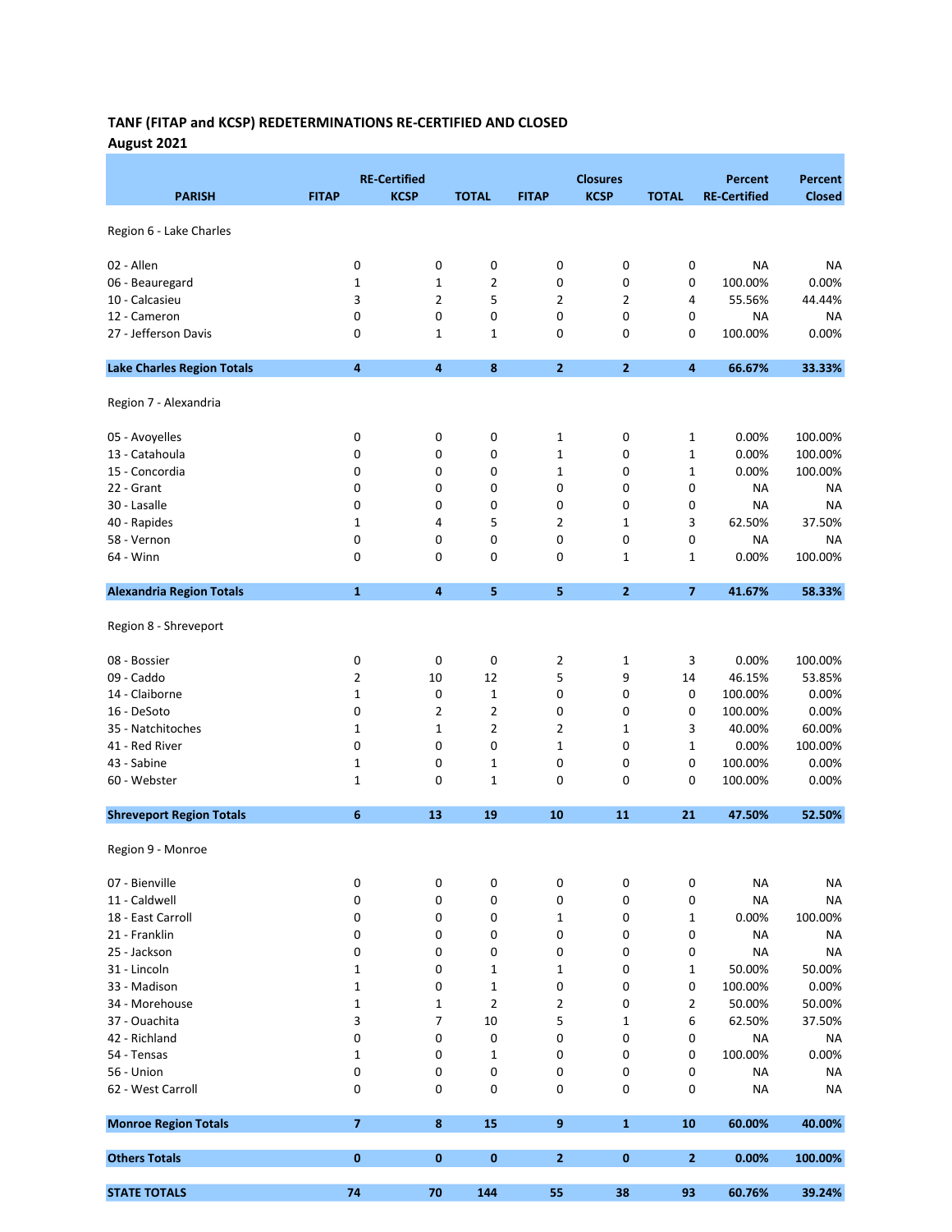# TANF (FITAP and KCSP) REDETERMINATIONS RE-CERTIFIED AND CLOSED August 2021

|                                   |                | <b>RE-Certified</b>     |                |                | <b>Closures</b> |                         | <b>Percent</b>      | <b>Percent</b> |
|-----------------------------------|----------------|-------------------------|----------------|----------------|-----------------|-------------------------|---------------------|----------------|
| <b>PARISH</b>                     | <b>FITAP</b>   | <b>KCSP</b>             | <b>TOTAL</b>   | <b>FITAP</b>   | <b>KCSP</b>     | <b>TOTAL</b>            | <b>RE-Certified</b> | <b>Closed</b>  |
| Region 6 - Lake Charles           |                |                         |                |                |                 |                         |                     |                |
|                                   |                |                         |                |                |                 |                         |                     |                |
| 02 - Allen                        | 0              | 0                       | 0              | 0              | 0               | 0                       | <b>NA</b>           | <b>NA</b>      |
| 06 - Beauregard                   | $\mathbf 1$    | $\mathbf 1$             | 2              | 0              | 0               | 0                       | 100.00%             | 0.00%          |
| 10 - Calcasieu                    | 3              | $\overline{2}$          | 5              | $\overline{2}$ | $\overline{2}$  | 4                       | 55.56%              | 44.44%         |
| 12 - Cameron                      | 0              | 0                       | 0              | 0              | 0               | 0                       | <b>NA</b>           | NA             |
| 27 - Jefferson Davis              | 0              | $\mathbf 1$             | 1              | $\mathbf 0$    | 0               | 0                       | 100.00%             | 0.00%          |
| <b>Lake Charles Region Totals</b> | 4              | $\overline{\mathbf{4}}$ | 8              | $\mathbf{2}$   | $\overline{2}$  | 4                       | 66.67%              | 33.33%         |
| Region 7 - Alexandria             |                |                         |                |                |                 |                         |                     |                |
| 05 - Avoyelles                    | 0              | 0                       | 0              | $\mathbf{1}$   | 0               | 1                       | 0.00%               | 100.00%        |
| 13 - Catahoula                    | 0              | 0                       | 0              | 1              | 0               | 1                       | 0.00%               | 100.00%        |
| 15 - Concordia                    | 0              | 0                       | 0              | $\mathbf{1}$   | 0               | 1                       | 0.00%               | 100.00%        |
| 22 - Grant                        | 0              | 0                       | 0              | 0              | 0               | 0                       | <b>NA</b>           | NA             |
| 30 - Lasalle                      | 0              | 0                       | 0              | 0              | 0               | 0                       | <b>NA</b>           | <b>NA</b>      |
| 40 - Rapides                      | 1              | 4                       | 5              | 2              | 1               | 3                       | 62.50%              | 37.50%         |
| 58 - Vernon                       | 0              | 0                       | 0              | 0              | 0               | 0                       | <b>NA</b>           | NA             |
| 64 - Winn                         | 0              | 0                       | 0              | 0              | $\mathbf 1$     | 1                       | 0.00%               | 100.00%        |
| <b>Alexandria Region Totals</b>   | $\mathbf{1}$   | 4                       | 5              | 5              | $\mathbf{2}$    | $\overline{\mathbf{z}}$ | 41.67%              | 58.33%         |
| Region 8 - Shreveport             |                |                         |                |                |                 |                         |                     |                |
| 08 - Bossier                      | 0              | 0                       | 0              | 2              | $\mathbf 1$     | 3                       | 0.00%               | 100.00%        |
| 09 - Caddo                        | 2              | 10                      | 12             | 5              | 9               | 14                      | 46.15%              | 53.85%         |
| 14 - Claiborne                    | $\mathbf 1$    | 0                       | $\mathbf{1}$   | $\mathsf 0$    | 0               | 0                       | 100.00%             | 0.00%          |
| 16 - DeSoto                       | 0              | 2                       | 2              | 0              | 0               | 0                       | 100.00%             | 0.00%          |
| 35 - Natchitoches                 | 1              | $\mathbf 1$             | 2              | 2              | 1               | 3                       | 40.00%              | 60.00%         |
| 41 - Red River                    | 0              | 0                       | 0              | 1              | 0               | 1                       | 0.00%               | 100.00%        |
| 43 - Sabine                       | 1              | 0                       | 1              | 0              | 0               | 0                       | 100.00%             | 0.00%          |
| 60 - Webster                      | 1              | 0                       | 1              | 0              | 0               | 0                       | 100.00%             | 0.00%          |
| <b>Shreveport Region Totals</b>   | 6              | 13                      | 19             | 10             | 11              | 21                      | 47.50%              | 52.50%         |
| Region 9 - Monroe                 |                |                         |                |                |                 |                         |                     |                |
| 07 - Bienville                    | 0              | 0                       | 0              | 0              | 0               | 0                       | <b>NA</b>           | <b>NA</b>      |
| 11 - Caldwell                     | 0              | 0                       | 0              | 0              | 0               | 0                       | <b>NA</b>           | <b>NA</b>      |
| 18 - East Carroll                 | 0              | 0                       | 0              | 1              | 0               | 1                       | 0.00%               | 100.00%        |
| 21 - Franklin                     | 0              | 0                       | 0              | 0              | 0               | 0                       | <b>NA</b>           | <b>NA</b>      |
| 25 - Jackson                      | 0              | 0                       | 0              | 0              | 0               | 0                       | <b>NA</b>           | <b>NA</b>      |
| 31 - Lincoln                      | 1              | 0                       | 1              | 1              | 0               | 1                       | 50.00%              | 50.00%         |
| 33 - Madison                      | $\mathbf 1$    | 0                       | 1              | 0              | 0               | 0                       | 100.00%             | 0.00%          |
| 34 - Morehouse                    | $\mathbf 1$    | $\mathbf 1$             | $\overline{2}$ | 2              | 0               | 2                       | 50.00%              | 50.00%         |
| 37 - Ouachita                     | 3              | 7                       | 10             | 5              | 1               | 6                       | 62.50%              | 37.50%         |
| 42 - Richland                     | 0              | 0                       | 0              | 0              | 0               | 0                       | <b>NA</b>           | <b>NA</b>      |
| 54 - Tensas                       | 1              | 0                       | 1              | 0              | 0               | 0                       | 100.00%             | 0.00%          |
| 56 - Union                        | 0              | 0                       | 0              | 0              | 0               | 0                       | <b>NA</b>           | <b>NA</b>      |
| 62 - West Carroll                 | 0              | 0                       | 0              | 0              | 0               | 0                       | <b>NA</b>           | <b>NA</b>      |
| <b>Monroe Region Totals</b>       | $\overline{ }$ | 8                       | 15             | 9              | $\mathbf{1}$    | 10                      | 60.00%              | 40.00%         |
| <b>Others Totals</b>              | $\pmb{0}$      | 0                       | 0              | $\overline{2}$ | $\bf{0}$        | 2                       | 0.00%               | 100.00%        |
| <b>STATE TOTALS</b>               | 74             | 70                      | 144            | 55             | 38              | 93                      | 60.76%              | 39.24%         |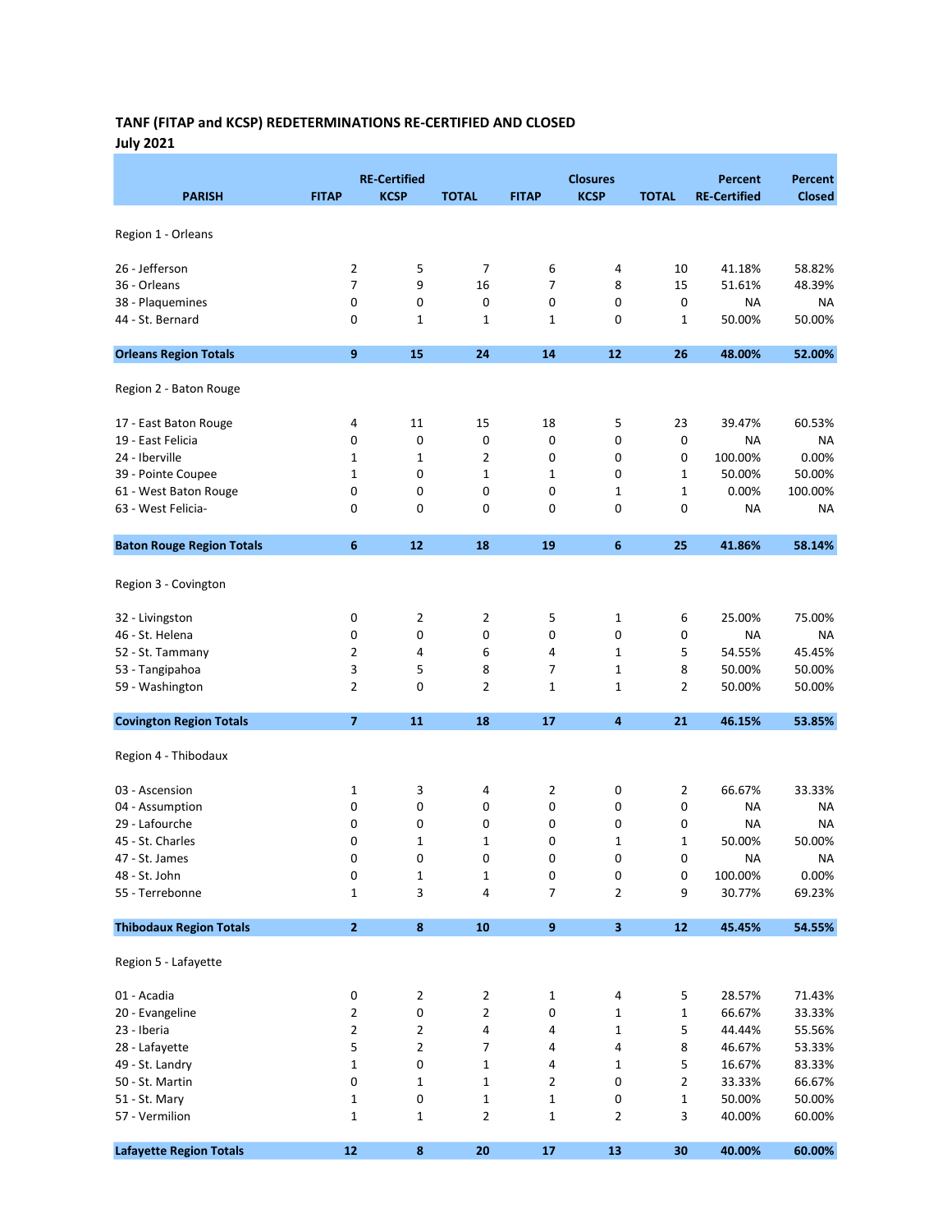# TANF (FITAP and KCSP) REDETERMINATIONS RE-CERTIFIED AND CLOSED July 2021

| <b>PARISH</b>                    | <b>FITAP</b>            | <b>RE-Certified</b><br><b>KCSP</b> | <b>TOTAL</b>   | <b>FITAP</b>     | <b>Closures</b><br><b>KCSP</b> | <b>TOTAL</b> | <b>Percent</b><br><b>RE-Certified</b> | <b>Percent</b><br><b>Closed</b> |
|----------------------------------|-------------------------|------------------------------------|----------------|------------------|--------------------------------|--------------|---------------------------------------|---------------------------------|
| Region 1 - Orleans               |                         |                                    |                |                  |                                |              |                                       |                                 |
| 26 - Jefferson                   | 2                       | 5                                  | 7              | 6                | 4                              | 10           | 41.18%                                | 58.82%                          |
| 36 - Orleans                     | $\overline{7}$          | 9                                  | 16             | $\overline{7}$   | 8                              | 15           | 51.61%                                | 48.39%                          |
| 38 - Plaquemines                 | 0                       | 0                                  | 0              | 0                | 0                              | 0            | NA                                    | ΝA                              |
| 44 - St. Bernard                 | 0                       | 1                                  | 1              | 1                | 0                              | 1            | 50.00%                                | 50.00%                          |
| <b>Orleans Region Totals</b>     | 9                       | 15                                 | 24             | 14               | 12                             | 26           | 48.00%                                | 52.00%                          |
| Region 2 - Baton Rouge           |                         |                                    |                |                  |                                |              |                                       |                                 |
| 17 - East Baton Rouge            | 4                       | 11                                 | 15             | 18               | 5                              | 23           | 39.47%                                | 60.53%                          |
| 19 - East Felicia                | 0                       | 0                                  | 0              | 0                | 0                              | 0            | NA                                    | NA                              |
| 24 - Iberville                   | 1                       | $\mathbf 1$                        | $\overline{2}$ | 0                | 0                              | 0            | 100.00%                               | 0.00%                           |
| 39 - Pointe Coupee               | 1                       | 0                                  | $\mathbf 1$    | 1                | 0                              | 1            | 50.00%                                | 50.00%                          |
| 61 - West Baton Rouge            | 0                       | 0                                  | 0              | 0                | 1                              | 1            | 0.00%                                 | 100.00%                         |
| 63 - West Felicia-               | 0                       | 0                                  | $\mathbf 0$    | 0                | 0                              | 0            | <b>NA</b>                             | NA                              |
| <b>Baton Rouge Region Totals</b> | 6                       | 12                                 | 18             | 19               | 6                              | 25           | 41.86%                                | 58.14%                          |
| Region 3 - Covington             |                         |                                    |                |                  |                                |              |                                       |                                 |
| 32 - Livingston                  | 0                       | 2                                  | 2              | 5                | 1                              | 6            | 25.00%                                | 75.00%                          |
| 46 - St. Helena                  | 0                       | 0                                  | 0              | 0                | 0                              | 0            | NA                                    | ΝA                              |
| 52 - St. Tammany                 | $\overline{2}$          | 4                                  | 6              | 4                | 1                              | 5            | 54.55%                                | 45.45%                          |
| 53 - Tangipahoa                  | 3                       | 5                                  | 8              | $\overline{7}$   | 1                              | 8            | 50.00%                                | 50.00%                          |
| 59 - Washington                  | 2                       | 0                                  | $\overline{2}$ | 1                | 1                              | 2            | 50.00%                                | 50.00%                          |
| <b>Covington Region Totals</b>   | $\overline{\mathbf{z}}$ | 11                                 | 18             | 17               | $\overline{\mathbf{4}}$        | 21           | 46.15%                                | 53.85%                          |
| Region 4 - Thibodaux             |                         |                                    |                |                  |                                |              |                                       |                                 |
| 03 - Ascension                   | 1                       | 3                                  | 4              | 2                | 0                              | 2            | 66.67%                                | 33.33%                          |
| 04 - Assumption                  | 0                       | 0                                  | 0              | 0                | 0                              | 0            | NA                                    | ΝA                              |
| 29 - Lafourche                   | 0                       | 0                                  | 0              | 0                | 0                              | 0            | <b>NA</b>                             | NA                              |
| 45 - St. Charles                 | 0                       | $\mathbf 1$                        | 1              | 0                | 1                              | 1            | 50.00%                                | 50.00%                          |
| 47 - St. James                   | 0                       | 0                                  | 0              | 0                | 0                              | 0            | <b>NA</b>                             | NA                              |
| 48 - St. John                    | 0                       | 1                                  | 1              | 0                | 0                              | 0            | 100.00%                               | 0.00%                           |
| 55 - Terrebonne                  | $\mathbf{1}$            | 3                                  | 4              | $\overline{7}$   | $\overline{2}$                 | 9            | 30.77%                                | 69.23%                          |
| <b>Thibodaux Region Totals</b>   | $\overline{\mathbf{2}}$ | $\pmb{8}$                          | 10             | $\boldsymbol{9}$ | $\overline{\mathbf{3}}$        | $12$         | 45.45%                                | 54.55%                          |
| Region 5 - Lafayette             |                         |                                    |                |                  |                                |              |                                       |                                 |
| 01 - Acadia                      | 0                       | 2                                  | $\overline{2}$ | 1                | 4                              | 5            | 28.57%                                | 71.43%                          |
| 20 - Evangeline                  | $\overline{2}$          | 0                                  | $\overline{2}$ | $\pmb{0}$        | 1                              | $\mathbf 1$  | 66.67%                                | 33.33%                          |
| 23 - Iberia                      | $\overline{2}$          | $\mathbf{2}$                       | 4              | 4                | 1                              | 5            | 44.44%                                | 55.56%                          |
| 28 - Lafayette                   | 5                       | $\overline{2}$                     | 7              | 4                | 4                              | 8            | 46.67%                                | 53.33%                          |
| 49 - St. Landry                  | $\mathbf 1$             | 0                                  | $\mathbf{1}$   | 4                | 1                              | 5            | 16.67%                                | 83.33%                          |
| 50 - St. Martin                  | 0                       | $\mathbf{1}$                       | $1\,$          | $\overline{2}$   | 0                              | 2            | 33.33%                                | 66.67%                          |
| 51 - St. Mary                    | $\mathbf 1$             | 0                                  | $\mathbf 1$    | $\mathbf 1$      | 0                              | $\mathbf 1$  | 50.00%                                | 50.00%                          |
| 57 - Vermilion                   | $\mathbf 1$             | $\mathbf{1}$                       | $\overline{2}$ | 1                | $\overline{2}$                 | 3            | 40.00%                                | 60.00%                          |
| <b>Lafayette Region Totals</b>   | $12$                    | 8                                  | 20             | 17               | 13                             | 30           | 40.00%                                | 60.00%                          |